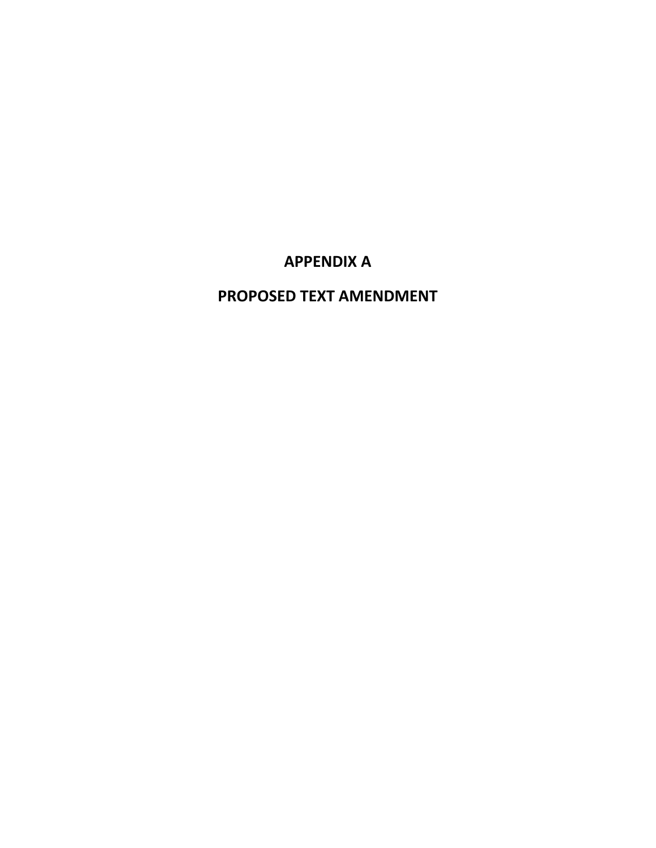# **APPENDIX A**

# **PROPOSED TEXT AMENDMENT**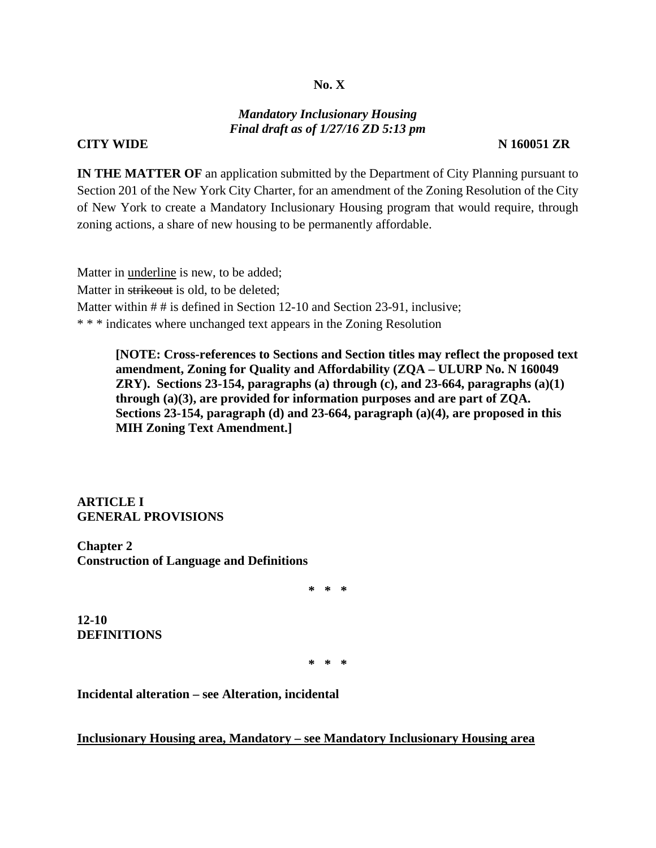#### **No. X**

#### *Mandatory Inclusionary Housing Final draft as of 1/27/16 ZD 5:13 pm*

#### **CITY WIDE** N 160051 ZR

**IN THE MATTER OF** an application submitted by the Department of City Planning pursuant to Section 201 of the New York City Charter, for an amendment of the Zoning Resolution of the City of New York to create a Mandatory Inclusionary Housing program that would require, through zoning actions, a share of new housing to be permanently affordable.

Matter in underline is new, to be added; Matter in strikeout is old, to be deleted; Matter within # # is defined in Section 12-10 and Section 23-91, inclusive; \* \* \* indicates where unchanged text appears in the Zoning Resolution

**[NOTE: Cross-references to Sections and Section titles may reflect the proposed text amendment, Zoning for Quality and Affordability (ZQA – ULURP No. N 160049 ZRY). Sections 23-154, paragraphs (a) through (c), and 23-664, paragraphs (a)(1) through (a)(3), are provided for information purposes and are part of ZQA. Sections 23-154, paragraph (d) and 23-664, paragraph (a)(4), are proposed in this MIH Zoning Text Amendment.]** 

**ARTICLE I GENERAL PROVISIONS** 

**Chapter 2 Construction of Language and Definitions**

**\* \* \*** 

**12-10 DEFINITIONS**

**\* \* \*** 

**Incidental alteration – see Alteration, incidental** 

**Inclusionary Housing area, Mandatory – see Mandatory Inclusionary Housing area**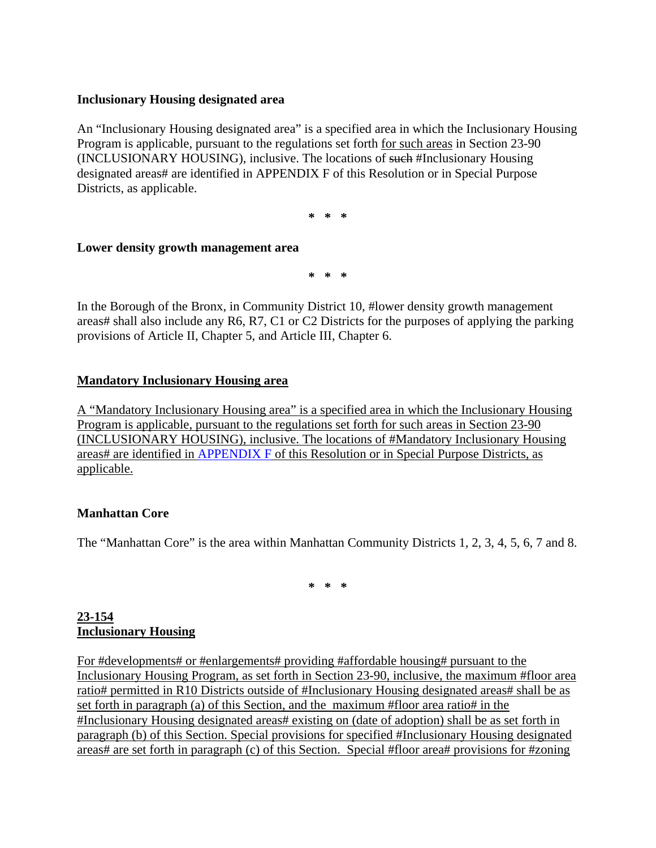### **Inclusionary Housing designated area**

An "Inclusionary Housing designated area" is a specified area in which the Inclusionary Housing Program is applicable, pursuant to the regulations set forth for such areas in Section 23-90 (INCLUSIONARY HOUSING), inclusive. The locations of such #Inclusionary Housing designated areas# are identified in APPENDIX F of this Resolution or in Special Purpose Districts, as applicable.

**\* \* \*** 

### **Lower density growth management area**

**\* \* \*** 

In the Borough of the Bronx, in Community District 10, #lower density growth management areas# shall also include any R6, R7, C1 or C2 Districts for the purposes of applying the parking provisions of Article II, Chapter 5, and Article III, Chapter 6.

### **Mandatory Inclusionary Housing area**

A "Mandatory Inclusionary Housing area" is a specified area in which the Inclusionary Housing Program is applicable, pursuant to the regulations set forth for such areas in Section 23-90 (INCLUSIONARY HOUSING), inclusive. The locations of #Mandatory Inclusionary Housing areas# are identified in APPENDIX F of this Resolution or in Special Purpose Districts, as applicable.

#### **Manhattan Core**

The "Manhattan Core" is the area within Manhattan Community Districts 1, 2, 3, 4, 5, 6, 7 and 8.

**\* \* \***

## **23-154 Inclusionary Housing**

For #developments# or #enlargements# providing #affordable housing# pursuant to the Inclusionary Housing Program, as set forth in Section 23-90, inclusive, the maximum #floor area ratio# permitted in R10 Districts outside of #Inclusionary Housing designated areas# shall be as set forth in paragraph (a) of this Section, and the maximum #floor area ratio# in the #Inclusionary Housing designated areas# existing on (date of adoption) shall be as set forth in paragraph (b) of this Section. Special provisions for specified #Inclusionary Housing designated areas# are set forth in paragraph (c) of this Section. Special #floor area# provisions for #zoning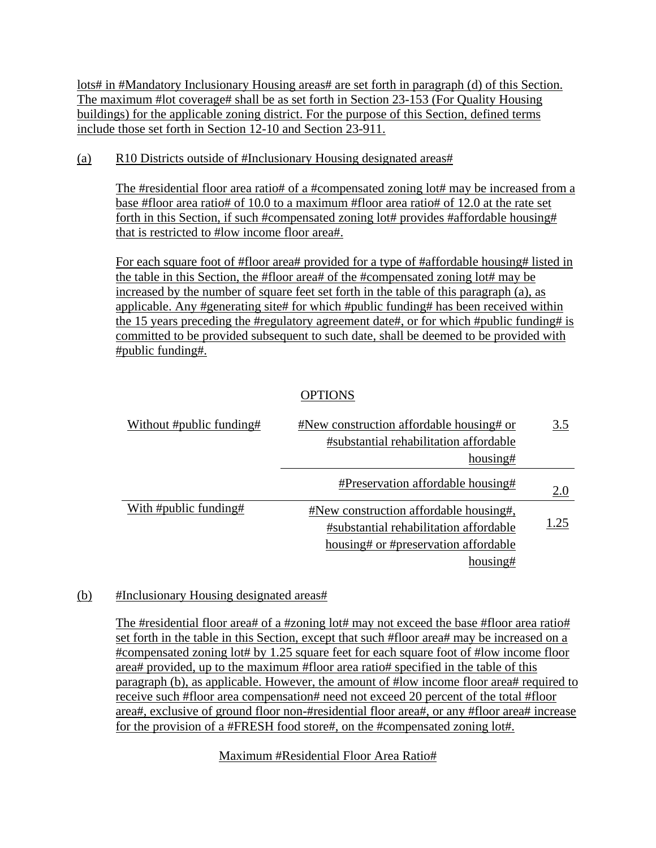lots# in #Mandatory Inclusionary Housing areas# are set forth in paragraph (d) of this Section. The maximum #lot coverage# shall be as set forth in Section 23-153 (For Quality Housing buildings) for the applicable zoning district. For the purpose of this Section, defined terms include those set forth in Section 12-10 and Section 23-911.

## (a) R10 Districts outside of #Inclusionary Housing designated areas#

The #residential floor area ratio# of a #compensated zoning lot# may be increased from a base #floor area ratio# of 10.0 to a maximum #floor area ratio# of 12.0 at the rate set forth in this Section, if such #compensated zoning lot# provides #affordable housing# that is restricted to #low income floor area#.

For each square foot of #floor area# provided for a type of #affordable housing# listed in the table in this Section, the #floor area# of the #compensated zoning lot# may be increased by the number of square feet set forth in the table of this paragraph (a), as applicable. Any #generating site# for which #public funding# has been received within the 15 years preceding the #regulatory agreement date#, or for which #public funding# is committed to be provided subsequent to such date, shall be deemed to be provided with #public funding#.

## OPTIONS

| Without #public funding# | #New construction affordable housing# or      | 3.5  |
|--------------------------|-----------------------------------------------|------|
|                          | #substantial rehabilitation affordable        |      |
|                          | housing#                                      |      |
|                          | #Preservation affordable housing#             | 2.0  |
| With #public funding#    | <b>#New construction affordable housing#,</b> |      |
|                          | #substantial rehabilitation affordable        | 1.25 |
|                          | housing# or #preservation affordable          |      |
|                          | housing#                                      |      |

## (b) #Inclusionary Housing designated areas#

The #residential floor area# of a #zoning lot# may not exceed the base #floor area ratio# set forth in the table in this Section, except that such #floor area# may be increased on a #compensated zoning lot# by 1.25 square feet for each square foot of #low income floor area# provided, up to the maximum #floor area ratio# specified in the table of this paragraph (b), as applicable. However, the amount of #low income floor area# required to receive such #floor area compensation# need not exceed 20 percent of the total #floor area#, exclusive of ground floor non-#residential floor area#, or any #floor area# increase for the provision of a #FRESH food store#, on the #compensated zoning lot#.

## Maximum #Residential Floor Area Ratio#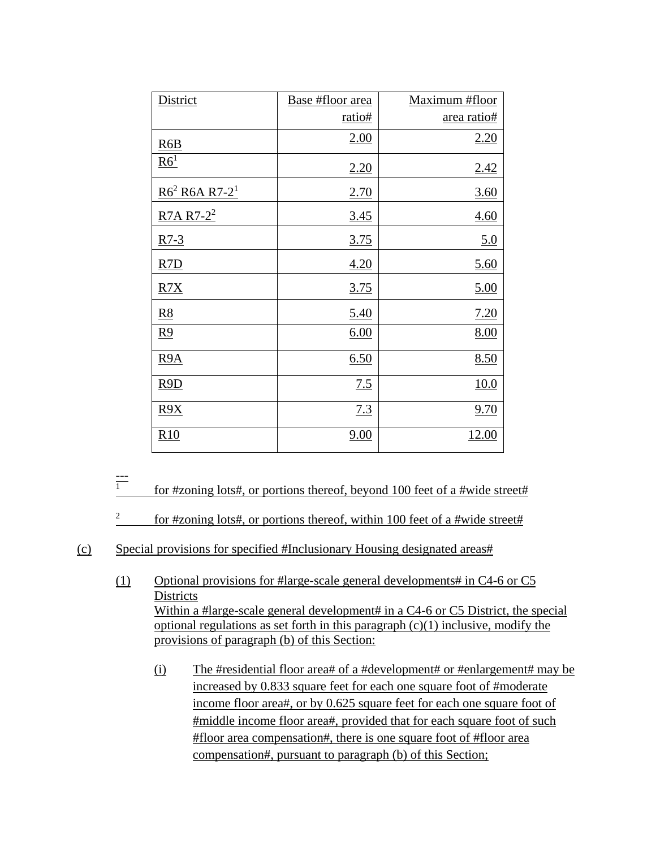| District                     | Base #floor area | Maximum #floor |
|------------------------------|------------------|----------------|
|                              | ratio#           | area ratio#    |
| R6B                          | 2.00             | 2.20           |
| R6 <sup>1</sup>              | 2.20             | 2.42           |
| $R6^2$ R6A R7-2 <sup>1</sup> | 2.70             | 3.60           |
| $R7A R7-2^2$                 | 3.45             | 4.60           |
| $R7-3$                       | <u>3.75</u>      | 5.0            |
| R7D                          | 4.20             | 5.60           |
| R7X                          | 3.75             | 5.00           |
| R8                           | 5.40             | 7.20           |
| <u>R9</u>                    | 6.00             | <u>8.00</u>    |
| <u>R9A</u>                   | 6.50             | 8.50           |
| R9D                          | 7.5              | 10.0           |
| $\underline{R9X}$            | 7.3              | 9.70           |
| R10                          | 9.00             | <u>12.00</u>   |

<sup>---</sup>  1 for #zoning lots#, or portions thereof, beyond 100 feet of a #wide street#

- (1) Optional provisions for #large-scale general developments# in C4-6 or C5 **Districts** Within a #large-scale general development# in a C4-6 or C5 District, the special optional regulations as set forth in this paragraph  $(c)(1)$  inclusive, modify the provisions of paragraph (b) of this Section:
	- (i) The #residential floor area# of a #development# or #enlargement# may be increased by 0.833 square feet for each one square foot of #moderate income floor area#, or by 0.625 square feet for each one square foot of #middle income floor area#, provided that for each square foot of such #floor area compensation#, there is one square foot of #floor area compensation#, pursuant to paragraph (b) of this Section;

<sup>2</sup> for #zoning lots#, or portions thereof, within 100 feet of a #wide street#

<sup>(</sup>c) Special provisions for specified #Inclusionary Housing designated areas#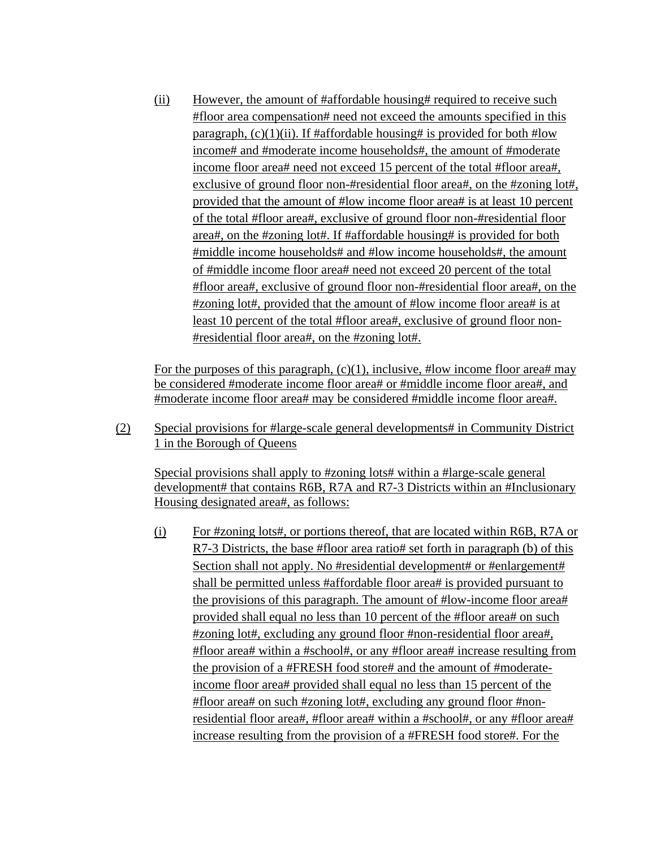(ii) However, the amount of #affordable housing# required to receive such #floor area compensation# need not exceed the amounts specified in this paragraph,  $(c)(1)(ii)$ . If #affordable housing# is provided for both #low income# and #moderate income households#, the amount of #moderate income floor area# need not exceed 15 percent of the total #floor area#, exclusive of ground floor non-#residential floor area#, on the #zoning lot#, provided that the amount of #low income floor area# is at least 10 percent of the total #floor area#, exclusive of ground floor non-#residential floor area#, on the #zoning lot#. If #affordable housing# is provided for both #middle income households# and #low income households#, the amount of #middle income floor area# need not exceed 20 percent of the total #floor area#, exclusive of ground floor non-#residential floor area#, on the #zoning lot#, provided that the amount of #low income floor area# is at least 10 percent of the total #floor area#, exclusive of ground floor non- #residential floor area#, on the #zoning lot#.

For the purposes of this paragraph,  $(c)(1)$ , inclusive, #low income floor area# may be considered #moderate income floor area# or #middle income floor area#, and #moderate income floor area# may be considered #middle income floor area#.

(2) Special provisions for #large-scale general developments# in Community District 1 in the Borough of Queens

 Special provisions shall apply to #zoning lots# within a #large-scale general development# that contains R6B, R7A and R7-3 Districts within an #Inclusionary Housing designated area#, as follows:

(i) For #zoning lots#, or portions thereof, that are located within R6B, R7A or R7-3 Districts, the base #floor area ratio# set forth in paragraph (b) of this Section shall not apply. No #residential development# or #enlargement# shall be permitted unless #affordable floor area# is provided pursuant to the provisions of this paragraph. The amount of #low-income floor area# provided shall equal no less than 10 percent of the #floor area# on such #zoning lot#, excluding any ground floor #non-residential floor area#, #floor area# within a #school#, or any #floor area# increase resulting from the provision of a #FRESH food store# and the amount of #moderateincome floor area# provided shall equal no less than 15 percent of the #floor area# on such #zoning lot#, excluding any ground floor #nonresidential floor area#, #floor area# within a #school#, or any #floor area# increase resulting from the provision of a #FRESH food store#. For the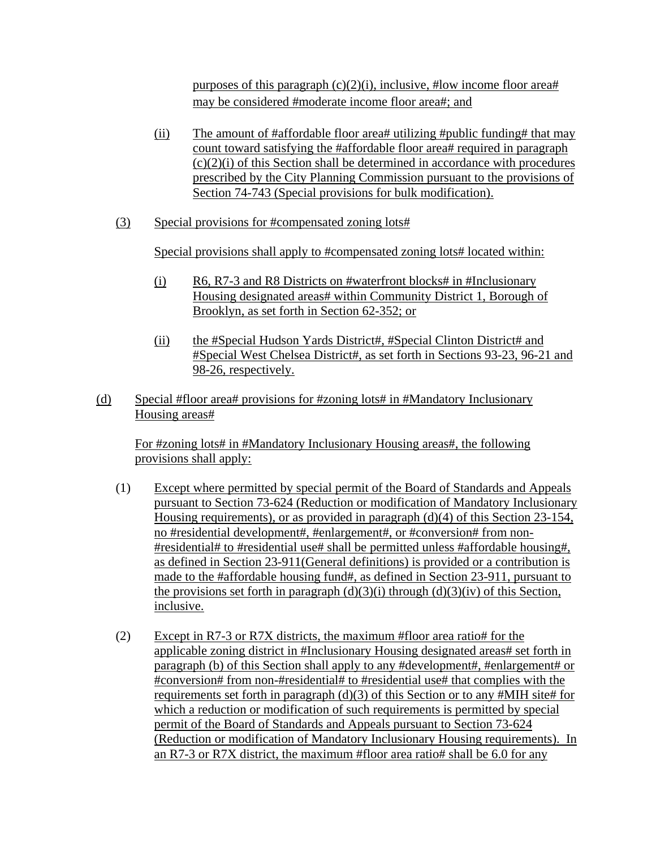purposes of this paragraph  $(c)(2)(i)$ , inclusive, #low income floor area# may be considered #moderate income floor area#; and

- (ii) The amount of #affordable floor area# utilizing #public funding# that may count toward satisfying the #affordable floor area# required in paragraph  $(c)(2)(i)$  of this Section shall be determined in accordance with procedures prescribed by the City Planning Commission pursuant to the provisions of Section 74-743 (Special provisions for bulk modification).
- (3) Special provisions for #compensated zoning lots#

Special provisions shall apply to #compensated zoning lots# located within:

- (i) R6, R7-3 and R8 Districts on #waterfront blocks# in #Inclusionary Housing designated areas# within Community District 1, Borough of Brooklyn, as set forth in Section 62-352; or
- (ii) the #Special Hudson Yards District#, #Special Clinton District# and #Special West Chelsea District#, as set forth in Sections 93-23, 96-21 and 98-26, respectively.
- (d) Special #floor area# provisions for #zoning lots# in #Mandatory Inclusionary Housing areas#

For #zoning lots# in #Mandatory Inclusionary Housing areas#, the following provisions shall apply:

- (1) Except where permitted by special permit of the Board of Standards and Appeals pursuant to Section 73-624 (Reduction or modification of Mandatory Inclusionary Housing requirements), or as provided in paragraph (d)(4) of this Section 23-154, no #residential development#, #enlargement#, or #conversion# from non- #residential# to #residential use# shall be permitted unless #affordable housing#, as defined in Section 23-911(General definitions) is provided or a contribution is made to the #affordable housing fund#, as defined in Section 23-911, pursuant to the provisions set forth in paragraph  $(d)(3)(i)$  through  $(d)(3)(iv)$  of this Section, inclusive.
- (2) Except in R7-3 or R7X districts, the maximum #floor area ratio# for the applicable zoning district in #Inclusionary Housing designated areas# set forth in paragraph (b) of this Section shall apply to any #development#, #enlargement# or #conversion# from non-#residential# to #residential use# that complies with the requirements set forth in paragraph  $(d)(3)$  of this Section or to any #MIH site# for which a reduction or modification of such requirements is permitted by special permit of the Board of Standards and Appeals pursuant to Section 73-624 (Reduction or modification of Mandatory Inclusionary Housing requirements). In an R7-3 or R7X district, the maximum #floor area ratio# shall be 6.0 for any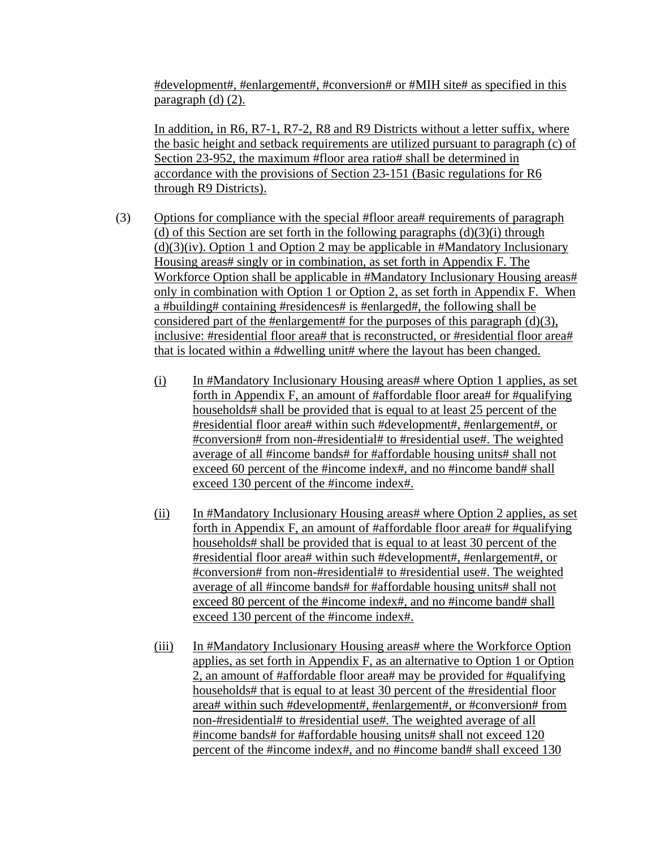#development#, #enlargement#, #conversion# or #MIH site# as specified in this paragraph (d) (2).

 In addition, in R6, R7-1, R7-2, R8 and R9 Districts without a letter suffix, where the basic height and setback requirements are utilized pursuant to paragraph (c) of Section 23-952, the maximum #floor area ratio# shall be determined in accordance with the provisions of Section 23-151 (Basic regulations for R6 through R9 Districts).

- (3) Options for compliance with the special #floor area# requirements of paragraph (d) of this Section are set forth in the following paragraphs  $(d)(3)(i)$  through  $(d)(3)(iv)$ . Option 1 and Option 2 may be applicable in #Mandatory Inclusionary Housing areas# singly or in combination, as set forth in Appendix F. The Workforce Option shall be applicable in #Mandatory Inclusionary Housing areas# only in combination with Option 1 or Option 2, as set forth in Appendix F. When a #building# containing #residences# is #enlarged#, the following shall be considered part of the #enlargement# for the purposes of this paragraph  $(d)(3)$ , inclusive: #residential floor area# that is reconstructed, or #residential floor area# that is located within a #dwelling unit# where the layout has been changed.
	- (i) In #Mandatory Inclusionary Housing areas# where Option 1 applies, as set forth in Appendix F, an amount of #affordable floor area# for #qualifying households# shall be provided that is equal to at least 25 percent of the #residential floor area# within such #development#, #enlargement#, or #conversion# from non-#residential# to #residential use#. The weighted average of all #income bands# for #affordable housing units# shall not exceed 60 percent of the #income index#, and no #income band# shall exceed 130 percent of the #income index#.
	- (ii) In #Mandatory Inclusionary Housing areas# where Option 2 applies, as set forth in Appendix F, an amount of #affordable floor area# for #qualifying households# shall be provided that is equal to at least 30 percent of the #residential floor area# within such #development#, #enlargement#, or #conversion# from non-#residential# to #residential use#. The weighted average of all #income bands# for #affordable housing units# shall not exceed 80 percent of the #income index#, and no #income band# shall exceed 130 percent of the #income index#.
	- (iii) In #Mandatory Inclusionary Housing areas# where the Workforce Option applies, as set forth in Appendix F, as an alternative to Option 1 or Option 2, an amount of #affordable floor area# may be provided for #qualifying households# that is equal to at least 30 percent of the #residential floor area# within such #development#, #enlargement#, or #conversion# from non-#residential# to #residential use#. The weighted average of all #income bands# for #affordable housing units# shall not exceed 120 percent of the #income index#, and no #income band# shall exceed 130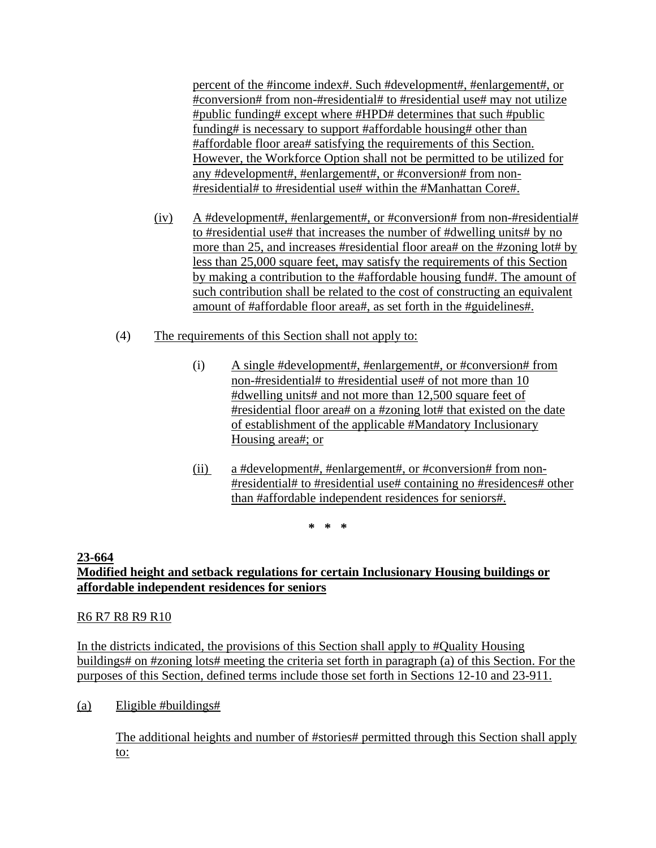percent of the #income index#. Such #development#, #enlargement#, or #conversion# from non-#residential# to #residential use# may not utilize #public funding# except where #HPD# determines that such #public funding# is necessary to support #affordable housing# other than #affordable floor area# satisfying the requirements of this Section. However, the Workforce Option shall not be permitted to be utilized for any #development#, #enlargement#, or #conversion# from non- #residential# to #residential use# within the #Manhattan Core#.

- (iv) A #development#, #enlargement#, or #conversion# from non-#residential# to #residential use# that increases the number of #dwelling units# by no more than 25, and increases #residential floor area# on the #zoning lot# by less than 25,000 square feet, may satisfy the requirements of this Section by making a contribution to the #affordable housing fund#. The amount of such contribution shall be related to the cost of constructing an equivalent amount of #affordable floor area#, as set forth in the #guidelines#.
- (4) The requirements of this Section shall not apply to:
	- (i) A single #development#, #enlargement#, or #conversion# from non-#residential# to #residential use# of not more than 10 #dwelling units# and not more than 12,500 square feet of #residential floor area# on a #zoning lot# that existed on the date of establishment of the applicable #Mandatory Inclusionary Housing area#; or
	- (ii) a #development#, #enlargement#, or #conversion# from non- #residential# to #residential use# containing no #residences# other than #affordable independent residences for seniors#.

**\* \* \*** 

#### **23-664 Modified height and setback regulations for certain Inclusionary Housing buildings or affordable independent residences for seniors**

## R6 R7 R8 R9 R10

In the districts indicated, the provisions of this Section shall apply to #Quality Housing buildings# on #zoning lots# meeting the criteria set forth in paragraph (a) of this Section. For the purposes of this Section, defined terms include those set forth in Sections 12-10 and 23-911.

(a) Eligible #buildings#

The additional heights and number of #stories# permitted through this Section shall apply to: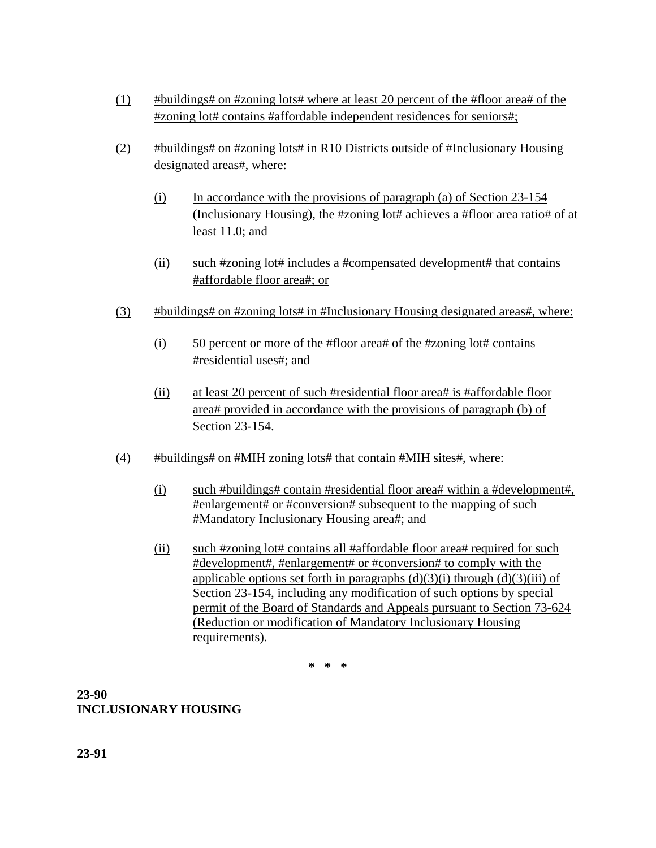- (1) #buildings# on #zoning lots# where at least 20 percent of the #floor area# of the #zoning lot# contains #affordable independent residences for seniors#;
- (2) #buildings# on #zoning lots# in R10 Districts outside of #Inclusionary Housing designated areas#, where:
	- $(i)$  In accordance with the provisions of paragraph (a) of Section 23-154 (Inclusionary Housing), the #zoning lot# achieves a #floor area ratio# of at least 11.0; and
	- (ii) such #zoning lot# includes a #compensated development# that contains #affordable floor area#; or
- (3) #buildings# on #zoning lots# in #Inclusionary Housing designated areas#, where:
	- (i) 50 percent or more of the #floor area# of the #zoning lot# contains #residential uses#; and
	- (ii) at least 20 percent of such #residential floor area# is #affordable floor area# provided in accordance with the provisions of paragraph (b) of Section 23-154.
- $(4)$  #buildings# on #MIH zoning lots# that contain #MIH sites#, where:
	- (i) such #buildings# contain #residential floor area# within a #development#, #enlargement# or #conversion# subsequent to the mapping of such #Mandatory Inclusionary Housing area#; and
	- (ii) such #zoning lot# contains all #affordable floor area# required for such #development#, #enlargement# or #conversion# to comply with the applicable options set forth in paragraphs  $(d)(3)(i)$  through  $(d)(3)(iii)$  of Section 23-154, including any modification of such options by special permit of the Board of Standards and Appeals pursuant to Section 73-624 (Reduction or modification of Mandatory Inclusionary Housing requirements).

**\* \* \*** 

# **23-90 INCLUSIONARY HOUSING**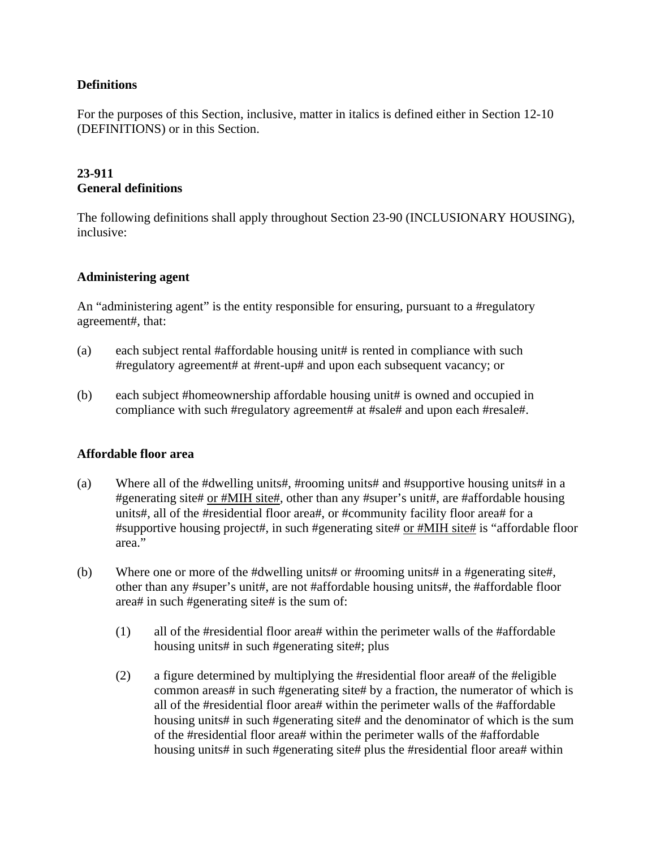## **Definitions**

For the purposes of this Section, inclusive, matter in italics is defined either in Section 12-10 (DEFINITIONS) or in this Section.

## **23-911 General definitions**

The following definitions shall apply throughout Section 23-90 (INCLUSIONARY HOUSING), inclusive:

#### **Administering agent**

An "administering agent" is the entity responsible for ensuring, pursuant to a #regulatory agreement#, that:

- (a) each subject rental #affordable housing unit# is rented in compliance with such #regulatory agreement# at #rent-up# and upon each subsequent vacancy; or
- (b) each subject #homeownership affordable housing unit# is owned and occupied in compliance with such #regulatory agreement# at #sale# and upon each #resale#.

#### **Affordable floor area**

- (a) Where all of the #dwelling units#, #rooming units# and #supportive housing units# in a #generating site# or #MIH site#, other than any #super's unit#, are #affordable housing units#, all of the #residential floor area#, or #community facility floor area# for a #supportive housing project#, in such #generating site# or #MIH site# is "affordable floor area."
- (b) Where one or more of the #dwelling units# or #rooming units# in a #generating site#, other than any #super's unit#, are not #affordable housing units#, the #affordable floor area# in such #generating site# is the sum of:
	- (1) all of the #residential floor area# within the perimeter walls of the #affordable housing units# in such #generating site#; plus
	- (2) a figure determined by multiplying the #residential floor area# of the #eligible common areas# in such #generating site# by a fraction, the numerator of which is all of the #residential floor area# within the perimeter walls of the #affordable housing units# in such #generating site# and the denominator of which is the sum of the #residential floor area# within the perimeter walls of the #affordable housing units# in such #generating site# plus the #residential floor area# within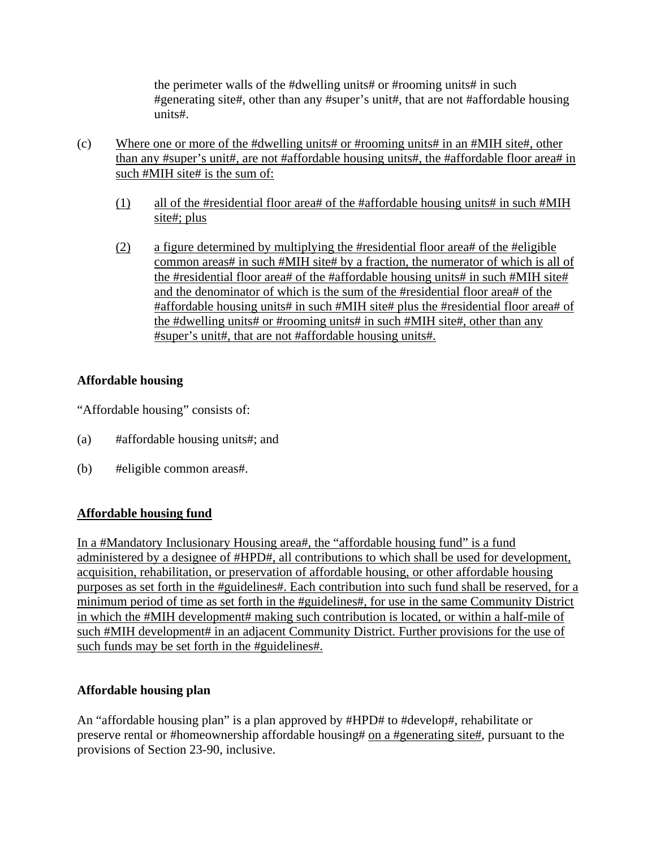the perimeter walls of the #dwelling units# or #rooming units# in such #generating site#, other than any #super's unit#, that are not #affordable housing units#.

- (c) Where one or more of the #dwelling units# or #rooming units# in an #MIH site#, other than any #super's unit#, are not #affordable housing units#, the #affordable floor area# in such #MIH site# is the sum of:
	- (1) all of the #residential floor area# of the #affordable housing units# in such #MIH site#; plus
	- (2) a figure determined by multiplying the #residential floor area# of the #eligible common areas# in such #MIH site# by a fraction, the numerator of which is all of the #residential floor area# of the #affordable housing units# in such #MIH site# and the denominator of which is the sum of the #residential floor area# of the #affordable housing units# in such #MIH site# plus the #residential floor area# of the #dwelling units# or #rooming units# in such #MIH site#, other than any #super's unit#, that are not #affordable housing units#.

## **Affordable housing**

"Affordable housing" consists of:

- (a) #affordable housing units#; and
- (b) #eligible common areas#.

## **Affordable housing fund**

In a #Mandatory Inclusionary Housing area#, the "affordable housing fund" is a fund administered by a designee of #HPD#, all contributions to which shall be used for development, acquisition, rehabilitation, or preservation of affordable housing, or other affordable housing purposes as set forth in the #guidelines#. Each contribution into such fund shall be reserved, for a minimum period of time as set forth in the #guidelines#, for use in the same Community District in which the #MIH development# making such contribution is located, or within a half-mile of such #MIH development# in an adjacent Community District. Further provisions for the use of such funds may be set forth in the #guidelines#.

## **Affordable housing plan**

An "affordable housing plan" is a plan approved by #HPD# to #develop#, rehabilitate or preserve rental or #homeownership affordable housing# on a #generating site#, pursuant to the provisions of Section 23-90, inclusive.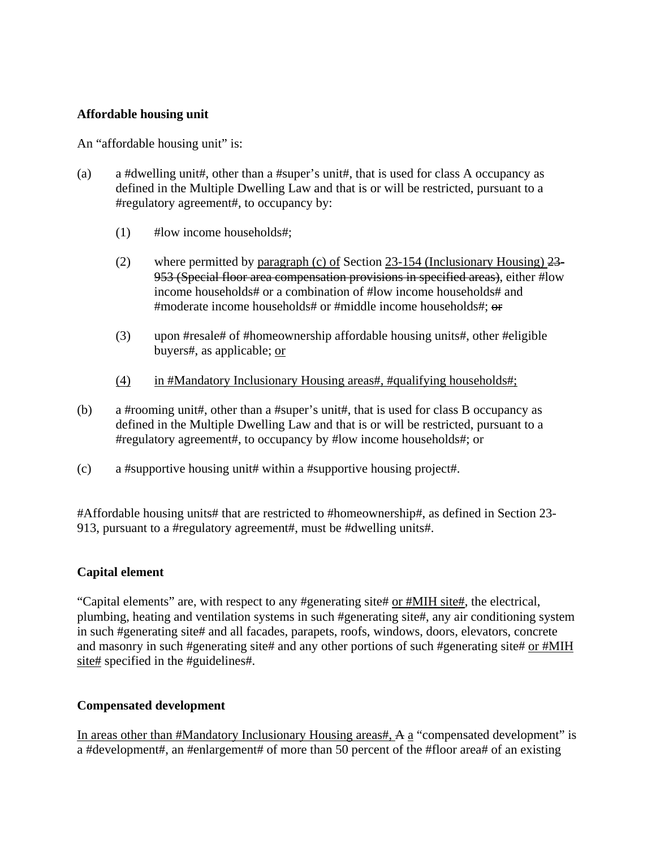### **Affordable housing unit**

An "affordable housing unit" is:

- (a) a #dwelling unit#, other than a #super's unit#, that is used for class A occupancy as defined in the Multiple Dwelling Law and that is or will be restricted, pursuant to a #regulatory agreement#, to occupancy by:
	- (1) #low income households#;
	- (2) where permitted by paragraph (c) of Section 23-154 (Inclusionary Housing) 23- 953 (Special floor area compensation provisions in specified areas), either #low income households# or a combination of #low income households# and #moderate income households# or #middle income households#; or
	- (3) upon #resale# of #homeownership affordable housing units#, other #eligible buyers#, as applicable; or
	- (4) in #Mandatory Inclusionary Housing areas#, #qualifying households#;
- (b) a #rooming unit#, other than a #super's unit#, that is used for class B occupancy as defined in the Multiple Dwelling Law and that is or will be restricted, pursuant to a #regulatory agreement#, to occupancy by #low income households#; or
- (c) a #supportive housing unit# within a #supportive housing project#.

#Affordable housing units# that are restricted to #homeownership#, as defined in Section 23- 913, pursuant to a #regulatory agreement#, must be #dwelling units#.

## **Capital element**

"Capital elements" are, with respect to any #generating site# or #MIH site#, the electrical, plumbing, heating and ventilation systems in such #generating site#, any air conditioning system in such #generating site# and all facades, parapets, roofs, windows, doors, elevators, concrete and masonry in such #generating site# and any other portions of such #generating site# or #MIH site# specified in the #guidelines#.

#### **Compensated development**

In areas other than #Mandatory Inclusionary Housing areas#, A a "compensated development" is a #development#, an #enlargement# of more than 50 percent of the #floor area# of an existing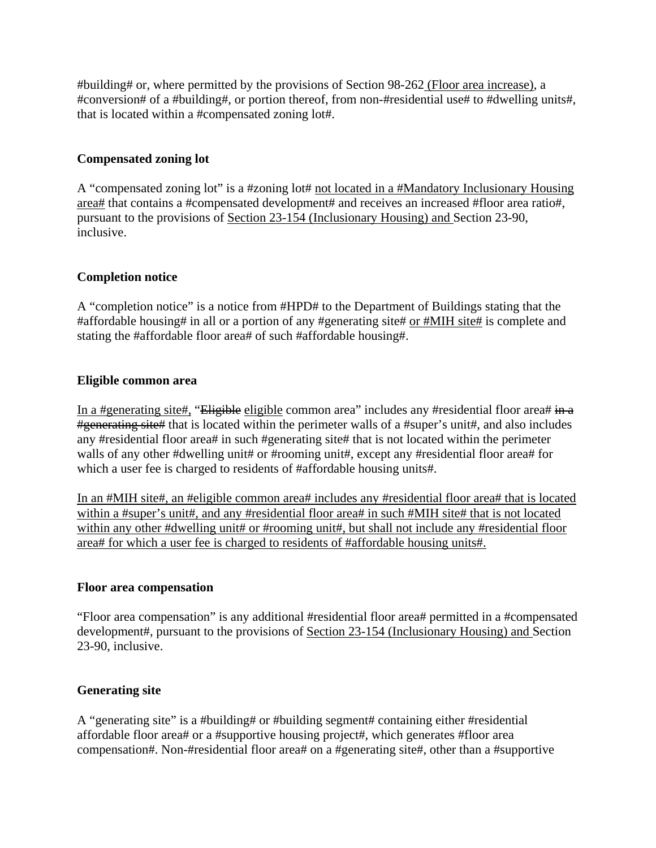#building# or, where permitted by the provisions of Section 98-262 (Floor area increase), a #conversion# of a #building#, or portion thereof, from non-#residential use# to #dwelling units#, that is located within a #compensated zoning lot#.

## **Compensated zoning lot**

A "compensated zoning lot" is a #zoning lot# not located in a #Mandatory Inclusionary Housing area# that contains a #compensated development# and receives an increased #floor area ratio#, pursuant to the provisions of Section 23-154 (Inclusionary Housing) and Section 23-90, inclusive.

### **Completion notice**

A "completion notice" is a notice from #HPD# to the Department of Buildings stating that the #affordable housing# in all or a portion of any #generating site# or #MIH site# is complete and stating the #affordable floor area# of such #affordable housing#.

#### **Eligible common area**

In a #generating site#, "Eligible eligible common area" includes any #residential floor area# in a #generating site# that is located within the perimeter walls of a #super's unit#, and also includes any #residential floor area# in such #generating site# that is not located within the perimeter walls of any other #dwelling unit# or #rooming unit#, except any #residential floor area# for which a user fee is charged to residents of #affordable housing units#.

In an #MIH site#, an #eligible common area# includes any #residential floor area# that is located within a #super's unit#, and any #residential floor area# in such #MIH site# that is not located within any other #dwelling unit# or #rooming unit#, but shall not include any #residential floor area# for which a user fee is charged to residents of #affordable housing units#.

#### **Floor area compensation**

"Floor area compensation" is any additional #residential floor area# permitted in a #compensated development#, pursuant to the provisions of Section 23-154 (Inclusionary Housing) and Section 23-90, inclusive.

#### **Generating site**

A "generating site" is a #building# or #building segment# containing either #residential affordable floor area# or a #supportive housing project#, which generates #floor area compensation#. Non-#residential floor area# on a #generating site#, other than a #supportive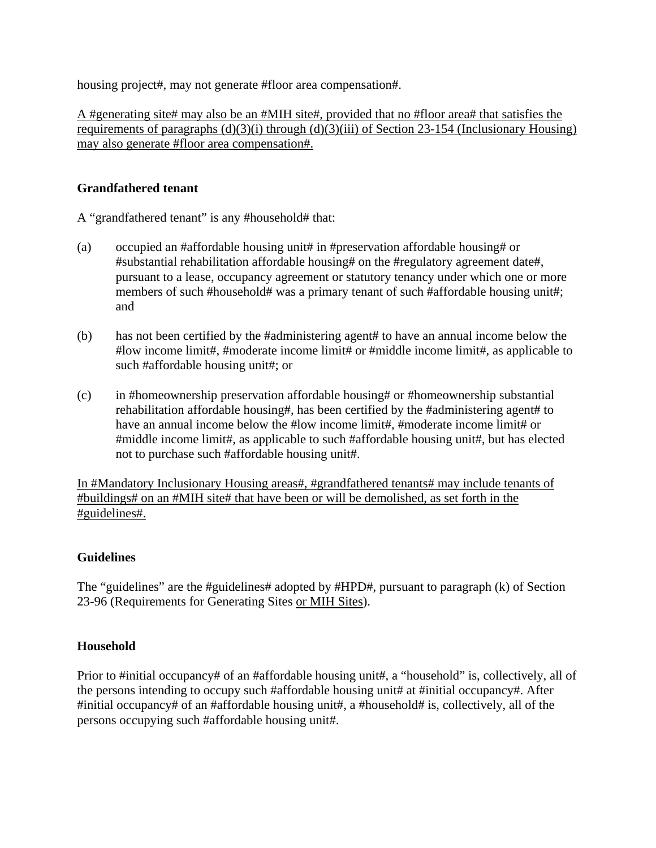housing project#, may not generate #floor area compensation#.

A #generating site# may also be an #MIH site#, provided that no #floor area# that satisfies the requirements of paragraphs  $(d)(3)(i)$  through  $(d)(3)(iii)$  of Section 23-154 (Inclusionary Housing) may also generate #floor area compensation#.

## **Grandfathered tenant**

A "grandfathered tenant" is any #household# that:

- (a) occupied an #affordable housing unit# in #preservation affordable housing# or #substantial rehabilitation affordable housing# on the #regulatory agreement date#, pursuant to a lease, occupancy agreement or statutory tenancy under which one or more members of such #household# was a primary tenant of such #affordable housing unit#; and
- (b) has not been certified by the #administering agent# to have an annual income below the #low income limit#, #moderate income limit# or #middle income limit#, as applicable to such #affordable housing unit#; or
- (c) in #homeownership preservation affordable housing# or #homeownership substantial rehabilitation affordable housing#, has been certified by the #administering agent# to have an annual income below the #low income limit#, #moderate income limit# or #middle income limit#, as applicable to such #affordable housing unit#, but has elected not to purchase such #affordable housing unit#.

In #Mandatory Inclusionary Housing areas#, #grandfathered tenants# may include tenants of #buildings# on an #MIH site# that have been or will be demolished, as set forth in the #guidelines#.

#### **Guidelines**

The "guidelines" are the #guidelines# adopted by #HPD#, pursuant to paragraph (k) of Section 23-96 (Requirements for Generating Sites or MIH Sites).

#### **Household**

Prior to #initial occupancy# of an #affordable housing unit#, a "household" is, collectively, all of the persons intending to occupy such #affordable housing unit# at #initial occupancy#. After #initial occupancy# of an #affordable housing unit#, a #household# is, collectively, all of the persons occupying such #affordable housing unit#.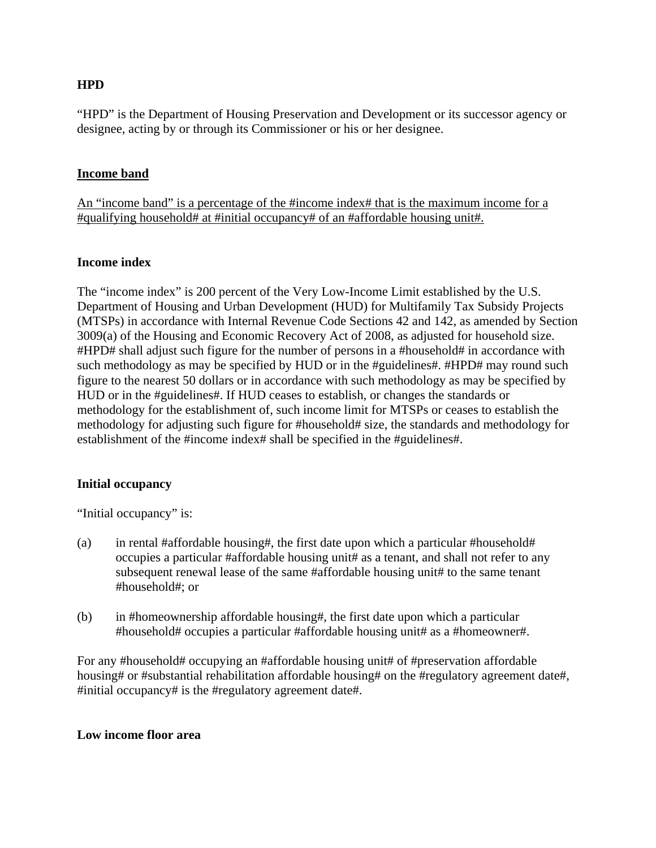## **HPD**

"HPD" is the Department of Housing Preservation and Development or its successor agency or designee, acting by or through its Commissioner or his or her designee.

#### **Income band**

An "income band" is a percentage of the #income index# that is the maximum income for a #qualifying household# at #initial occupancy# of an #affordable housing unit#.

#### **Income index**

The "income index" is 200 percent of the Very Low-Income Limit established by the U.S. Department of Housing and Urban Development (HUD) for Multifamily Tax Subsidy Projects (MTSPs) in accordance with Internal Revenue Code Sections 42 and 142, as amended by Section 3009(a) of the Housing and Economic Recovery Act of 2008, as adjusted for household size. #HPD# shall adjust such figure for the number of persons in a #household# in accordance with such methodology as may be specified by HUD or in the #guidelines#. #HPD# may round such figure to the nearest 50 dollars or in accordance with such methodology as may be specified by HUD or in the #guidelines#. If HUD ceases to establish, or changes the standards or methodology for the establishment of, such income limit for MTSPs or ceases to establish the methodology for adjusting such figure for #household# size, the standards and methodology for establishment of the #income index# shall be specified in the #guidelines#.

#### **Initial occupancy**

"Initial occupancy" is:

- (a) in rental #affordable housing#, the first date upon which a particular #household# occupies a particular #affordable housing unit# as a tenant, and shall not refer to any subsequent renewal lease of the same #affordable housing unit# to the same tenant #household#; or
- (b) in #homeownership affordable housing#, the first date upon which a particular #household# occupies a particular #affordable housing unit# as a #homeowner#.

For any #household# occupying an #affordable housing unit# of #preservation affordable housing# or #substantial rehabilitation affordable housing# on the #regulatory agreement date#, #initial occupancy# is the #regulatory agreement date#.

#### **Low income floor area**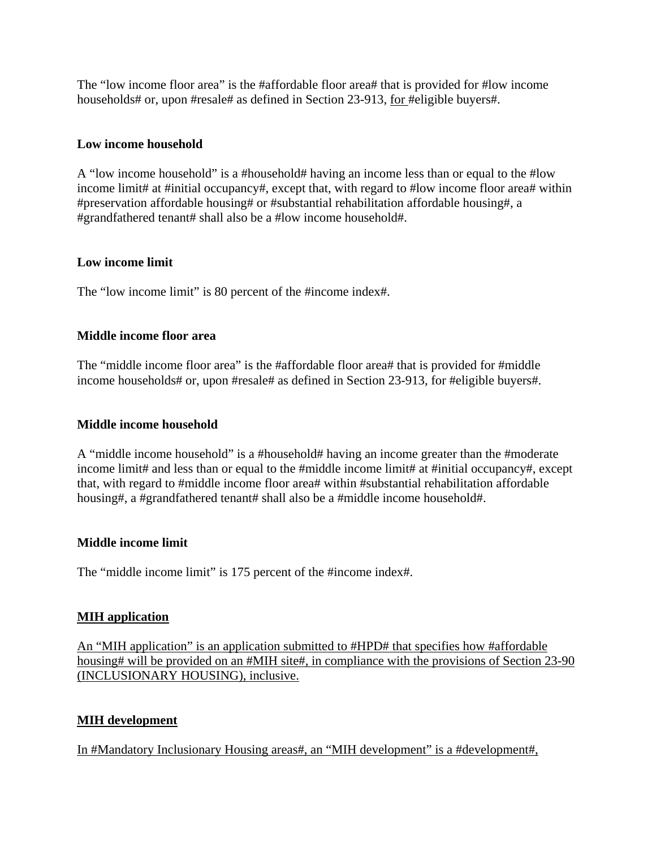The "low income floor area" is the #affordable floor area# that is provided for #low income households# or, upon #resale# as defined in Section 23-913, for #eligible buyers#.

### **Low income household**

A "low income household" is a #household# having an income less than or equal to the #low income limit# at #initial occupancy#, except that, with regard to #low income floor area# within #preservation affordable housing# or #substantial rehabilitation affordable housing#, a #grandfathered tenant# shall also be a #low income household#.

### **Low income limit**

The "low income limit" is 80 percent of the #income index#.

### **Middle income floor area**

The "middle income floor area" is the #affordable floor area# that is provided for #middle income households# or, upon #resale# as defined in Section 23-913, for #eligible buyers#.

#### **Middle income household**

A "middle income household" is a #household# having an income greater than the #moderate income limit# and less than or equal to the #middle income limit# at #initial occupancy#, except that, with regard to #middle income floor area# within #substantial rehabilitation affordable housing#, a #grandfathered tenant# shall also be a #middle income household#.

#### **Middle income limit**

The "middle income limit" is 175 percent of the #income index#.

#### **MIH application**

An "MIH application" is an application submitted to #HPD# that specifies how #affordable housing# will be provided on an #MIH site#, in compliance with the provisions of Section 23-90 (INCLUSIONARY HOUSING), inclusive.

## **MIH development**

In #Mandatory Inclusionary Housing areas#, an "MIH development" is a #development#,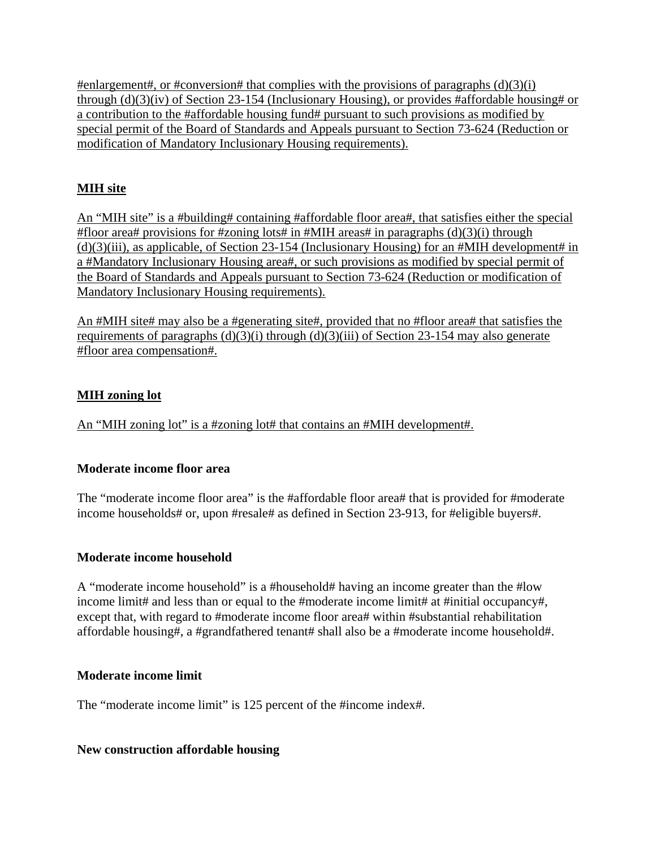#enlargement#, or #conversion# that complies with the provisions of paragraphs  $(d)(3)(i)$ through (d)(3)(iv) of Section 23-154 (Inclusionary Housing), or provides #affordable housing# or a contribution to the #affordable housing fund# pursuant to such provisions as modified by special permit of the Board of Standards and Appeals pursuant to Section 73-624 (Reduction or modification of Mandatory Inclusionary Housing requirements).

# **MIH site**

An "MIH site" is a #building# containing #affordable floor area#, that satisfies either the special #floor area# provisions for #zoning lots# in #MIH areas# in paragraphs  $(d)(3)(i)$  through (d)(3)(iii), as applicable, of Section 23-154 (Inclusionary Housing) for an #MIH development# in a #Mandatory Inclusionary Housing area#, or such provisions as modified by special permit of the Board of Standards and Appeals pursuant to Section 73-624 (Reduction or modification of Mandatory Inclusionary Housing requirements).

An #MIH site# may also be a #generating site#, provided that no #floor area# that satisfies the requirements of paragraphs  $(d)(3)(i)$  through  $(d)(3)(iii)$  of Section 23-154 may also generate #floor area compensation#.

# **MIH zoning lot**

An "MIH zoning lot" is a #zoning lot# that contains an #MIH development#.

## **Moderate income floor area**

The "moderate income floor area" is the #affordable floor area# that is provided for #moderate income households# or, upon #resale# as defined in Section 23-913, for #eligible buyers#.

## **Moderate income household**

A "moderate income household" is a #household# having an income greater than the #low income limit# and less than or equal to the #moderate income limit# at #initial occupancy#, except that, with regard to #moderate income floor area# within #substantial rehabilitation affordable housing#, a #grandfathered tenant# shall also be a #moderate income household#.

## **Moderate income limit**

The "moderate income limit" is 125 percent of the #income index#.

## **New construction affordable housing**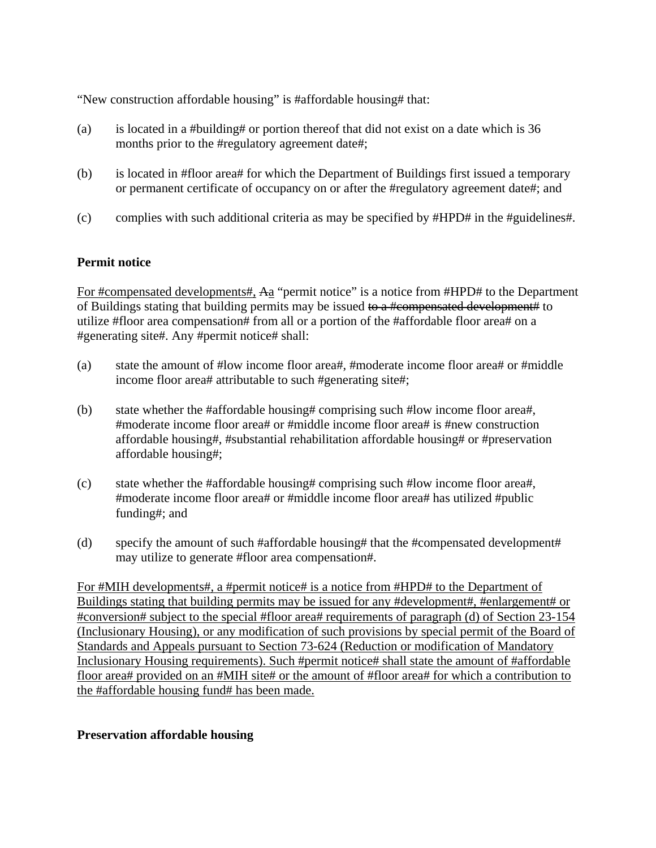"New construction affordable housing" is #affordable housing# that:

- (a) is located in a #building# or portion thereof that did not exist on a date which is 36 months prior to the #regulatory agreement date#;
- (b) is located in #floor area# for which the Department of Buildings first issued a temporary or permanent certificate of occupancy on or after the #regulatory agreement date#; and
- (c) complies with such additional criteria as may be specified by #HPD# in the #guidelines#.

### **Permit notice**

For #compensated developments#, Aa "permit notice" is a notice from #HPD# to the Department of Buildings stating that building permits may be issued to a #compensated development# to utilize #floor area compensation# from all or a portion of the #affordable floor area# on a #generating site#. Any #permit notice# shall:

- (a) state the amount of #low income floor area#, #moderate income floor area# or #middle income floor area# attributable to such #generating site#;
- (b) state whether the #affordable housing# comprising such #low income floor area#, #moderate income floor area# or #middle income floor area# is #new construction affordable housing#, #substantial rehabilitation affordable housing# or #preservation affordable housing#;
- (c) state whether the #affordable housing# comprising such #low income floor area#, #moderate income floor area# or #middle income floor area# has utilized #public funding#; and
- (d) specify the amount of such #affordable housing# that the #compensated development# may utilize to generate #floor area compensation#.

For #MIH developments#, a #permit notice# is a notice from #HPD# to the Department of Buildings stating that building permits may be issued for any #development#, #enlargement# or #conversion# subject to the special #floor area# requirements of paragraph (d) of Section 23-154 (Inclusionary Housing), or any modification of such provisions by special permit of the Board of Standards and Appeals pursuant to Section 73-624 (Reduction or modification of Mandatory Inclusionary Housing requirements). Such #permit notice# shall state the amount of #affordable floor area# provided on an #MIH site# or the amount of #floor area# for which a contribution to the #affordable housing fund# has been made.

#### **Preservation affordable housing**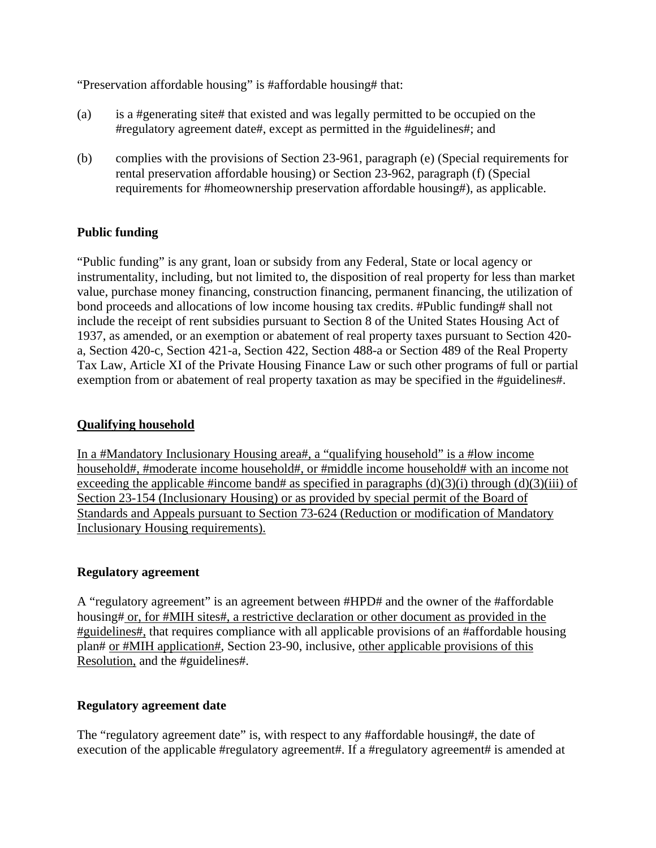"Preservation affordable housing" is #affordable housing# that:

- (a) is a #generating site# that existed and was legally permitted to be occupied on the #regulatory agreement date#, except as permitted in the #guidelines#; and
- (b) complies with the provisions of Section 23-961, paragraph (e) (Special requirements for rental preservation affordable housing) or Section 23-962, paragraph (f) (Special requirements for #homeownership preservation affordable housing#), as applicable.

### **Public funding**

"Public funding" is any grant, loan or subsidy from any Federal, State or local agency or instrumentality, including, but not limited to, the disposition of real property for less than market value, purchase money financing, construction financing, permanent financing, the utilization of bond proceeds and allocations of low income housing tax credits. #Public funding# shall not include the receipt of rent subsidies pursuant to Section 8 of the United States Housing Act of 1937, as amended, or an exemption or abatement of real property taxes pursuant to Section 420 a, Section 420-c, Section 421-a, Section 422, Section 488-a or Section 489 of the Real Property Tax Law, Article XI of the Private Housing Finance Law or such other programs of full or partial exemption from or abatement of real property taxation as may be specified in the #guidelines#.

#### **Qualifying household**

In a #Mandatory Inclusionary Housing area#, a "qualifying household" is a #low income household#, #moderate income household#, or #middle income household# with an income not exceeding the applicable #income band# as specified in paragraphs  $(d)(3)(i)$  through  $(d)(3)(iii)$  of Section 23-154 (Inclusionary Housing) or as provided by special permit of the Board of Standards and Appeals pursuant to Section 73-624 (Reduction or modification of Mandatory Inclusionary Housing requirements).

#### **Regulatory agreement**

A "regulatory agreement" is an agreement between #HPD# and the owner of the #affordable housing# or, for #MIH sites#, a restrictive declaration or other document as provided in the #guidelines#, that requires compliance with all applicable provisions of an #affordable housing plan# or #MIH application#, Section 23-90, inclusive, other applicable provisions of this Resolution, and the #guidelines#.

#### **Regulatory agreement date**

The "regulatory agreement date" is, with respect to any #affordable housing#, the date of execution of the applicable #regulatory agreement#. If a #regulatory agreement# is amended at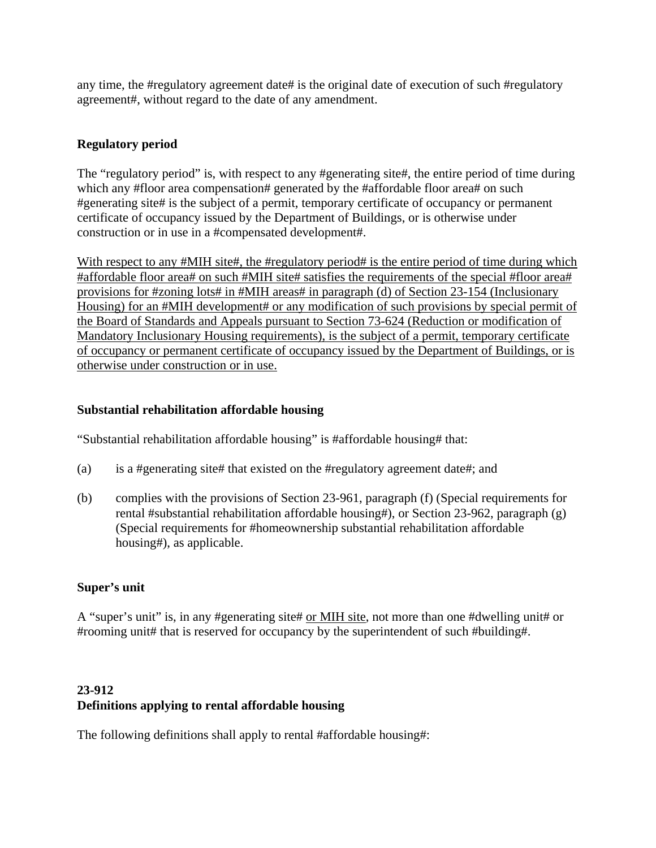any time, the #regulatory agreement date# is the original date of execution of such #regulatory agreement#, without regard to the date of any amendment.

## **Regulatory period**

The "regulatory period" is, with respect to any #generating site#, the entire period of time during which any #floor area compensation# generated by the #affordable floor area# on such #generating site# is the subject of a permit, temporary certificate of occupancy or permanent certificate of occupancy issued by the Department of Buildings, or is otherwise under construction or in use in a #compensated development#.

With respect to any #MIH site#, the #regulatory period# is the entire period of time during which #affordable floor area# on such #MIH site# satisfies the requirements of the special #floor area# provisions for #zoning lots# in #MIH areas# in paragraph (d) of Section 23-154 (Inclusionary Housing) for an #MIH development# or any modification of such provisions by special permit of the Board of Standards and Appeals pursuant to Section 73-624 (Reduction or modification of Mandatory Inclusionary Housing requirements), is the subject of a permit, temporary certificate of occupancy or permanent certificate of occupancy issued by the Department of Buildings, or is otherwise under construction or in use.

## **Substantial rehabilitation affordable housing**

"Substantial rehabilitation affordable housing" is #affordable housing# that:

- (a) is a #generating site# that existed on the #regulatory agreement date#; and
- (b) complies with the provisions of Section 23-961, paragraph (f) (Special requirements for rental #substantial rehabilitation affordable housing#), or Section 23-962, paragraph (g) (Special requirements for #homeownership substantial rehabilitation affordable housing#), as applicable.

## **Super's unit**

A "super's unit" is, in any #generating site# or MIH site, not more than one #dwelling unit# or #rooming unit# that is reserved for occupancy by the superintendent of such #building#.

# **23-912 Definitions applying to rental affordable housing**

The following definitions shall apply to rental #affordable housing#: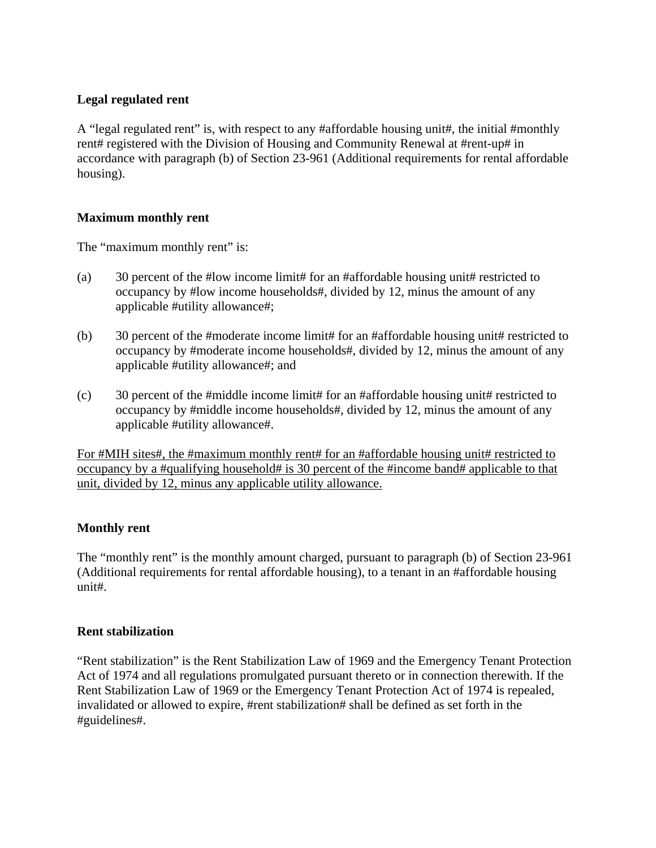## **Legal regulated rent**

A "legal regulated rent" is, with respect to any #affordable housing unit#, the initial #monthly rent# registered with the Division of Housing and Community Renewal at #rent-up# in accordance with paragraph (b) of Section 23-961 (Additional requirements for rental affordable housing).

#### **Maximum monthly rent**

The "maximum monthly rent" is:

- (a) 30 percent of the #low income limit# for an #affordable housing unit# restricted to occupancy by #low income households#, divided by 12, minus the amount of any applicable #utility allowance#;
- (b) 30 percent of the #moderate income limit# for an #affordable housing unit# restricted to occupancy by #moderate income households#, divided by 12, minus the amount of any applicable #utility allowance#; and
- (c) 30 percent of the #middle income limit# for an #affordable housing unit# restricted to occupancy by #middle income households#, divided by 12, minus the amount of any applicable #utility allowance#.

For #MIH sites#, the #maximum monthly rent# for an #affordable housing unit# restricted to occupancy by a #qualifying household# is 30 percent of the #income band# applicable to that unit, divided by 12, minus any applicable utility allowance.

## **Monthly rent**

The "monthly rent" is the monthly amount charged, pursuant to paragraph (b) of Section 23-961 (Additional requirements for rental affordable housing), to a tenant in an #affordable housing unit#.

#### **Rent stabilization**

"Rent stabilization" is the Rent Stabilization Law of 1969 and the Emergency Tenant Protection Act of 1974 and all regulations promulgated pursuant thereto or in connection therewith. If the Rent Stabilization Law of 1969 or the Emergency Tenant Protection Act of 1974 is repealed, invalidated or allowed to expire, #rent stabilization# shall be defined as set forth in the #guidelines#.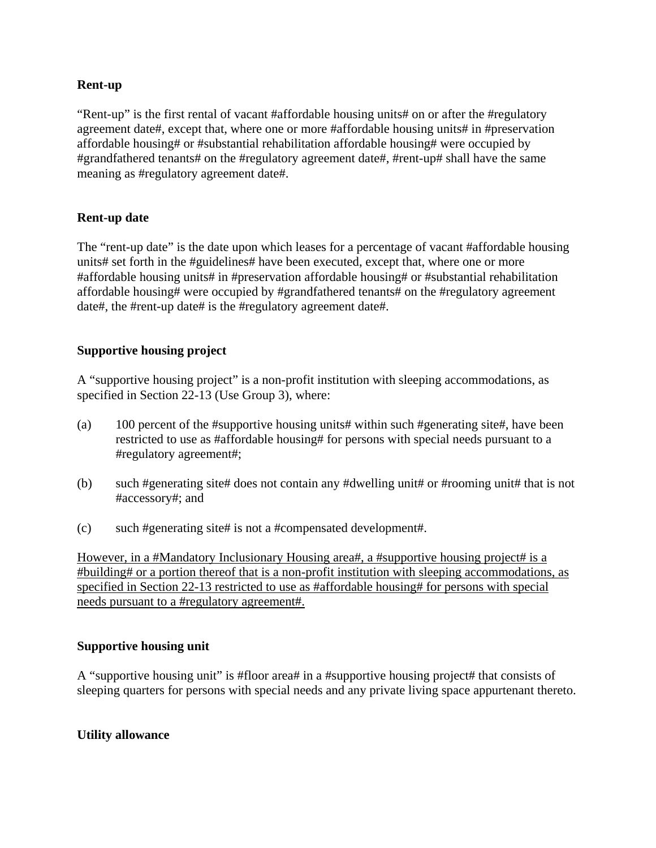#### **Rent-up**

"Rent-up" is the first rental of vacant #affordable housing units# on or after the #regulatory agreement date#, except that, where one or more #affordable housing units# in #preservation affordable housing# or #substantial rehabilitation affordable housing# were occupied by #grandfathered tenants# on the #regulatory agreement date#, #rent-up# shall have the same meaning as #regulatory agreement date#.

### **Rent-up date**

The "rent-up date" is the date upon which leases for a percentage of vacant #affordable housing units# set forth in the #guidelines# have been executed, except that, where one or more #affordable housing units# in #preservation affordable housing# or #substantial rehabilitation affordable housing# were occupied by #grandfathered tenants# on the #regulatory agreement date#, the #rent-up date# is the #regulatory agreement date#.

### **Supportive housing project**

A "supportive housing project" is a non-profit institution with sleeping accommodations, as specified in Section 22-13 (Use Group 3), where:

- (a) 100 percent of the #supportive housing units# within such #generating site#, have been restricted to use as #affordable housing# for persons with special needs pursuant to a #regulatory agreement#;
- (b) such #generating site# does not contain any #dwelling unit# or #rooming unit# that is not #accessory#; and
- (c) such #generating site# is not a #compensated development#.

However, in a #Mandatory Inclusionary Housing area#, a #supportive housing project# is a #building# or a portion thereof that is a non-profit institution with sleeping accommodations, as specified in Section 22-13 restricted to use as #affordable housing# for persons with special needs pursuant to a #regulatory agreement#.

#### **Supportive housing unit**

A "supportive housing unit" is #floor area# in a #supportive housing project# that consists of sleeping quarters for persons with special needs and any private living space appurtenant thereto.

#### **Utility allowance**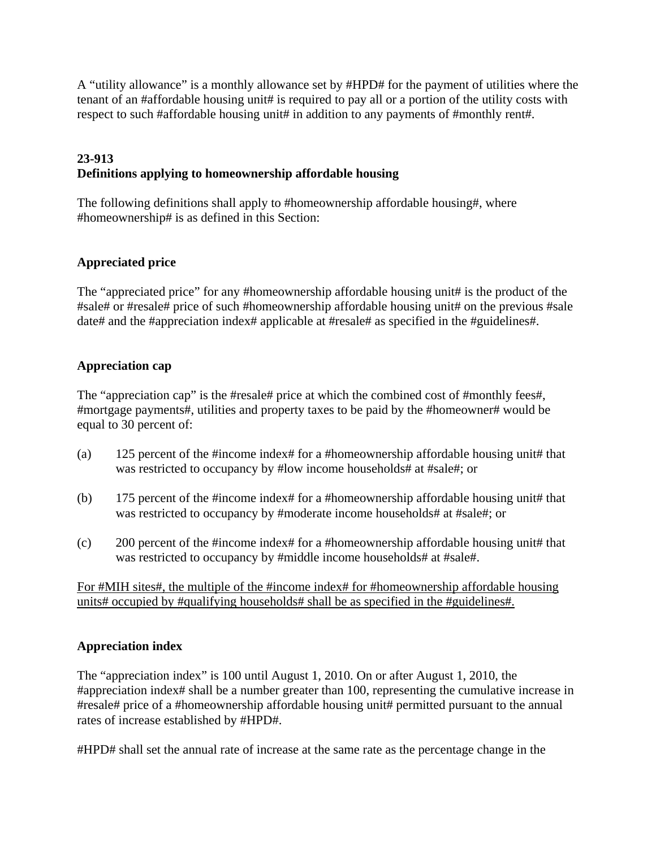A "utility allowance" is a monthly allowance set by #HPD# for the payment of utilities where the tenant of an #affordable housing unit# is required to pay all or a portion of the utility costs with respect to such #affordable housing unit# in addition to any payments of #monthly rent#.

# **23-913 Definitions applying to homeownership affordable housing**

The following definitions shall apply to #homeownership affordable housing#, where #homeownership# is as defined in this Section:

## **Appreciated price**

The "appreciated price" for any #homeownership affordable housing unit# is the product of the #sale# or #resale# price of such #homeownership affordable housing unit# on the previous #sale date# and the #appreciation index# applicable at #resale# as specified in the #guidelines#.

## **Appreciation cap**

The "appreciation cap" is the #resale# price at which the combined cost of #monthly fees#, #mortgage payments#, utilities and property taxes to be paid by the #homeowner# would be equal to 30 percent of:

- (a) 125 percent of the #income index# for a #homeownership affordable housing unit# that was restricted to occupancy by #low income households# at #sale#; or
- (b) 175 percent of the #income index# for a #homeownership affordable housing unit# that was restricted to occupancy by #moderate income households# at #sale#; or
- (c) 200 percent of the #income index# for a #homeownership affordable housing unit# that was restricted to occupancy by #middle income households# at #sale#.

For #MIH sites#, the multiple of the #income index# for #homeownership affordable housing units# occupied by #qualifying households# shall be as specified in the #guidelines#.

## **Appreciation index**

The "appreciation index" is 100 until August 1, 2010. On or after August 1, 2010, the #appreciation index# shall be a number greater than 100, representing the cumulative increase in #resale# price of a #homeownership affordable housing unit# permitted pursuant to the annual rates of increase established by #HPD#.

#HPD# shall set the annual rate of increase at the same rate as the percentage change in the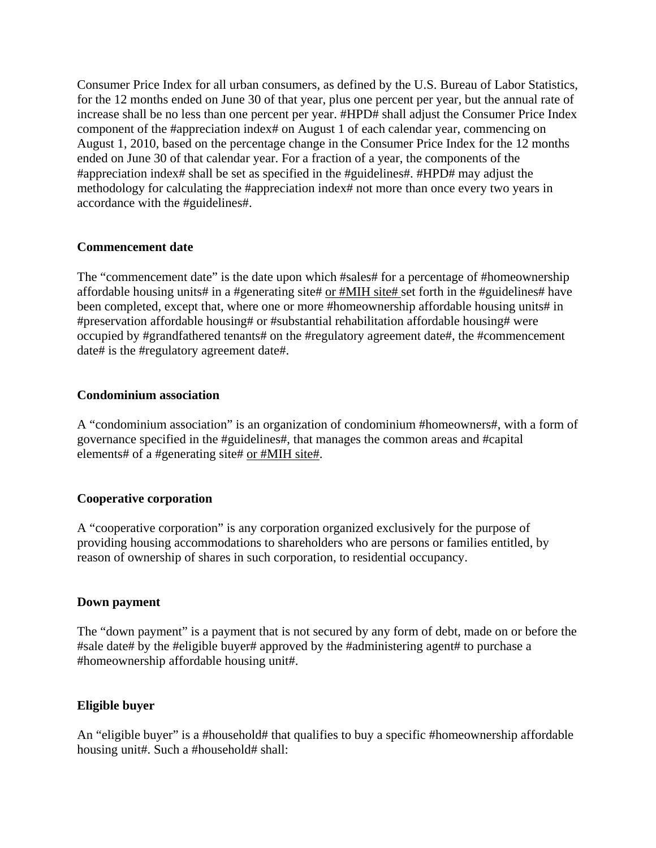Consumer Price Index for all urban consumers, as defined by the U.S. Bureau of Labor Statistics, for the 12 months ended on June 30 of that year, plus one percent per year, but the annual rate of increase shall be no less than one percent per year. #HPD# shall adjust the Consumer Price Index component of the #appreciation index# on August 1 of each calendar year, commencing on August 1, 2010, based on the percentage change in the Consumer Price Index for the 12 months ended on June 30 of that calendar year. For a fraction of a year, the components of the #appreciation index# shall be set as specified in the #guidelines#. #HPD# may adjust the methodology for calculating the #appreciation index# not more than once every two years in accordance with the #guidelines#.

### **Commencement date**

The "commencement date" is the date upon which #sales# for a percentage of #homeownership affordable housing units# in a #generating site# or #MIH site# set forth in the #guidelines# have been completed, except that, where one or more #homeownership affordable housing units# in #preservation affordable housing# or #substantial rehabilitation affordable housing# were occupied by #grandfathered tenants# on the #regulatory agreement date#, the #commencement date# is the #regulatory agreement date#.

#### **Condominium association**

A "condominium association" is an organization of condominium #homeowners#, with a form of governance specified in the #guidelines#, that manages the common areas and #capital elements# of a #generating site# or #MIH site#.

#### **Cooperative corporation**

A "cooperative corporation" is any corporation organized exclusively for the purpose of providing housing accommodations to shareholders who are persons or families entitled, by reason of ownership of shares in such corporation, to residential occupancy.

#### **Down payment**

The "down payment" is a payment that is not secured by any form of debt, made on or before the #sale date# by the #eligible buyer# approved by the #administering agent# to purchase a #homeownership affordable housing unit#.

#### **Eligible buyer**

An "eligible buyer" is a #household# that qualifies to buy a specific #homeownership affordable housing unit#. Such a #household# shall: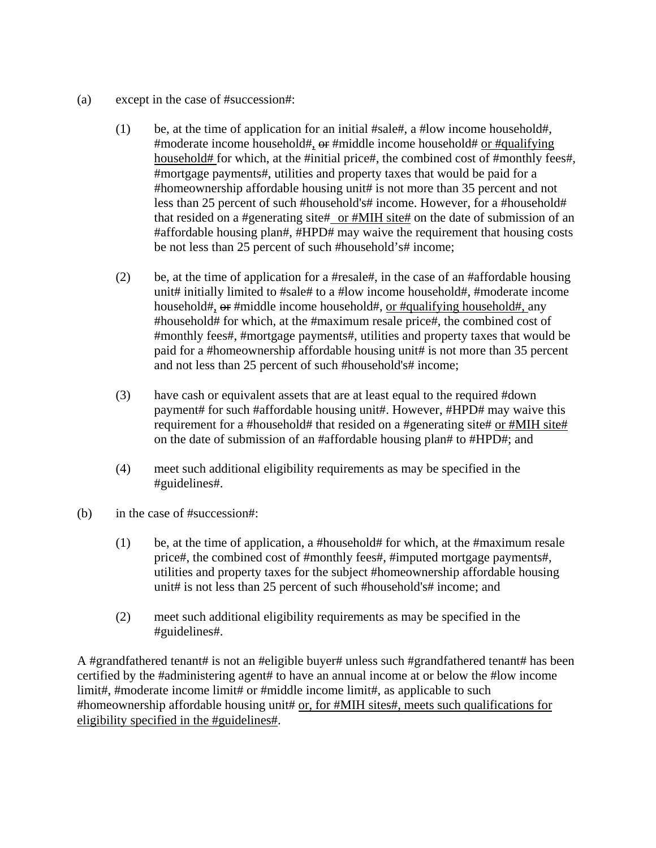- (a) except in the case of #succession#:
	- (1) be, at the time of application for an initial #sale#, a #low income household#, #moderate income household#,  $\Theta$  are #middle income household# or #qualifying household# for which, at the #initial price#, the combined cost of #monthly fees#, #mortgage payments#, utilities and property taxes that would be paid for a #homeownership affordable housing unit# is not more than 35 percent and not less than 25 percent of such #household's# income. However, for a #household# that resided on a #generating site# or #MIH site# on the date of submission of an #affordable housing plan#, #HPD# may waive the requirement that housing costs be not less than 25 percent of such #household's# income;
	- (2) be, at the time of application for a #resale#, in the case of an #affordable housing unit# initially limited to #sale# to a #low income household#, #moderate income household#, or #middle income household#, or #qualifying household#, any #household# for which, at the #maximum resale price#, the combined cost of #monthly fees#, #mortgage payments#, utilities and property taxes that would be paid for a #homeownership affordable housing unit# is not more than 35 percent and not less than 25 percent of such #household's# income;
	- (3) have cash or equivalent assets that are at least equal to the required #down payment# for such #affordable housing unit#. However, #HPD# may waive this requirement for a #household# that resided on a #generating site# or #MIH site# on the date of submission of an #affordable housing plan# to #HPD#; and
	- (4) meet such additional eligibility requirements as may be specified in the #guidelines#.
- (b) in the case of #succession#:
	- (1) be, at the time of application, a #household# for which, at the #maximum resale price#, the combined cost of #monthly fees#, #imputed mortgage payments#, utilities and property taxes for the subject #homeownership affordable housing unit# is not less than 25 percent of such #household's# income; and
	- (2) meet such additional eligibility requirements as may be specified in the #guidelines#.

A #grandfathered tenant# is not an #eligible buyer# unless such #grandfathered tenant# has been certified by the #administering agent# to have an annual income at or below the #low income limit#, #moderate income limit# or #middle income limit#, as applicable to such #homeownership affordable housing unit# or, for #MIH sites#, meets such qualifications for eligibility specified in the #guidelines#.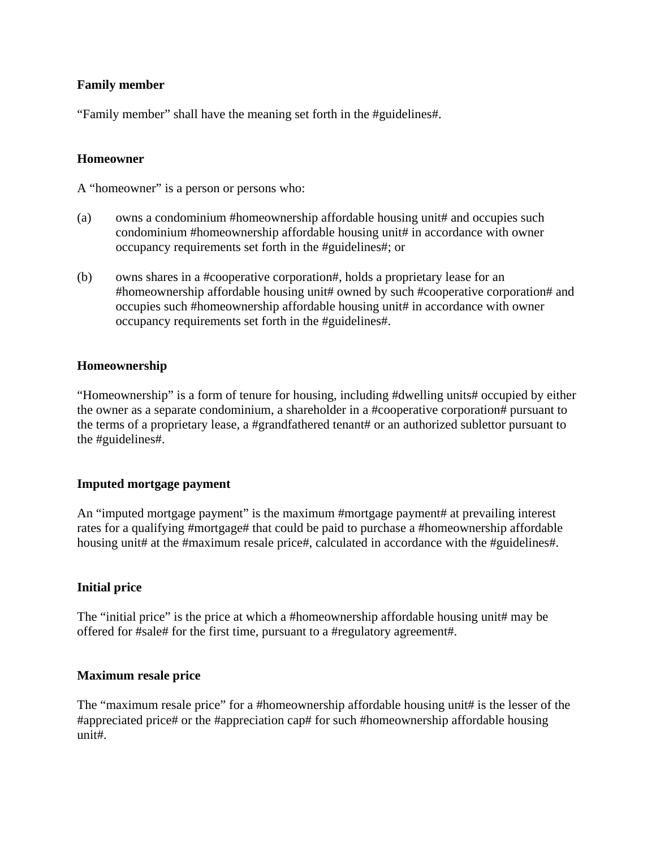## **Family member**

"Family member" shall have the meaning set forth in the #guidelines#.

#### **Homeowner**

A "homeowner" is a person or persons who:

- (a) owns a condominium #homeownership affordable housing unit# and occupies such condominium #homeownership affordable housing unit# in accordance with owner occupancy requirements set forth in the #guidelines#; or
- (b) owns shares in a #cooperative corporation#, holds a proprietary lease for an #homeownership affordable housing unit# owned by such #cooperative corporation# and occupies such #homeownership affordable housing unit# in accordance with owner occupancy requirements set forth in the #guidelines#.

### **Homeownership**

"Homeownership" is a form of tenure for housing, including #dwelling units# occupied by either the owner as a separate condominium, a shareholder in a #cooperative corporation# pursuant to the terms of a proprietary lease, a #grandfathered tenant# or an authorized sublettor pursuant to the #guidelines#.

#### **Imputed mortgage payment**

An "imputed mortgage payment" is the maximum #mortgage payment# at prevailing interest rates for a qualifying #mortgage# that could be paid to purchase a #homeownership affordable housing unit# at the #maximum resale price#, calculated in accordance with the #guidelines#.

#### **Initial price**

The "initial price" is the price at which a #homeownership affordable housing unit# may be offered for #sale# for the first time, pursuant to a #regulatory agreement#.

#### **Maximum resale price**

The "maximum resale price" for a #homeownership affordable housing unit# is the lesser of the #appreciated price# or the #appreciation cap# for such #homeownership affordable housing unit#.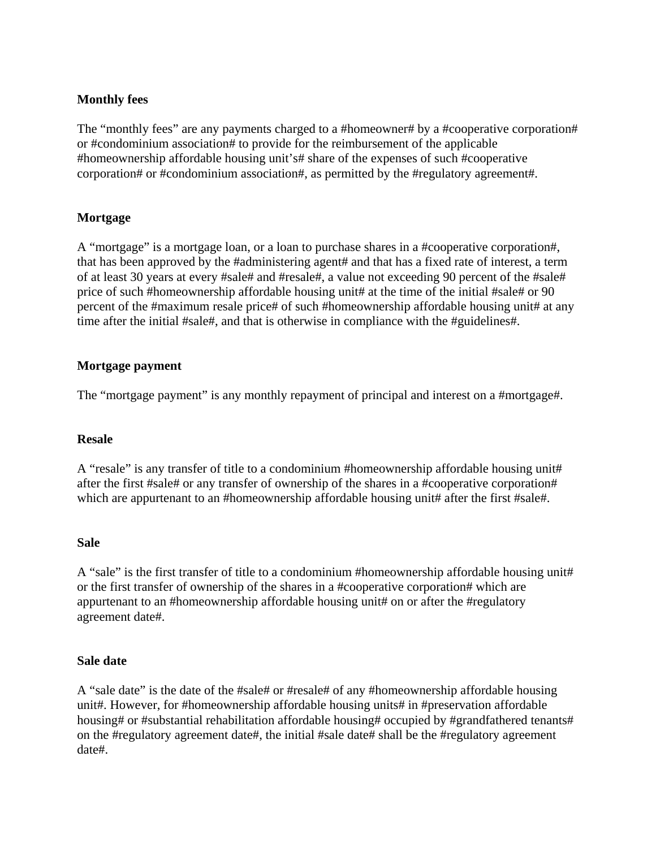## **Monthly fees**

The "monthly fees" are any payments charged to a #homeowner# by a #cooperative corporation# or #condominium association# to provide for the reimbursement of the applicable #homeownership affordable housing unit's# share of the expenses of such #cooperative corporation# or #condominium association#, as permitted by the #regulatory agreement#.

#### **Mortgage**

A "mortgage" is a mortgage loan, or a loan to purchase shares in a #cooperative corporation#, that has been approved by the #administering agent# and that has a fixed rate of interest, a term of at least 30 years at every #sale# and #resale#, a value not exceeding 90 percent of the #sale# price of such #homeownership affordable housing unit# at the time of the initial #sale# or 90 percent of the #maximum resale price# of such #homeownership affordable housing unit# at any time after the initial #sale#, and that is otherwise in compliance with the #guidelines#.

### **Mortgage payment**

The "mortgage payment" is any monthly repayment of principal and interest on a #mortgage#.

#### **Resale**

A "resale" is any transfer of title to a condominium #homeownership affordable housing unit# after the first #sale# or any transfer of ownership of the shares in a #cooperative corporation# which are appurtenant to an #homeownership affordable housing unit# after the first #sale#.

#### **Sale**

A "sale" is the first transfer of title to a condominium #homeownership affordable housing unit# or the first transfer of ownership of the shares in a #cooperative corporation# which are appurtenant to an #homeownership affordable housing unit# on or after the #regulatory agreement date#.

#### **Sale date**

A "sale date" is the date of the #sale# or #resale# of any #homeownership affordable housing unit#. However, for #homeownership affordable housing units# in #preservation affordable housing# or #substantial rehabilitation affordable housing# occupied by #grandfathered tenants# on the #regulatory agreement date#, the initial #sale date# shall be the #regulatory agreement date#.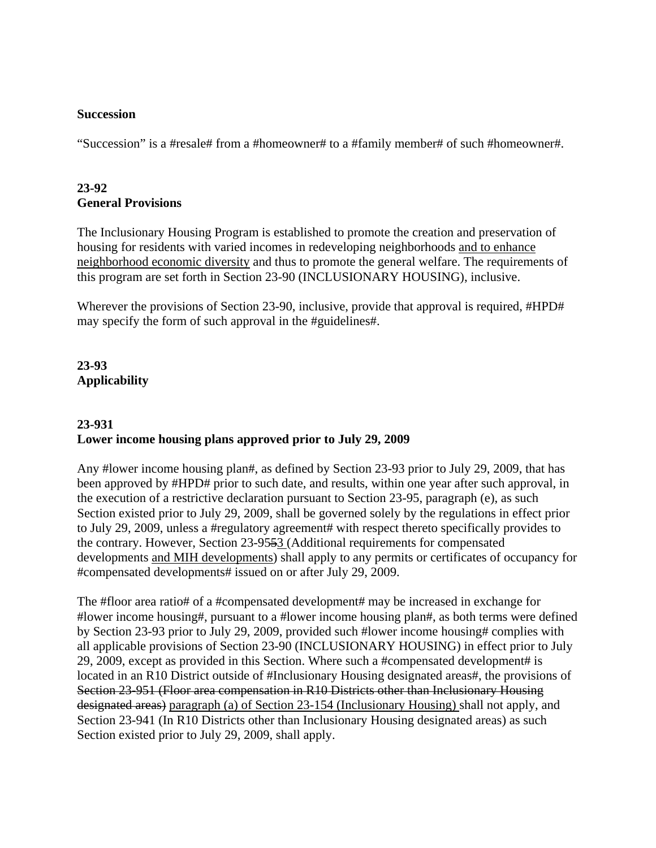#### **Succession**

"Succession" is a #resale# from a #homeowner# to a #family member# of such #homeowner#.

## **23-92 General Provisions**

The Inclusionary Housing Program is established to promote the creation and preservation of housing for residents with varied incomes in redeveloping neighborhoods and to enhance neighborhood economic diversity and thus to promote the general welfare. The requirements of this program are set forth in Section 23-90 (INCLUSIONARY HOUSING), inclusive.

Wherever the provisions of Section 23-90, inclusive, provide that approval is required, #HPD# may specify the form of such approval in the #guidelines#.

# **23-93 Applicability**

## **23-931 Lower income housing plans approved prior to July 29, 2009**

Any #lower income housing plan#, as defined by Section 23-93 prior to July 29, 2009, that has been approved by #HPD# prior to such date, and results, within one year after such approval, in the execution of a restrictive declaration pursuant to Section 23-95, paragraph (e), as such Section existed prior to July 29, 2009, shall be governed solely by the regulations in effect prior to July 29, 2009, unless a #regulatory agreement# with respect thereto specifically provides to the contrary. However, Section 23-9553 (Additional requirements for compensated developments and MIH developments) shall apply to any permits or certificates of occupancy for #compensated developments# issued on or after July 29, 2009.

The #floor area ratio# of a #compensated development# may be increased in exchange for #lower income housing#, pursuant to a #lower income housing plan#, as both terms were defined by Section 23-93 prior to July 29, 2009, provided such #lower income housing# complies with all applicable provisions of Section 23-90 (INCLUSIONARY HOUSING) in effect prior to July 29, 2009, except as provided in this Section. Where such a #compensated development# is located in an R10 District outside of #Inclusionary Housing designated areas#, the provisions of Section 23-951 (Floor area compensation in R10 Districts other than Inclusionary Housing designated areas) paragraph (a) of Section 23-154 (Inclusionary Housing) shall not apply, and Section 23-941 (In R10 Districts other than Inclusionary Housing designated areas) as such Section existed prior to July 29, 2009, shall apply.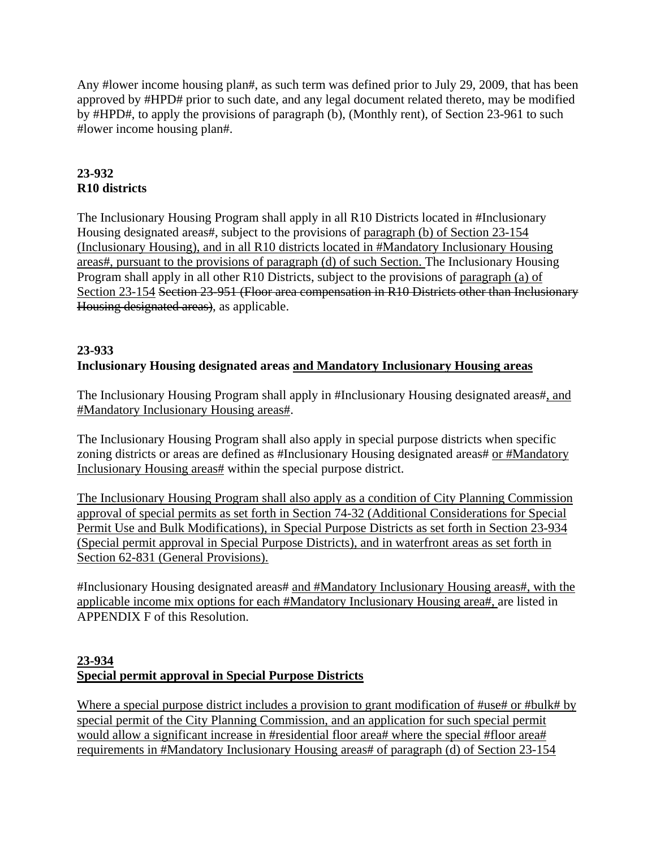Any #lower income housing plan#, as such term was defined prior to July 29, 2009, that has been approved by #HPD# prior to such date, and any legal document related thereto, may be modified by #HPD#, to apply the provisions of paragraph (b), (Monthly rent), of Section 23-961 to such #lower income housing plan#.

# **23-932 R10 districts**

The Inclusionary Housing Program shall apply in all R10 Districts located in #Inclusionary Housing designated areas#, subject to the provisions of paragraph (b) of Section 23-154 (Inclusionary Housing), and in all R10 districts located in #Mandatory Inclusionary Housing areas#, pursuant to the provisions of paragraph (d) of such Section. The Inclusionary Housing Program shall apply in all other R10 Districts, subject to the provisions of paragraph (a) of Section 23-154 Section 23-951 (Floor area compensation in R10 Districts other than Inclusionary Housing designated areas), as applicable.

## **23-933 Inclusionary Housing designated areas and Mandatory Inclusionary Housing areas**

The Inclusionary Housing Program shall apply in #Inclusionary Housing designated areas#, and #Mandatory Inclusionary Housing areas#.

The Inclusionary Housing Program shall also apply in special purpose districts when specific zoning districts or areas are defined as #Inclusionary Housing designated areas# or #Mandatory Inclusionary Housing areas# within the special purpose district.

The Inclusionary Housing Program shall also apply as a condition of City Planning Commission approval of special permits as set forth in Section 74-32 (Additional Considerations for Special Permit Use and Bulk Modifications), in Special Purpose Districts as set forth in Section 23-934 (Special permit approval in Special Purpose Districts), and in waterfront areas as set forth in Section 62-831 (General Provisions).

#Inclusionary Housing designated areas# and #Mandatory Inclusionary Housing areas#, with the applicable income mix options for each #Mandatory Inclusionary Housing area#, are listed in APPENDIX F of this Resolution.

# **23-934 Special permit approval in Special Purpose Districts**

Where a special purpose district includes a provision to grant modification of #use# or #bulk# by special permit of the City Planning Commission, and an application for such special permit would allow a significant increase in #residential floor area# where the special #floor area# requirements in #Mandatory Inclusionary Housing areas# of paragraph (d) of Section 23-154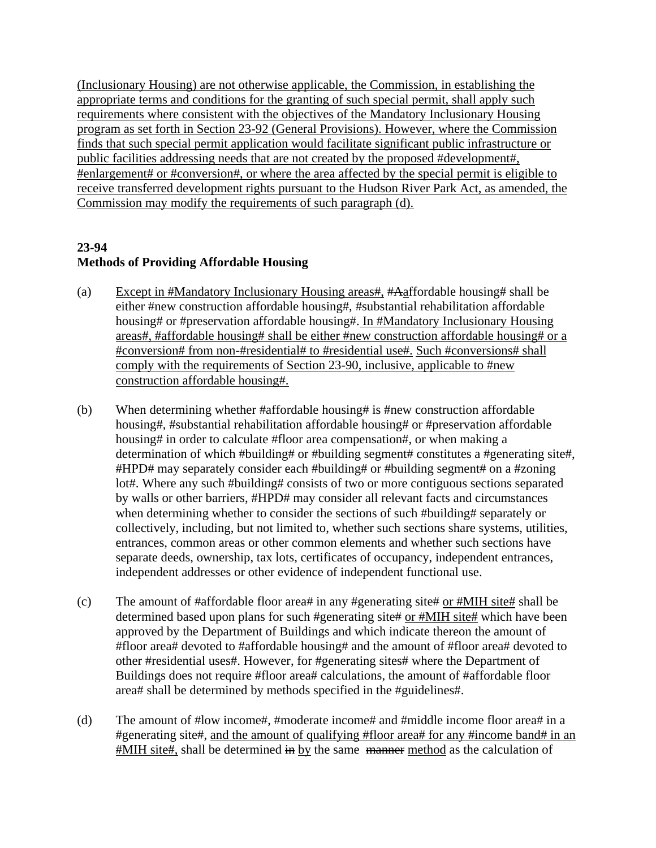(Inclusionary Housing) are not otherwise applicable, the Commission, in establishing the appropriate terms and conditions for the granting of such special permit, shall apply such requirements where consistent with the objectives of the Mandatory Inclusionary Housing program as set forth in Section 23-92 (General Provisions). However, where the Commission finds that such special permit application would facilitate significant public infrastructure or public facilities addressing needs that are not created by the proposed #development#, #enlargement# or #conversion#, or where the area affected by the special permit is eligible to receive transferred development rights pursuant to the Hudson River Park Act, as amended, the Commission may modify the requirements of such paragraph (d).

# **23-94 Methods of Providing Affordable Housing**

- (a) Except in #Mandatory Inclusionary Housing areas#, #Aaffordable housing# shall be either #new construction affordable housing#, #substantial rehabilitation affordable housing# or #preservation affordable housing#. In #Mandatory Inclusionary Housing areas#, #affordable housing# shall be either #new construction affordable housing# or a #conversion# from non-#residential# to #residential use#. Such #conversions# shall comply with the requirements of Section 23-90, inclusive, applicable to #new construction affordable housing#.
- (b) When determining whether #affordable housing# is #new construction affordable housing#, #substantial rehabilitation affordable housing# or #preservation affordable housing# in order to calculate #floor area compensation#, or when making a determination of which #building# or #building segment# constitutes a #generating site#, #HPD# may separately consider each #building# or #building segment# on a #zoning lot#. Where any such #building# consists of two or more contiguous sections separated by walls or other barriers, #HPD# may consider all relevant facts and circumstances when determining whether to consider the sections of such #building# separately or collectively, including, but not limited to, whether such sections share systems, utilities, entrances, common areas or other common elements and whether such sections have separate deeds, ownership, tax lots, certificates of occupancy, independent entrances, independent addresses or other evidence of independent functional use.
- (c) The amount of #affordable floor area# in any #generating site# or #MIH site# shall be determined based upon plans for such #generating site# or #MIH site# which have been approved by the Department of Buildings and which indicate thereon the amount of #floor area# devoted to #affordable housing# and the amount of #floor area# devoted to other #residential uses#. However, for #generating sites# where the Department of Buildings does not require #floor area# calculations, the amount of #affordable floor area# shall be determined by methods specified in the #guidelines#.
- (d) The amount of #low income#, #moderate income# and #middle income floor area# in a #generating site#, and the amount of qualifying #floor area# for any #income band# in an #MIH site#, shall be determined in by the same manner method as the calculation of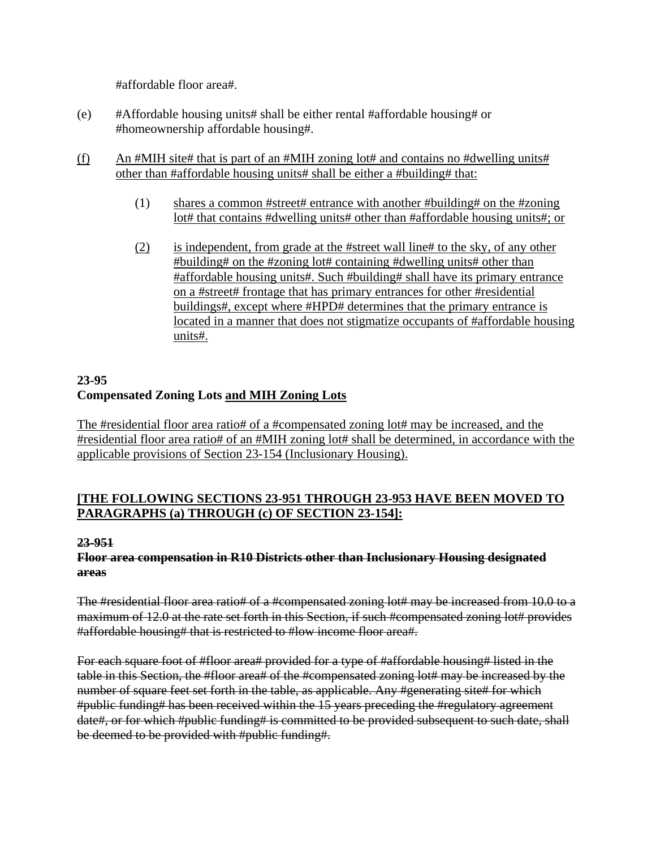#affordable floor area#.

- (e) #Affordable housing units# shall be either rental #affordable housing# or #homeownership affordable housing#.
- (f) An #MIH site# that is part of an #MIH zoning lot# and contains no #dwelling units# other than #affordable housing units# shall be either a #building# that:
	- (1) shares a common #street# entrance with another #building# on the #zoning lot# that contains #dwelling units# other than #affordable housing units#; or
	- (2) is independent, from grade at the #street wall line# to the sky, of any other #building# on the #zoning lot# containing #dwelling units# other than #affordable housing units#. Such #building# shall have its primary entrance on a #street# frontage that has primary entrances for other #residential buildings#, except where #HPD# determines that the primary entrance is located in a manner that does not stigmatize occupants of #affordable housing units#.

# **23-95 Compensated Zoning Lots and MIH Zoning Lots**

The #residential floor area ratio# of a #compensated zoning lot# may be increased, and the #residential floor area ratio# of an #MIH zoning lot# shall be determined, in accordance with the applicable provisions of Section 23-154 (Inclusionary Housing).

## **[THE FOLLOWING SECTIONS 23-951 THROUGH 23-953 HAVE BEEN MOVED TO PARAGRAPHS (a) THROUGH (c) OF SECTION 23-154]:**

#### **23-951**

## **Floor area compensation in R10 Districts other than Inclusionary Housing designated areas**

The #residential floor area ratio# of a #compensated zoning lot# may be increased from 10.0 to a maximum of 12.0 at the rate set forth in this Section, if such #compensated zoning lot# provides #affordable housing# that is restricted to #low income floor area#.

For each square foot of #floor area# provided for a type of #affordable housing# listed in the table in this Section, the #floor area# of the #compensated zoning lot# may be increased by the number of square feet set forth in the table, as applicable. Any #generating site# for which #public funding# has been received within the 15 years preceding the #regulatory agreement date#, or for which #public funding# is committed to be provided subsequent to such date, shall be deemed to be provided with #public funding#.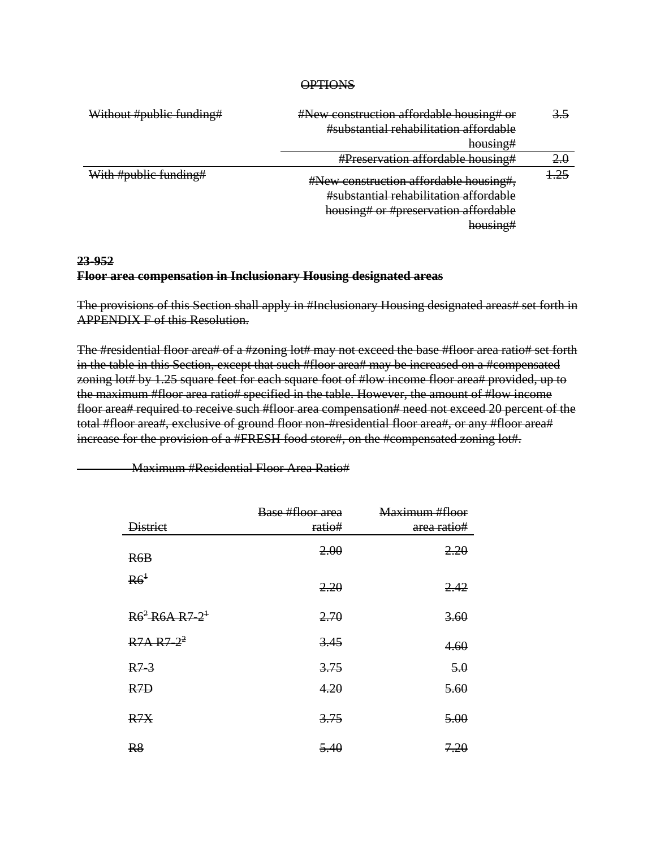#### **OPTIONS**

| Without #public funding# | #New construction affordable housing# or<br>#substantial rehabilitation affordable<br>housing#                                                             | 3.5   |
|--------------------------|------------------------------------------------------------------------------------------------------------------------------------------------------------|-------|
|                          | #Preservation affordable housing#                                                                                                                          | 2.0   |
| With #public funding#    | #New construction affordable housing#,<br>#substantial rehabilitation affordable<br>housing# or #preservation affordable<br>houcing#<br>11000111 <i>61</i> | $-25$ |

## **23-952 Floor area compensation in Inclusionary Housing designated areas**

The provisions of this Section shall apply in #Inclusionary Housing designated areas# set forth in APPENDIX F of this Resolution.

The #residential floor area# of a #zoning lot# may not exceed the base #floor area ratio# set forth in the table in this Section, except that such #floor area# may be increased on a #compensated zoning lot# by 1.25 square feet for each square foot of #low income floor area# provided, up to the maximum #floor area ratio# specified in the table. However, the amount of #low income floor area# required to receive such #floor area compensation# need not exceed 20 percent of the total #floor area#, exclusive of ground floor non-#residential floor area#, or any #floor area# increase for the provision of a #FRESH food store#, on the #compensated zoning lot#.

| <b>District</b>                                        | Base #floor area<br>ratio# | <del>Maximum #floor</del><br>area ratio# |
|--------------------------------------------------------|----------------------------|------------------------------------------|
| R6B                                                    | 2.00                       | 2.20                                     |
| R6 <sup>1</sup>                                        | 2.20                       | 2.42                                     |
| $R6^2$ R <sub>6</sub> A R <sub>7</sub> -2 <sup>1</sup> | 2.70                       | 3.60                                     |
| $R7A R7-2^2$                                           | 3.45                       | 4.60                                     |
| $R7-3$                                                 | 3.75                       | 5.0                                      |
| <del>R7D</del>                                         | 4.20                       | 5.60                                     |
| R7X                                                    | 3.75                       | 5.00                                     |
| R8                                                     | 5.40                       | 7.20                                     |

Maximum #Residential Floor Area Ratio#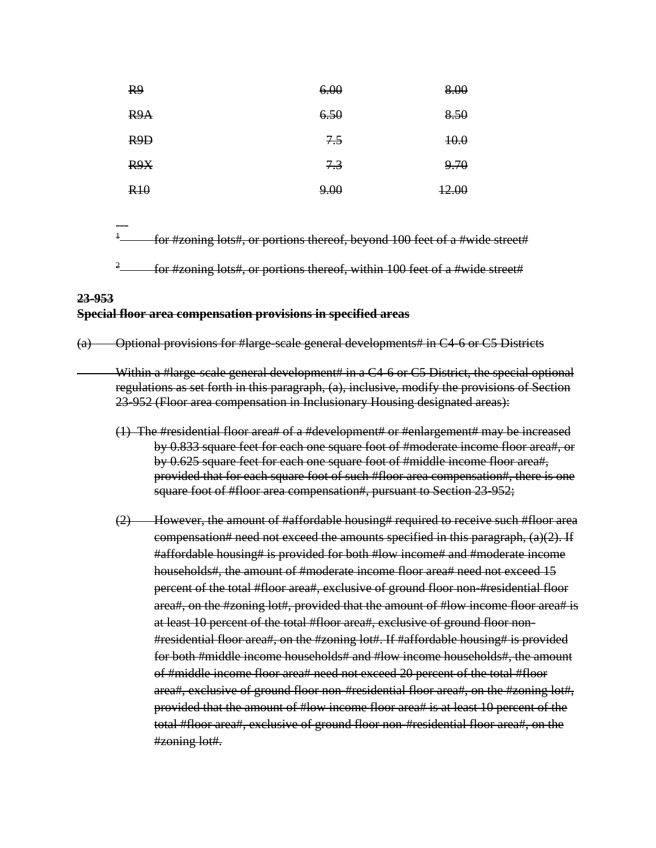| R <sub>9</sub> | 6.00 | 8.00             |
|----------------|------|------------------|
| R9A            | 6.50 | 8.50             |
| R9D            | 7.5  | 40.0             |
| R9X            | 7.3  | 9.70             |
| R10            | 9.00 | <del>12.00</del> |

1 for #zoning lots#, or portions thereof, beyond 100 feet of a #wide street#

2 for #zoning lots#, or portions thereof, within 100 feet of a #wide street#

## **23-953 Special floor area compensation provisions in specified areas**

---

(a) Optional provisions for #large-scale general developments# in C4-6 or C5 Districts

Within a #large-scale general development# in a C4-6 or C5 District, the special optional regulations as set forth in this paragraph, (a), inclusive, modify the provisions of Section 23-952 (Floor area compensation in Inclusionary Housing designated areas):

- (1) The #residential floor area# of a #development# or #enlargement# may be increased by 0.833 square feet for each one square foot of #moderate income floor area#, or by 0.625 square feet for each one square foot of #middle income floor area#, provided that for each square foot of such #floor area compensation#, there is one square foot of #floor area compensation#, pursuant to Section 23-952;
- (2) However, the amount of #affordable housing# required to receive such #floor area compensation# need not exceed the amounts specified in this paragraph,  $(a)(2)$ . If #affordable housing# is provided for both #low income# and #moderate income households#, the amount of #moderate income floor area# need not exceed 15 percent of the total #floor area#, exclusive of ground floor non-#residential floor area#, on the #zoning lot#, provided that the amount of #low income floor area# is at least 10 percent of the total #floor area#, exclusive of ground floor non- #residential floor area#, on the #zoning lot#. If #affordable housing# is provided for both #middle income households# and #low income households#, the amount of #middle income floor area# need not exceed 20 percent of the total #floor area#, exclusive of ground floor non-#residential floor area#, on the #zoning lot#, provided that the amount of #low income floor area# is at least 10 percent of the total #floor area#, exclusive of ground floor non-#residential floor area#, on the #zoning lot#.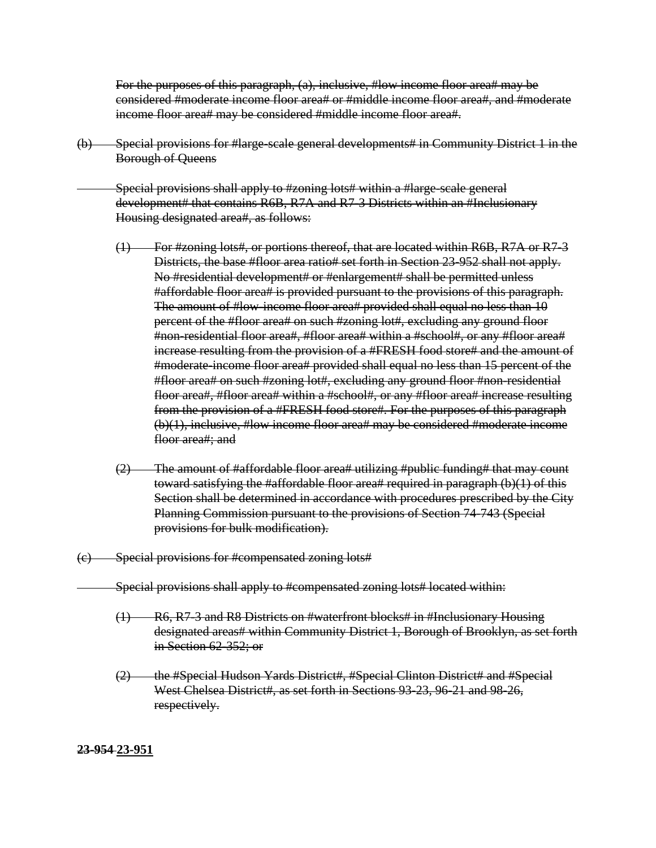For the purposes of this paragraph, (a), inclusive, #low income floor area# may be considered #moderate income floor area# or #middle income floor area#, and #moderate income floor area# may be considered #middle income floor area#.

(b) Special provisions for #large-scale general developments# in Community District 1 in the Borough of Queens

 Special provisions shall apply to #zoning lots# within a #large-scale general development# that contains R6B, R7A and R7-3 Districts within an #Inclusionary Housing designated area#, as follows:

- (1) For #zoning lots#, or portions thereof, that are located within R6B, R7A or R7-3 Districts, the base #floor area ratio# set forth in Section 23-952 shall not apply. No #residential development# or #enlargement# shall be permitted unless #affordable floor area# is provided pursuant to the provisions of this paragraph. The amount of #low-income floor area# provided shall equal no less than 10 percent of the #floor area# on such #zoning lot#, excluding any ground floor #non-residential floor area#, #floor area# within a #school#, or any #floor area# increase resulting from the provision of a #FRESH food store# and the amount of #moderate-income floor area# provided shall equal no less than 15 percent of the #floor area# on such #zoning lot#, excluding any ground floor #non-residential floor area#, #floor area# within a #school#, or any #floor area# increase resulting from the provision of a #FRESH food store#. For the purposes of this paragraph (b)(1), inclusive, #low income floor area# may be considered #moderate income floor area#; and
- $(2)$  The amount of #affordable floor area# utilizing #public funding# that may count toward satisfying the #affordable floor area# required in paragraph  $(b)(1)$  of this Section shall be determined in accordance with procedures prescribed by the City Planning Commission pursuant to the provisions of Section 74-743 (Special provisions for bulk modification).
- (c) Special provisions for #compensated zoning lots#
	- Special provisions shall apply to #compensated zoning lots# located within:
		- (1) R6, R7-3 and R8 Districts on #waterfront blocks# in #Inclusionary Housing designated areas# within Community District 1, Borough of Brooklyn, as set forth in Section 62-352; or
		- (2) the #Special Hudson Yards District#, #Special Clinton District# and #Special West Chelsea District#, as set forth in Sections 93-23, 96-21 and 98-26, respectively.

**23-954 23-951**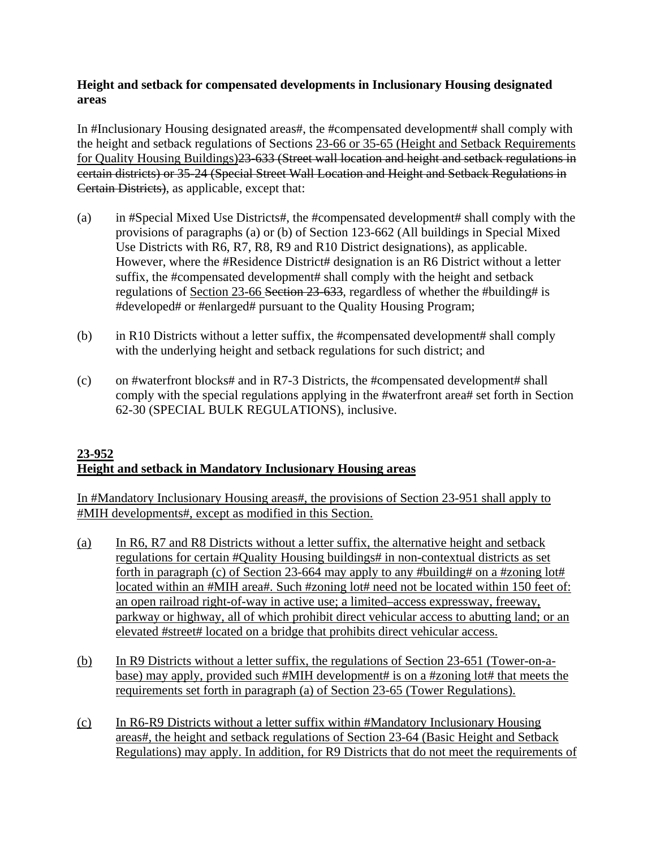## **Height and setback for compensated developments in Inclusionary Housing designated areas**

In #Inclusionary Housing designated areas#, the #compensated development# shall comply with the height and setback regulations of Sections 23-66 or 35-65 (Height and Setback Requirements for Quality Housing Buildings)23-633 (Street wall location and height and setback regulations in certain districts) or 35-24 (Special Street Wall Location and Height and Setback Regulations in Certain Districts), as applicable, except that:

- (a) in #Special Mixed Use Districts#, the #compensated development# shall comply with the provisions of paragraphs (a) or (b) of Section 123-662 (All buildings in Special Mixed Use Districts with R6, R7, R8, R9 and R10 District designations), as applicable. However, where the #Residence District# designation is an R6 District without a letter suffix, the #compensated development# shall comply with the height and setback regulations of Section 23-66 Section 23-633, regardless of whether the #building# is #developed# or #enlarged# pursuant to the Quality Housing Program;
- (b) in R10 Districts without a letter suffix, the #compensated development# shall comply with the underlying height and setback regulations for such district; and
- (c) on #waterfront blocks# and in R7-3 Districts, the #compensated development# shall comply with the special regulations applying in the #waterfront area# set forth in Section 62-30 (SPECIAL BULK REGULATIONS), inclusive.

## **23-952 Height and setback in Mandatory Inclusionary Housing areas**

In #Mandatory Inclusionary Housing areas#, the provisions of Section 23-951 shall apply to #MIH developments#, except as modified in this Section.

- (a) In R6, R7 and R8 Districts without a letter suffix, the alternative height and setback regulations for certain #Quality Housing buildings# in non-contextual districts as set forth in paragraph (c) of Section 23-664 may apply to any #building# on a #zoning lot# located within an #MIH area#. Such #zoning lot# need not be located within 150 feet of: an open railroad right-of-way in active use; a limited–access expressway, freeway, parkway or highway, all of which prohibit direct vehicular access to abutting land; or an elevated #street# located on a bridge that prohibits direct vehicular access.
- (b) In R9 Districts without a letter suffix, the regulations of Section 23-651 (Tower-on-abase) may apply, provided such #MIH development# is on a #zoning lot# that meets the requirements set forth in paragraph (a) of Section 23-65 (Tower Regulations).
- (c) In R6-R9 Districts without a letter suffix within #Mandatory Inclusionary Housing areas#, the height and setback regulations of Section 23-64 (Basic Height and Setback Regulations) may apply. In addition, for R9 Districts that do not meet the requirements of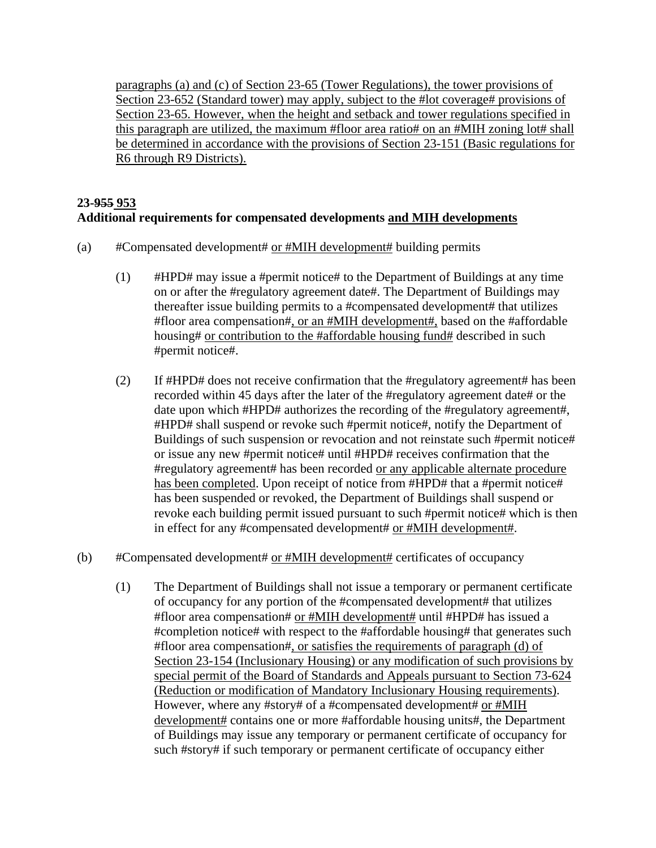paragraphs (a) and (c) of Section 23-65 (Tower Regulations), the tower provisions of Section 23-652 (Standard tower) may apply, subject to the #lot coverage# provisions of Section 23-65. However, when the height and setback and tower regulations specified in this paragraph are utilized, the maximum #floor area ratio# on an #MIH zoning lot# shall be determined in accordance with the provisions of Section 23-151 (Basic regulations for R6 through R9 Districts).

## **23-955 953 Additional requirements for compensated developments and MIH developments**

- (a) #Compensated development# or #MIH development# building permits
	- (1) #HPD# may issue a #permit notice# to the Department of Buildings at any time on or after the #regulatory agreement date#. The Department of Buildings may thereafter issue building permits to a #compensated development# that utilizes #floor area compensation#, or an #MIH development#, based on the #affordable housing# or contribution to the #affordable housing fund# described in such #permit notice#.
	- (2) If #HPD# does not receive confirmation that the #regulatory agreement# has been recorded within 45 days after the later of the #regulatory agreement date# or the date upon which #HPD# authorizes the recording of the #regulatory agreement#, #HPD# shall suspend or revoke such #permit notice#, notify the Department of Buildings of such suspension or revocation and not reinstate such #permit notice# or issue any new #permit notice# until #HPD# receives confirmation that the #regulatory agreement# has been recorded or any applicable alternate procedure has been completed. Upon receipt of notice from #HPD# that a #permit notice# has been suspended or revoked, the Department of Buildings shall suspend or revoke each building permit issued pursuant to such #permit notice# which is then in effect for any #compensated development# or #MIH development#.
- (b) #Compensated development# or #MIH development# certificates of occupancy
	- (1) The Department of Buildings shall not issue a temporary or permanent certificate of occupancy for any portion of the #compensated development# that utilizes #floor area compensation# or #MIH development# until #HPD# has issued a #completion notice# with respect to the #affordable housing# that generates such #floor area compensation#, or satisfies the requirements of paragraph (d) of Section 23-154 (Inclusionary Housing) or any modification of such provisions by special permit of the Board of Standards and Appeals pursuant to Section 73-624 (Reduction or modification of Mandatory Inclusionary Housing requirements). However, where any #story# of a #compensated development# or #MIH development# contains one or more #affordable housing units#, the Department of Buildings may issue any temporary or permanent certificate of occupancy for such #story# if such temporary or permanent certificate of occupancy either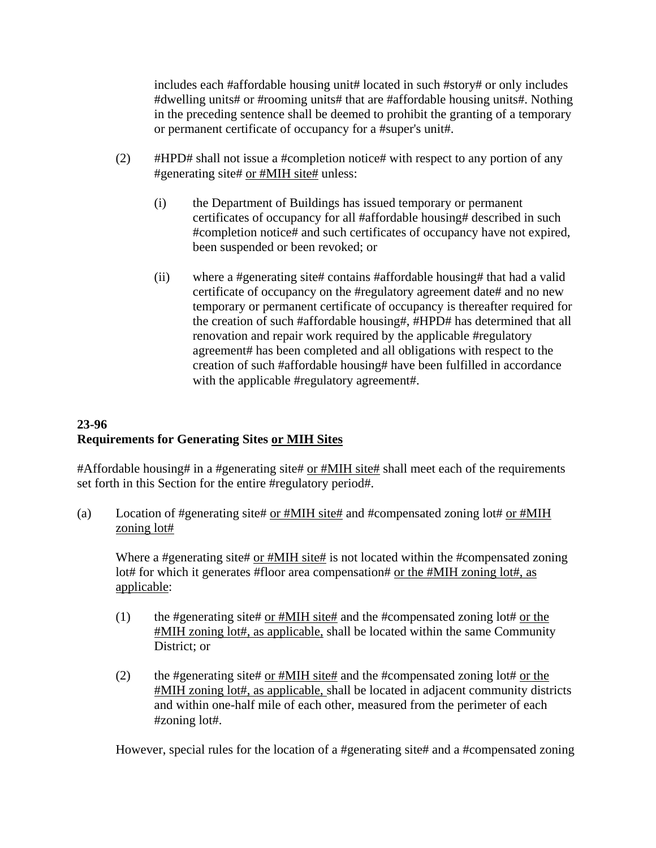includes each #affordable housing unit# located in such #story# or only includes #dwelling units# or #rooming units# that are #affordable housing units#. Nothing in the preceding sentence shall be deemed to prohibit the granting of a temporary or permanent certificate of occupancy for a #super's unit#.

- (2) #HPD# shall not issue a #completion notice# with respect to any portion of any #generating site# or #MIH site# unless:
	- (i) the Department of Buildings has issued temporary or permanent certificates of occupancy for all #affordable housing# described in such #completion notice# and such certificates of occupancy have not expired, been suspended or been revoked; or
	- (ii) where a #generating site# contains #affordable housing# that had a valid certificate of occupancy on the #regulatory agreement date# and no new temporary or permanent certificate of occupancy is thereafter required for the creation of such #affordable housing#, #HPD# has determined that all renovation and repair work required by the applicable #regulatory agreement# has been completed and all obligations with respect to the creation of such #affordable housing# have been fulfilled in accordance with the applicable #regulatory agreement#.

# **23-96 Requirements for Generating Sites or MIH Sites**

#Affordable housing# in a #generating site# or #MIH site# shall meet each of the requirements set forth in this Section for the entire #regulatory period#.

(a) Location of #generating site# or #MIH site# and #compensated zoning lot# or #MIH zoning lot#

Where a #generating site# or #MIH site# is not located within the #compensated zoning lot# for which it generates #floor area compensation# or the #MIH zoning lot#, as applicable:

- (1) the #generating site# or  $\#MH$  site# and the #compensated zoning lot# or the #MIH zoning lot#, as applicable, shall be located within the same Community District; or
- (2) the #generating site to or #MIH site  $\#$  and the #compensated zoning lot  $\#$  or the #MIH zoning lot#, as applicable, shall be located in adjacent community districts and within one-half mile of each other, measured from the perimeter of each #zoning lot#.

However, special rules for the location of a #generating site# and a #compensated zoning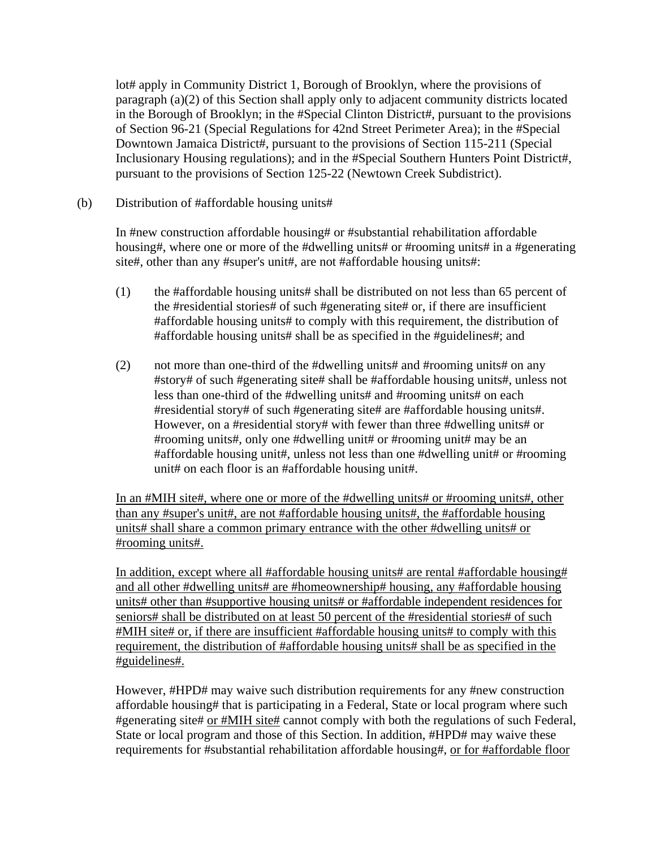lot# apply in Community District 1, Borough of Brooklyn, where the provisions of paragraph (a)(2) of this Section shall apply only to adjacent community districts located in the Borough of Brooklyn; in the #Special Clinton District#, pursuant to the provisions of Section 96-21 (Special Regulations for 42nd Street Perimeter Area); in the #Special Downtown Jamaica District#, pursuant to the provisions of Section 115-211 (Special Inclusionary Housing regulations); and in the #Special Southern Hunters Point District#, pursuant to the provisions of Section 125-22 (Newtown Creek Subdistrict).

(b) Distribution of #affordable housing units#

 In #new construction affordable housing# or #substantial rehabilitation affordable housing#, where one or more of the #dwelling units# or #rooming units# in a #generating site#, other than any #super's unit#, are not #affordable housing units#:

- (1) the #affordable housing units# shall be distributed on not less than 65 percent of the #residential stories# of such #generating site# or, if there are insufficient #affordable housing units# to comply with this requirement, the distribution of #affordable housing units# shall be as specified in the #guidelines#; and
- (2) not more than one-third of the #dwelling units# and #rooming units# on any #story# of such #generating site# shall be #affordable housing units#, unless not less than one-third of the #dwelling units# and #rooming units# on each #residential story# of such #generating site# are #affordable housing units#. However, on a #residential story# with fewer than three #dwelling units# or #rooming units#, only one #dwelling unit# or #rooming unit# may be an #affordable housing unit#, unless not less than one #dwelling unit# or #rooming unit# on each floor is an #affordable housing unit#.

In an #MIH site#, where one or more of the #dwelling units# or #rooming units#, other than any #super's unit#, are not #affordable housing units#, the #affordable housing units# shall share a common primary entrance with the other #dwelling units# or #rooming units#.

In addition, except where all #affordable housing units# are rental #affordable housing# and all other #dwelling units# are #homeownership# housing, any #affordable housing units# other than #supportive housing units# or #affordable independent residences for seniors# shall be distributed on at least 50 percent of the #residential stories# of such #MIH site# or, if there are insufficient #affordable housing units# to comply with this requirement, the distribution of #affordable housing units# shall be as specified in the #guidelines#.

 However, #HPD# may waive such distribution requirements for any #new construction affordable housing# that is participating in a Federal, State or local program where such #generating site# or #MIH site# cannot comply with both the regulations of such Federal, State or local program and those of this Section. In addition, #HPD# may waive these requirements for #substantial rehabilitation affordable housing#, or for #affordable floor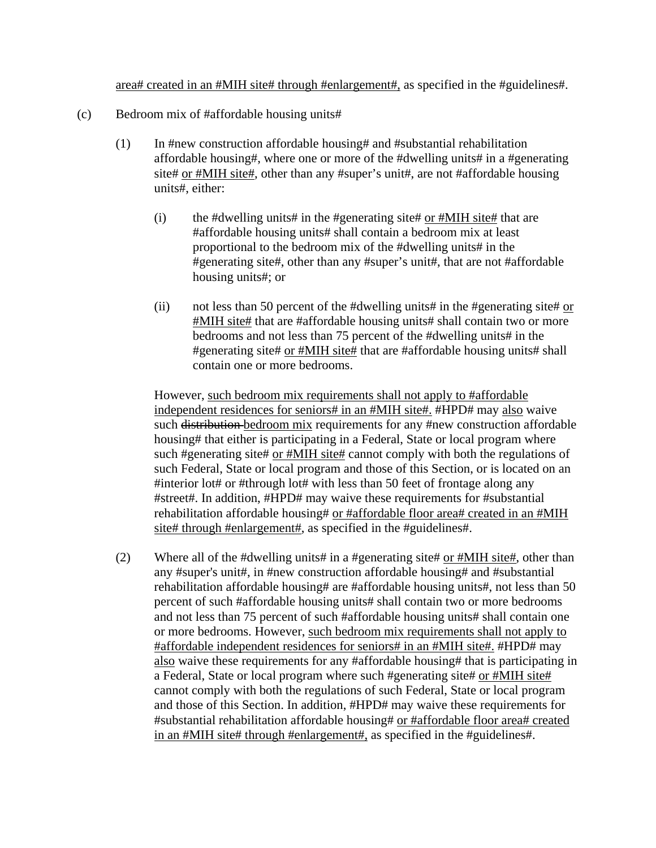area# created in an #MIH site# through #enlargement#, as specified in the #guidelines#.

- (c) Bedroom mix of #affordable housing units#
	- (1) In #new construction affordable housing# and #substantial rehabilitation affordable housing#, where one or more of the #dwelling units# in a #generating site# or #MIH site#, other than any #super's unit#, are not #affordable housing units#, either:
		- (i) the #dwelling units# in the #generating site# or  $\#MH$  site# that are #affordable housing units# shall contain a bedroom mix at least proportional to the bedroom mix of the #dwelling units# in the #generating site#, other than any #super's unit#, that are not #affordable housing units#; or
		- (ii) not less than 50 percent of the #dwelling units# in the #generating site# or #MIH site# that are #affordable housing units# shall contain two or more bedrooms and not less than 75 percent of the #dwelling units# in the #generating site# or #MIH site# that are #affordable housing units# shall contain one or more bedrooms.

 However, such bedroom mix requirements shall not apply to #affordable independent residences for seniors# in an #MIH site#. #HPD# may also waive such distribution bedroom mix requirements for any #new construction affordable housing# that either is participating in a Federal, State or local program where such #generating site# or #MIH site# cannot comply with both the regulations of such Federal, State or local program and those of this Section, or is located on an #interior lot# or #through lot# with less than 50 feet of frontage along any #street#. In addition, #HPD# may waive these requirements for #substantial rehabilitation affordable housing# or #affordable floor area# created in an #MIH site# through #enlargement#, as specified in the #guidelines#.

(2) Where all of the #dwelling units# in a #generating site# or #MIH site#, other than any #super's unit#, in #new construction affordable housing# and #substantial rehabilitation affordable housing# are #affordable housing units#, not less than 50 percent of such #affordable housing units# shall contain two or more bedrooms and not less than 75 percent of such #affordable housing units# shall contain one or more bedrooms. However, such bedroom mix requirements shall not apply to #affordable independent residences for seniors# in an #MIH site#. #HPD# may also waive these requirements for any #affordable housing# that is participating in a Federal, State or local program where such #generating site# or #MIH site# cannot comply with both the regulations of such Federal, State or local program and those of this Section. In addition, #HPD# may waive these requirements for #substantial rehabilitation affordable housing# or #affordable floor area# created in an #MIH site# through #enlargement#, as specified in the #guidelines#.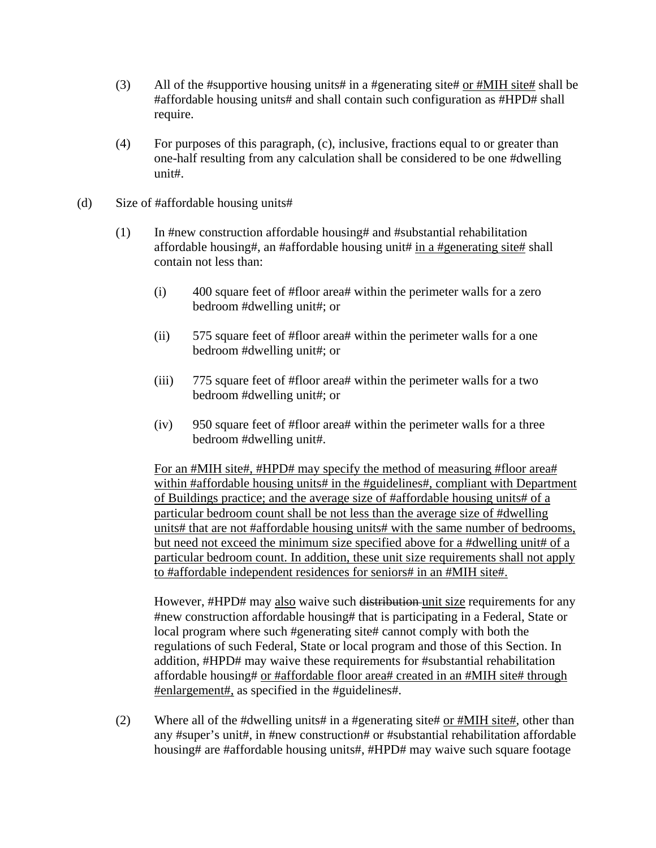- (3) All of the #supportive housing units# in a #generating site# or #MIH site# shall be #affordable housing units# and shall contain such configuration as #HPD# shall require.
- (4) For purposes of this paragraph, (c), inclusive, fractions equal to or greater than one-half resulting from any calculation shall be considered to be one #dwelling unit#.
- (d) Size of #affordable housing units#
	- (1) In #new construction affordable housing# and #substantial rehabilitation affordable housing#, an #affordable housing unit# in a #generating site# shall contain not less than:
		- (i) 400 square feet of #floor area# within the perimeter walls for a zero bedroom #dwelling unit#; or
		- (ii) 575 square feet of #floor area# within the perimeter walls for a one bedroom #dwelling unit#; or
		- (iii) 775 square feet of #floor area# within the perimeter walls for a two bedroom #dwelling unit#; or
		- (iv) 950 square feet of #floor area# within the perimeter walls for a three bedroom #dwelling unit#.

For an #MIH site#, #HPD# may specify the method of measuring #floor area# within #affordable housing units# in the #guidelines#, compliant with Department of Buildings practice; and the average size of #affordable housing units# of a particular bedroom count shall be not less than the average size of #dwelling units# that are not #affordable housing units# with the same number of bedrooms, but need not exceed the minimum size specified above for a #dwelling unit# of a particular bedroom count. In addition, these unit size requirements shall not apply to #affordable independent residences for seniors# in an #MIH site#.

However, #HPD# may also waive such distribution unit size requirements for any #new construction affordable housing# that is participating in a Federal, State or local program where such #generating site# cannot comply with both the regulations of such Federal, State or local program and those of this Section. In addition, #HPD# may waive these requirements for #substantial rehabilitation affordable housing# or #affordable floor area# created in an #MIH site# through #enlargement#, as specified in the #guidelines#.

(2) Where all of the #dwelling units# in a #generating site# or #MIH site#, other than any #super's unit#, in #new construction# or #substantial rehabilitation affordable housing# are #affordable housing units#, #HPD# may waive such square footage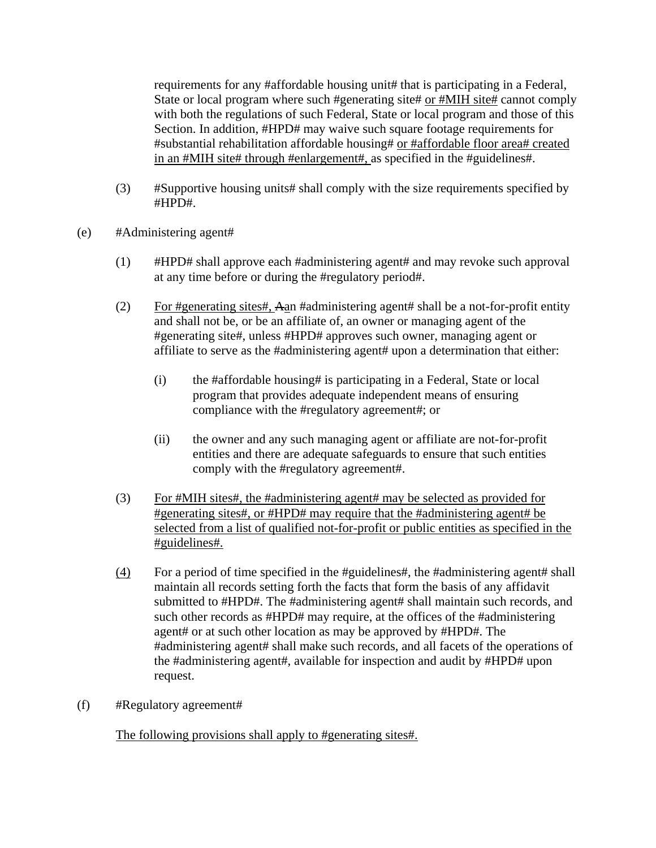requirements for any #affordable housing unit# that is participating in a Federal, State or local program where such #generating site# or #MIH site# cannot comply with both the regulations of such Federal, State or local program and those of this Section. In addition, #HPD# may waive such square footage requirements for #substantial rehabilitation affordable housing# or #affordable floor area# created in an #MIH site# through #enlargement#, as specified in the #guidelines#.

- (3) #Supportive housing units# shall comply with the size requirements specified by #HPD#.
- (e) #Administering agent#
	- (1) #HPD# shall approve each #administering agent# and may revoke such approval at any time before or during the #regulatory period#.
	- (2) For #generating sites#, Aan #administering agent# shall be a not-for-profit entity and shall not be, or be an affiliate of, an owner or managing agent of the #generating site#, unless #HPD# approves such owner, managing agent or affiliate to serve as the #administering agent# upon a determination that either:
		- (i) the #affordable housing# is participating in a Federal, State or local program that provides adequate independent means of ensuring compliance with the #regulatory agreement#; or
		- (ii) the owner and any such managing agent or affiliate are not-for-profit entities and there are adequate safeguards to ensure that such entities comply with the #regulatory agreement#.
	- (3) For #MIH sites#, the #administering agent# may be selected as provided for #generating sites#, or #HPD# may require that the #administering agent# be selected from a list of qualified not-for-profit or public entities as specified in the #guidelines#.
	- (4) For a period of time specified in the #guidelines#, the #administering agent# shall maintain all records setting forth the facts that form the basis of any affidavit submitted to #HPD#. The #administering agent# shall maintain such records, and such other records as #HPD# may require, at the offices of the #administering agent# or at such other location as may be approved by #HPD#. The #administering agent# shall make such records, and all facets of the operations of the #administering agent#, available for inspection and audit by #HPD# upon request.
- (f) #Regulatory agreement#

The following provisions shall apply to #generating sites#.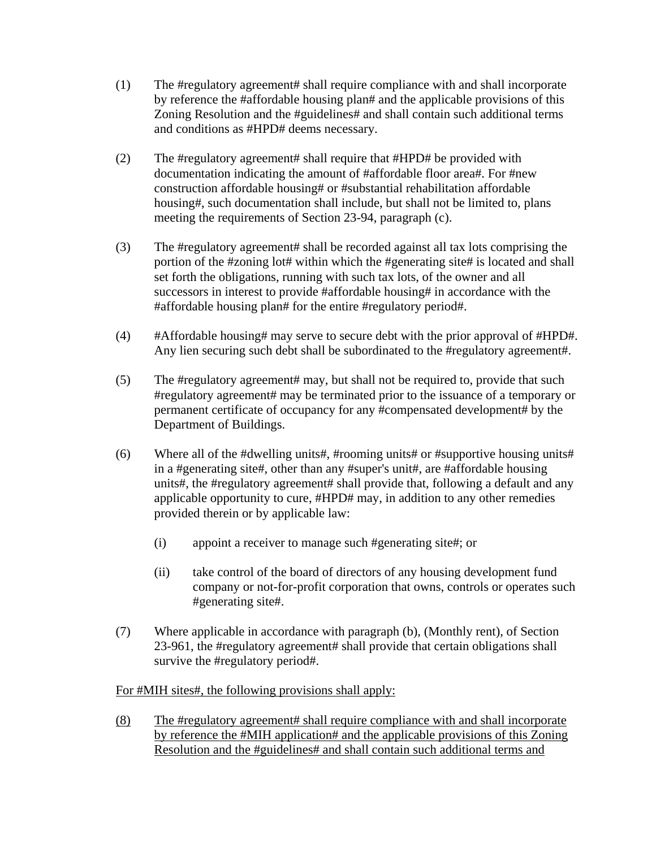- (1) The #regulatory agreement# shall require compliance with and shall incorporate by reference the #affordable housing plan# and the applicable provisions of this Zoning Resolution and the #guidelines# and shall contain such additional terms and conditions as #HPD# deems necessary.
- (2) The #regulatory agreement# shall require that #HPD# be provided with documentation indicating the amount of #affordable floor area#. For #new construction affordable housing# or #substantial rehabilitation affordable housing#, such documentation shall include, but shall not be limited to, plans meeting the requirements of Section 23-94, paragraph (c).
- (3) The #regulatory agreement# shall be recorded against all tax lots comprising the portion of the #zoning lot# within which the #generating site# is located and shall set forth the obligations, running with such tax lots, of the owner and all successors in interest to provide #affordable housing# in accordance with the #affordable housing plan# for the entire #regulatory period#.
- (4) #Affordable housing# may serve to secure debt with the prior approval of #HPD#. Any lien securing such debt shall be subordinated to the #regulatory agreement#.
- (5) The #regulatory agreement# may, but shall not be required to, provide that such #regulatory agreement# may be terminated prior to the issuance of a temporary or permanent certificate of occupancy for any #compensated development# by the Department of Buildings.
- (6) Where all of the #dwelling units#, #rooming units# or #supportive housing units# in a #generating site#, other than any #super's unit#, are #affordable housing units#, the #regulatory agreement# shall provide that, following a default and any applicable opportunity to cure, #HPD# may, in addition to any other remedies provided therein or by applicable law:
	- (i) appoint a receiver to manage such #generating site#; or
	- (ii) take control of the board of directors of any housing development fund company or not-for-profit corporation that owns, controls or operates such #generating site#.
- (7) Where applicable in accordance with paragraph (b), (Monthly rent), of Section 23-961, the #regulatory agreement# shall provide that certain obligations shall survive the #regulatory period#.

## For #MIH sites#, the following provisions shall apply:

(8) The #regulatory agreement# shall require compliance with and shall incorporate by reference the #MIH application# and the applicable provisions of this Zoning Resolution and the #guidelines# and shall contain such additional terms and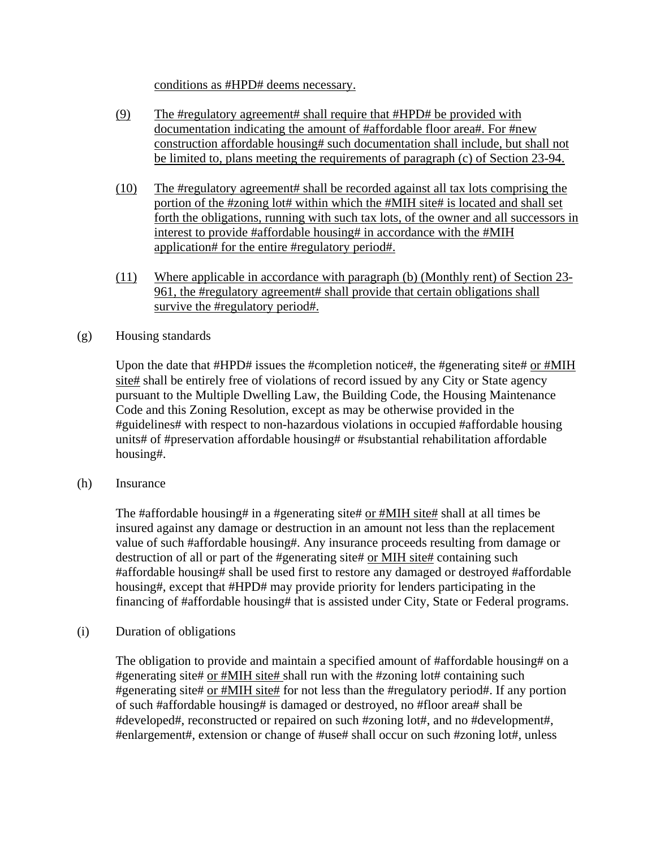conditions as #HPD# deems necessary.

- (9) The #regulatory agreement# shall require that #HPD# be provided with documentation indicating the amount of #affordable floor area#. For #new construction affordable housing# such documentation shall include, but shall not be limited to, plans meeting the requirements of paragraph (c) of Section 23-94.
- (10) The #regulatory agreement# shall be recorded against all tax lots comprising the portion of the #zoning lot# within which the #MIH site# is located and shall set forth the obligations, running with such tax lots, of the owner and all successors in interest to provide #affordable housing# in accordance with the #MIH application# for the entire #regulatory period#.
- (11) Where applicable in accordance with paragraph (b) (Monthly rent) of Section 23- 961, the #regulatory agreement# shall provide that certain obligations shall survive the #regulatory period#.
- (g) Housing standards

Upon the date that #HPD# issues the #completion notice#, the #generating site# or #MIH site# shall be entirely free of violations of record issued by any City or State agency pursuant to the Multiple Dwelling Law, the Building Code, the Housing Maintenance Code and this Zoning Resolution, except as may be otherwise provided in the #guidelines# with respect to non-hazardous violations in occupied #affordable housing units# of #preservation affordable housing# or #substantial rehabilitation affordable housing#.

(h) Insurance

The #affordable housing# in a #generating site# or #MIH site# shall at all times be insured against any damage or destruction in an amount not less than the replacement value of such #affordable housing#. Any insurance proceeds resulting from damage or destruction of all or part of the #generating site# or MIH site# containing such #affordable housing# shall be used first to restore any damaged or destroyed #affordable housing#, except that #HPD# may provide priority for lenders participating in the financing of #affordable housing# that is assisted under City, State or Federal programs.

(i) Duration of obligations

 The obligation to provide and maintain a specified amount of #affordable housing# on a #generating site# or #MIH site# shall run with the #zoning lot# containing such #generating site# or #MIH site# for not less than the #regulatory period#. If any portion of such #affordable housing# is damaged or destroyed, no #floor area# shall be #developed#, reconstructed or repaired on such #zoning lot#, and no #development#, #enlargement#, extension or change of #use# shall occur on such #zoning lot#, unless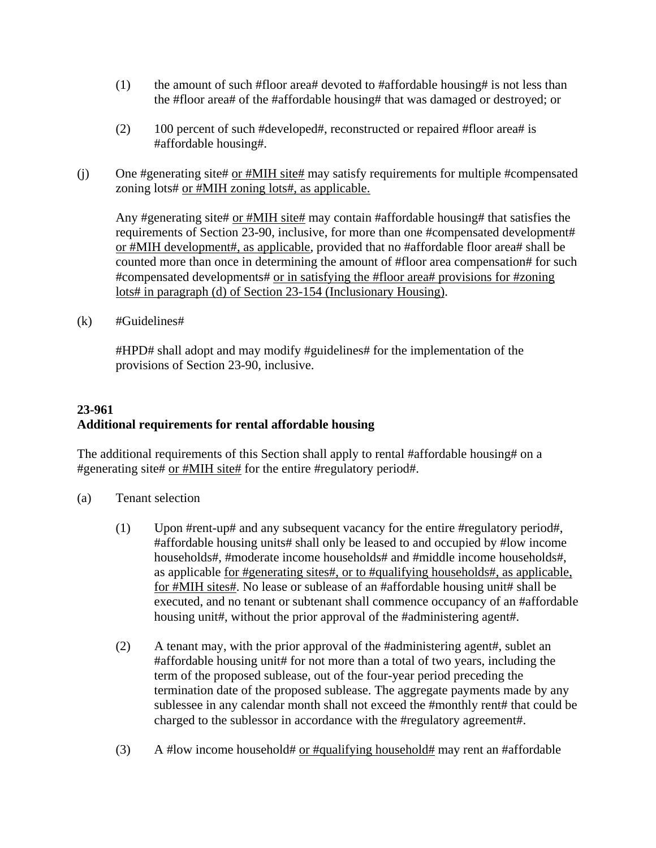- (1) the amount of such #floor area# devoted to #affordable housing# is not less than the #floor area# of the #affordable housing# that was damaged or destroyed; or
- (2) 100 percent of such #developed#, reconstructed or repaired #floor area# is #affordable housing#.
- (j) One #generating site# or #MIH site# may satisfy requirements for multiple #compensated zoning lots# or #MIH zoning lots#, as applicable.

Any #generating site# or #MIH site# may contain #affordable housing# that satisfies the requirements of Section 23-90, inclusive, for more than one #compensated development# or #MIH development#, as applicable, provided that no #affordable floor area# shall be counted more than once in determining the amount of #floor area compensation# for such #compensated developments# or in satisfying the #floor area# provisions for #zoning lots# in paragraph (d) of Section 23-154 (Inclusionary Housing).

(k) #Guidelines#

 #HPD# shall adopt and may modify #guidelines# for the implementation of the provisions of Section 23-90, inclusive.

## **23-961 Additional requirements for rental affordable housing**

The additional requirements of this Section shall apply to rental #affordable housing# on a #generating site# or #MIH site# for the entire #regulatory period#.

- (a) Tenant selection
	- (1) Upon #rent-up# and any subsequent vacancy for the entire #regulatory period#, #affordable housing units# shall only be leased to and occupied by #low income households#, #moderate income households# and #middle income households#, as applicable for #generating sites#, or to #qualifying households#, as applicable, for #MIH sites#. No lease or sublease of an #affordable housing unit# shall be executed, and no tenant or subtenant shall commence occupancy of an #affordable housing unit#, without the prior approval of the #administering agent#.
	- (2) A tenant may, with the prior approval of the #administering agent#, sublet an #affordable housing unit# for not more than a total of two years, including the term of the proposed sublease, out of the four-year period preceding the termination date of the proposed sublease. The aggregate payments made by any sublessee in any calendar month shall not exceed the #monthly rent# that could be charged to the sublessor in accordance with the #regulatory agreement#.
	- (3) A #low income household# or #qualifying household# may rent an #affordable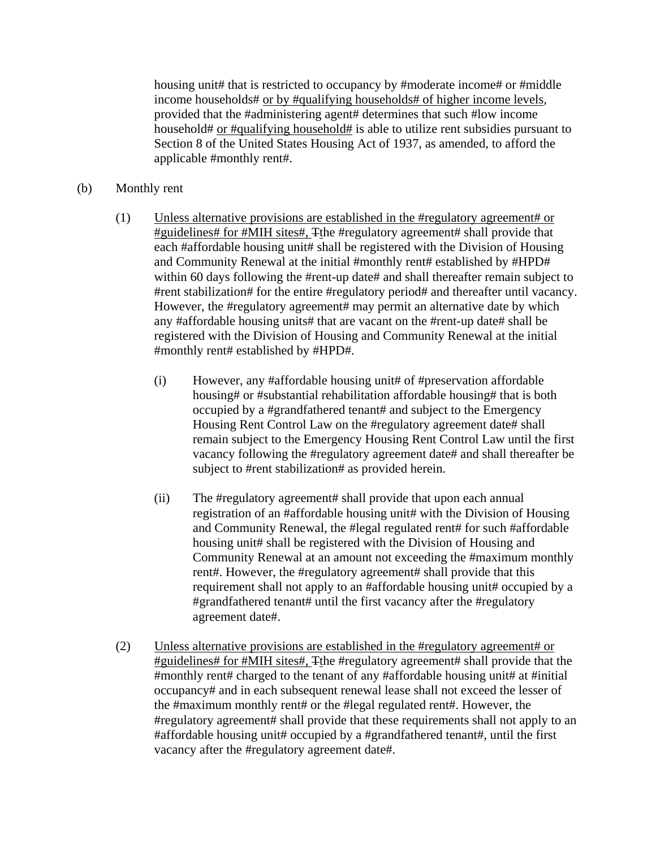housing unit# that is restricted to occupancy by #moderate income# or #middle income households# or by #qualifying households# of higher income levels, provided that the #administering agent# determines that such #low income household# or #qualifying household# is able to utilize rent subsidies pursuant to Section 8 of the United States Housing Act of 1937, as amended, to afford the applicable #monthly rent#.

- (b) Monthly rent
	- (1) Unless alternative provisions are established in the #regulatory agreement# or #guidelines# for #MIH sites#, Tthe #regulatory agreement# shall provide that each #affordable housing unit# shall be registered with the Division of Housing and Community Renewal at the initial #monthly rent# established by #HPD# within 60 days following the #rent-up date# and shall thereafter remain subject to #rent stabilization# for the entire #regulatory period# and thereafter until vacancy. However, the #regulatory agreement# may permit an alternative date by which any #affordable housing units# that are vacant on the #rent-up date# shall be registered with the Division of Housing and Community Renewal at the initial #monthly rent# established by #HPD#.
		- (i) However, any #affordable housing unit# of #preservation affordable housing# or #substantial rehabilitation affordable housing# that is both occupied by a #grandfathered tenant# and subject to the Emergency Housing Rent Control Law on the #regulatory agreement date# shall remain subject to the Emergency Housing Rent Control Law until the first vacancy following the #regulatory agreement date# and shall thereafter be subject to #rent stabilization# as provided herein.
		- (ii) The #regulatory agreement# shall provide that upon each annual registration of an #affordable housing unit# with the Division of Housing and Community Renewal, the #legal regulated rent# for such #affordable housing unit# shall be registered with the Division of Housing and Community Renewal at an amount not exceeding the #maximum monthly rent#. However, the #regulatory agreement# shall provide that this requirement shall not apply to an #affordable housing unit# occupied by a #grandfathered tenant# until the first vacancy after the #regulatory agreement date#.
	- (2) Unless alternative provisions are established in the #regulatory agreement# or #guidelines# for #MIH sites#, Tthe #regulatory agreement# shall provide that the #monthly rent# charged to the tenant of any #affordable housing unit# at #initial occupancy# and in each subsequent renewal lease shall not exceed the lesser of the #maximum monthly rent# or the #legal regulated rent#. However, the #regulatory agreement# shall provide that these requirements shall not apply to an #affordable housing unit# occupied by a #grandfathered tenant#, until the first vacancy after the #regulatory agreement date#.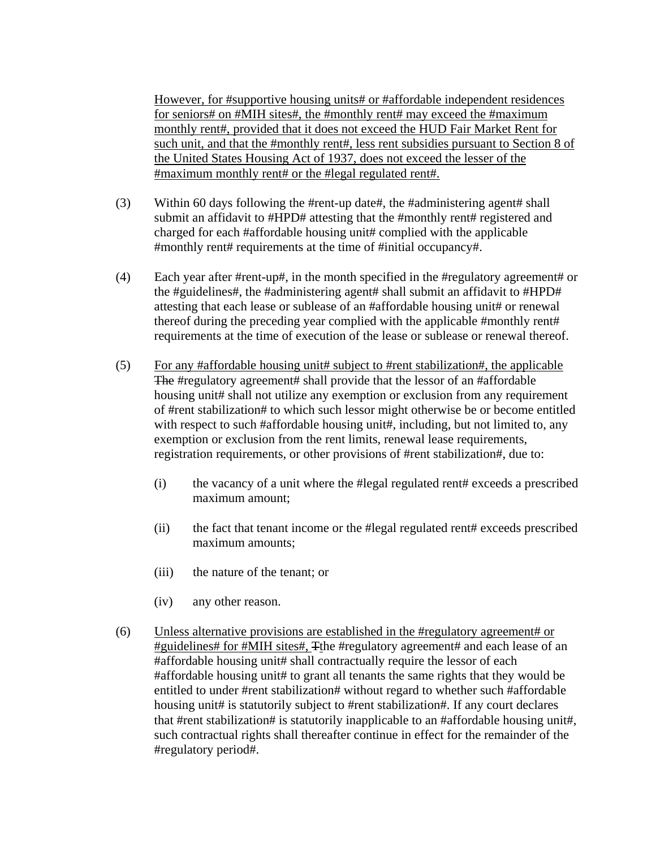However, for #supportive housing units# or #affordable independent residences for seniors# on #MIH sites#, the #monthly rent# may exceed the #maximum monthly rent#, provided that it does not exceed the HUD Fair Market Rent for such unit, and that the #monthly rent#, less rent subsidies pursuant to Section 8 of the United States Housing Act of 1937, does not exceed the lesser of the #maximum monthly rent# or the #legal regulated rent#.

- (3) Within 60 days following the #rent-up date#, the #administering agent# shall submit an affidavit to #HPD# attesting that the #monthly rent# registered and charged for each #affordable housing unit# complied with the applicable #monthly rent# requirements at the time of #initial occupancy#.
- (4) Each year after #rent-up#, in the month specified in the #regulatory agreement# or the #guidelines#, the #administering agent# shall submit an affidavit to #HPD# attesting that each lease or sublease of an #affordable housing unit# or renewal thereof during the preceding year complied with the applicable #monthly rent# requirements at the time of execution of the lease or sublease or renewal thereof.
- (5) For any #affordable housing unit# subject to #rent stabilization#, the applicable The #regulatory agreement# shall provide that the lessor of an #affordable housing unit# shall not utilize any exemption or exclusion from any requirement of #rent stabilization# to which such lessor might otherwise be or become entitled with respect to such #affordable housing unit#, including, but not limited to, any exemption or exclusion from the rent limits, renewal lease requirements, registration requirements, or other provisions of #rent stabilization#, due to:
	- (i) the vacancy of a unit where the #legal regulated rent# exceeds a prescribed maximum amount;
	- (ii) the fact that tenant income or the #legal regulated rent# exceeds prescribed maximum amounts;
	- (iii) the nature of the tenant; or
	- (iv) any other reason.
- (6) Unless alternative provisions are established in the #regulatory agreement# or #guidelines# for #MIH sites#, Tthe #regulatory agreement# and each lease of an #affordable housing unit# shall contractually require the lessor of each #affordable housing unit# to grant all tenants the same rights that they would be entitled to under #rent stabilization# without regard to whether such #affordable housing unit# is statutorily subject to #rent stabilization#. If any court declares that #rent stabilization# is statutorily inapplicable to an #affordable housing unit#. such contractual rights shall thereafter continue in effect for the remainder of the #regulatory period#.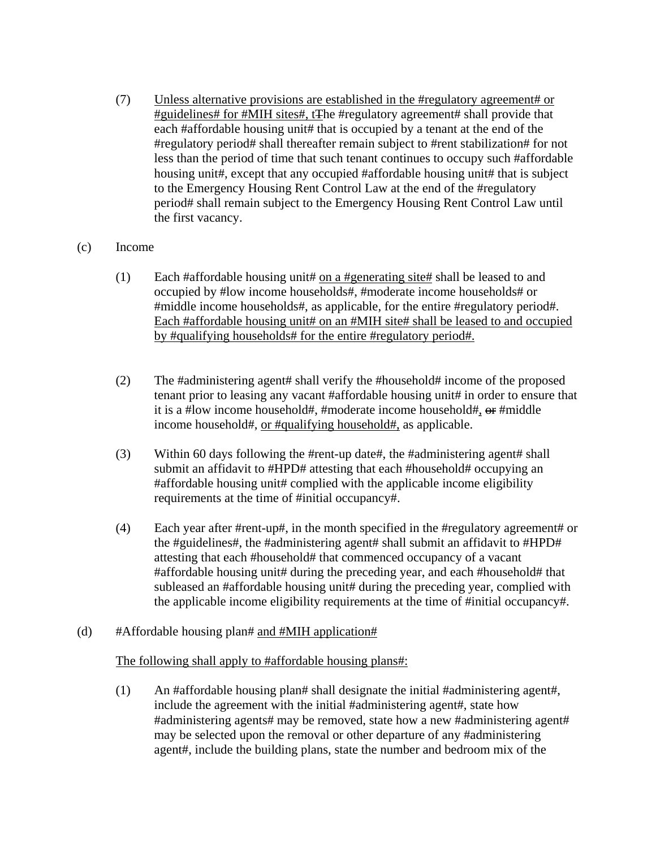- (7) Unless alternative provisions are established in the #regulatory agreement# or #guidelines# for #MIH sites#, tThe #regulatory agreement# shall provide that each #affordable housing unit# that is occupied by a tenant at the end of the #regulatory period# shall thereafter remain subject to #rent stabilization# for not less than the period of time that such tenant continues to occupy such #affordable housing unit#, except that any occupied #affordable housing unit# that is subject to the Emergency Housing Rent Control Law at the end of the #regulatory period# shall remain subject to the Emergency Housing Rent Control Law until the first vacancy.
- (c) Income
	- (1) Each #affordable housing unit# on a #generating site  $\#$  shall be leased to and occupied by #low income households#, #moderate income households# or #middle income households#, as applicable, for the entire #regulatory period#. Each #affordable housing unit# on an #MIH site# shall be leased to and occupied by #qualifying households# for the entire #regulatory period#.
	- (2) The #administering agent# shall verify the #household# income of the proposed tenant prior to leasing any vacant #affordable housing unit# in order to ensure that it is a #low income household#, #moderate income household#, or #middle income household#, or #qualifying household#, as applicable.
	- (3) Within 60 days following the #rent-up date#, the #administering agent# shall submit an affidavit to #HPD# attesting that each #household# occupying an #affordable housing unit# complied with the applicable income eligibility requirements at the time of #initial occupancy#.
	- (4) Each year after #rent-up#, in the month specified in the #regulatory agreement# or the #guidelines#, the #administering agent# shall submit an affidavit to #HPD# attesting that each #household# that commenced occupancy of a vacant #affordable housing unit# during the preceding year, and each #household# that subleased an #affordable housing unit# during the preceding year, complied with the applicable income eligibility requirements at the time of #initial occupancy#.
- (d) #Affordable housing plan# and #MIH application#

#### The following shall apply to #affordable housing plans#:

(1) An #affordable housing plan# shall designate the initial #administering agent#, include the agreement with the initial #administering agent#, state how #administering agents# may be removed, state how a new #administering agent# may be selected upon the removal or other departure of any #administering agent#, include the building plans, state the number and bedroom mix of the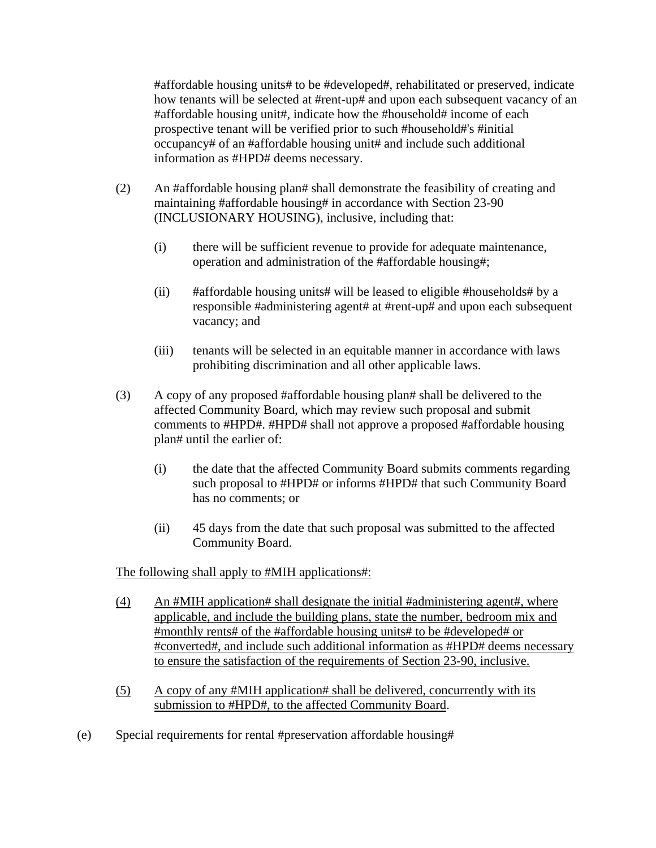#affordable housing units# to be #developed#, rehabilitated or preserved, indicate how tenants will be selected at #rent-up# and upon each subsequent vacancy of an #affordable housing unit#, indicate how the #household# income of each prospective tenant will be verified prior to such #household#'s #initial occupancy# of an #affordable housing unit# and include such additional information as #HPD# deems necessary.

- (2) An #affordable housing plan# shall demonstrate the feasibility of creating and maintaining #affordable housing# in accordance with Section 23-90 (INCLUSIONARY HOUSING), inclusive, including that:
	- (i) there will be sufficient revenue to provide for adequate maintenance, operation and administration of the #affordable housing#;
	- (ii) #affordable housing units# will be leased to eligible #households# by a responsible #administering agent# at #rent-up# and upon each subsequent vacancy; and
	- (iii) tenants will be selected in an equitable manner in accordance with laws prohibiting discrimination and all other applicable laws.
- (3) A copy of any proposed #affordable housing plan# shall be delivered to the affected Community Board, which may review such proposal and submit comments to #HPD#. #HPD# shall not approve a proposed #affordable housing plan# until the earlier of:
	- (i) the date that the affected Community Board submits comments regarding such proposal to #HPD# or informs #HPD# that such Community Board has no comments; or
	- (ii) 45 days from the date that such proposal was submitted to the affected Community Board.

The following shall apply to #MIH applications#:

- (4) An #MIH application# shall designate the initial #administering agent#, where applicable, and include the building plans, state the number, bedroom mix and #monthly rents# of the #affordable housing units# to be #developed# or #converted#, and include such additional information as #HPD# deems necessary to ensure the satisfaction of the requirements of Section 23-90, inclusive.
- (5) A copy of any #MIH application# shall be delivered, concurrently with its submission to #HPD#, to the affected Community Board.
- (e) Special requirements for rental #preservation affordable housing#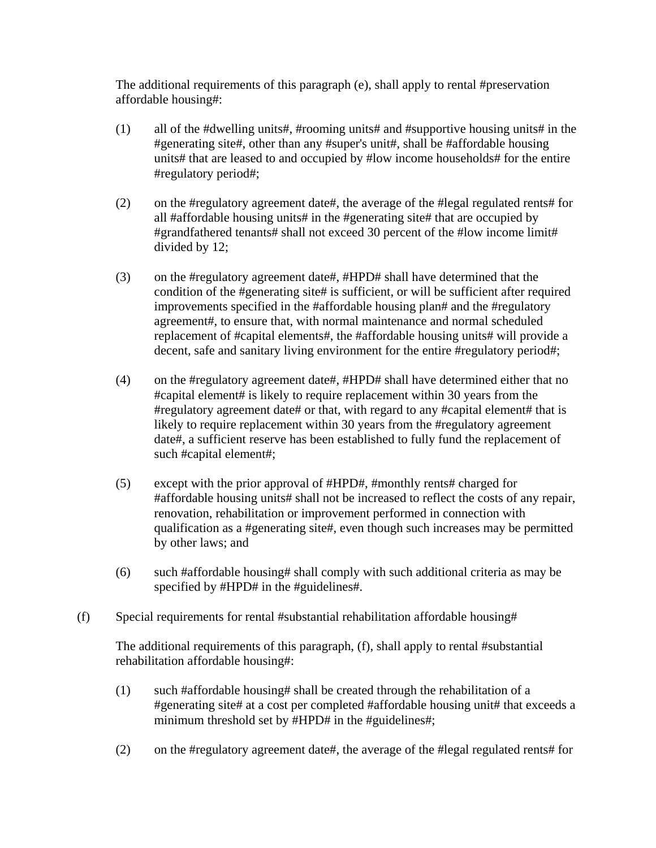The additional requirements of this paragraph (e), shall apply to rental #preservation affordable housing#:

- (1) all of the #dwelling units#, #rooming units# and #supportive housing units# in the #generating site#, other than any #super's unit#, shall be #affordable housing units# that are leased to and occupied by #low income households# for the entire #regulatory period#;
- (2) on the #regulatory agreement date#, the average of the #legal regulated rents# for all #affordable housing units# in the #generating site# that are occupied by #grandfathered tenants# shall not exceed 30 percent of the #low income limit# divided by 12;
- (3) on the #regulatory agreement date#, #HPD# shall have determined that the condition of the #generating site# is sufficient, or will be sufficient after required improvements specified in the #affordable housing plan# and the #regulatory agreement#, to ensure that, with normal maintenance and normal scheduled replacement of #capital elements#, the #affordable housing units# will provide a decent, safe and sanitary living environment for the entire #regulatory period#;
- (4) on the #regulatory agreement date#, #HPD# shall have determined either that no #capital element# is likely to require replacement within 30 years from the #regulatory agreement date# or that, with regard to any #capital element# that is likely to require replacement within 30 years from the #regulatory agreement date#, a sufficient reserve has been established to fully fund the replacement of such #capital element#;
- (5) except with the prior approval of #HPD#, #monthly rents# charged for #affordable housing units# shall not be increased to reflect the costs of any repair, renovation, rehabilitation or improvement performed in connection with qualification as a #generating site#, even though such increases may be permitted by other laws; and
- (6) such #affordable housing# shall comply with such additional criteria as may be specified by #HPD# in the #guidelines#.
- (f) Special requirements for rental #substantial rehabilitation affordable housing#

 The additional requirements of this paragraph, (f), shall apply to rental #substantial rehabilitation affordable housing#:

- (1) such #affordable housing# shall be created through the rehabilitation of a #generating site# at a cost per completed #affordable housing unit# that exceeds a minimum threshold set by #HPD# in the #guidelines#;
- (2) on the #regulatory agreement date#, the average of the #legal regulated rents# for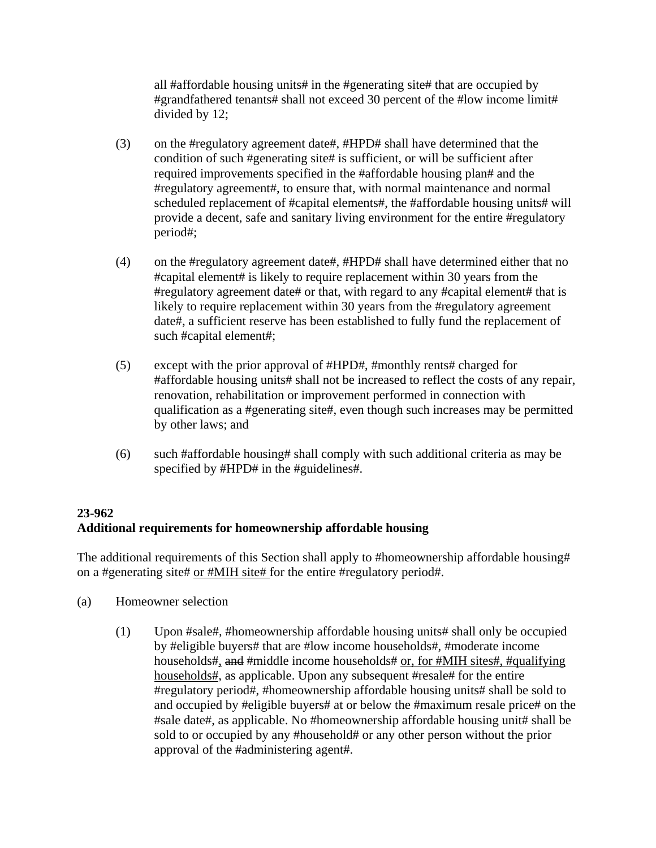all #affordable housing units# in the #generating site# that are occupied by #grandfathered tenants# shall not exceed 30 percent of the #low income limit# divided by 12;

- (3) on the #regulatory agreement date#, #HPD# shall have determined that the condition of such #generating site# is sufficient, or will be sufficient after required improvements specified in the #affordable housing plan# and the #regulatory agreement#, to ensure that, with normal maintenance and normal scheduled replacement of #capital elements#, the #affordable housing units# will provide a decent, safe and sanitary living environment for the entire #regulatory period#;
- (4) on the #regulatory agreement date#, #HPD# shall have determined either that no #capital element# is likely to require replacement within 30 years from the #regulatory agreement date# or that, with regard to any #capital element# that is likely to require replacement within 30 years from the #regulatory agreement date#, a sufficient reserve has been established to fully fund the replacement of such #capital element#;
- (5) except with the prior approval of #HPD#, #monthly rents# charged for #affordable housing units# shall not be increased to reflect the costs of any repair, renovation, rehabilitation or improvement performed in connection with qualification as a #generating site#, even though such increases may be permitted by other laws; and
- (6) such #affordable housing# shall comply with such additional criteria as may be specified by #HPD# in the #guidelines#.

# **23-962 Additional requirements for homeownership affordable housing**

The additional requirements of this Section shall apply to #homeownership affordable housing# on a #generating site# or #MIH site# for the entire #regulatory period#.

- (a) Homeowner selection
	- (1) Upon #sale#, #homeownership affordable housing units# shall only be occupied by #eligible buyers# that are #low income households#, #moderate income households#, and #middle income households# or, for #MIH sites#, #qualifying households#, as applicable. Upon any subsequent #resale# for the entire #regulatory period#, #homeownership affordable housing units# shall be sold to and occupied by #eligible buyers# at or below the #maximum resale price# on the #sale date#, as applicable. No #homeownership affordable housing unit# shall be sold to or occupied by any #household# or any other person without the prior approval of the #administering agent#.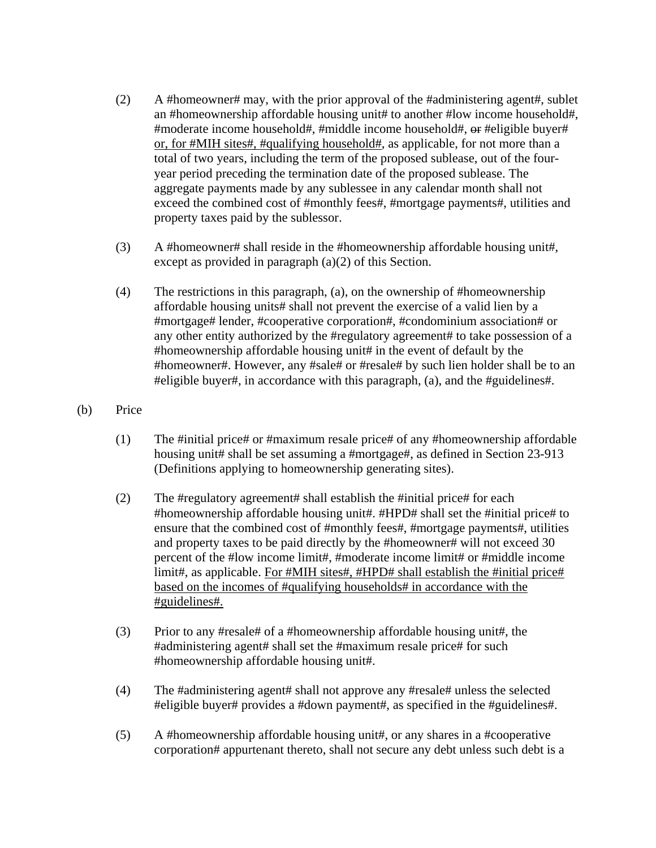- (2) A #homeowner# may, with the prior approval of the #administering agent#, sublet an #homeownership affordable housing unit# to another #low income household#, #moderate income household#, #middle income household#, or #eligible buyer# or, for #MIH sites#, #qualifying household#, as applicable, for not more than a total of two years, including the term of the proposed sublease, out of the fouryear period preceding the termination date of the proposed sublease. The aggregate payments made by any sublessee in any calendar month shall not exceed the combined cost of #monthly fees#, #mortgage payments#, utilities and property taxes paid by the sublessor.
- (3) A #homeowner# shall reside in the #homeownership affordable housing unit#, except as provided in paragraph (a)(2) of this Section.
- (4) The restrictions in this paragraph, (a), on the ownership of #homeownership affordable housing units# shall not prevent the exercise of a valid lien by a #mortgage# lender, #cooperative corporation#, #condominium association# or any other entity authorized by the #regulatory agreement# to take possession of a #homeownership affordable housing unit# in the event of default by the #homeowner#. However, any #sale# or #resale# by such lien holder shall be to an #eligible buyer#, in accordance with this paragraph, (a), and the #guidelines#.
- (b) Price
	- (1) The #initial price# or #maximum resale price# of any #homeownership affordable housing unit# shall be set assuming a #mortgage#, as defined in Section 23-913 (Definitions applying to homeownership generating sites).
	- (2) The #regulatory agreement# shall establish the #initial price# for each #homeownership affordable housing unit#. #HPD# shall set the #initial price# to ensure that the combined cost of #monthly fees#, #mortgage payments#, utilities and property taxes to be paid directly by the #homeowner# will not exceed 30 percent of the #low income limit#, #moderate income limit# or #middle income limit#, as applicable. For #MIH sites#, #HPD# shall establish the #initial price# based on the incomes of #qualifying households# in accordance with the #guidelines#.
	- (3) Prior to any #resale# of a #homeownership affordable housing unit#, the #administering agent# shall set the #maximum resale price# for such #homeownership affordable housing unit#.
	- (4) The #administering agent# shall not approve any #resale# unless the selected #eligible buyer# provides a #down payment#, as specified in the #guidelines#.
	- (5) A #homeownership affordable housing unit#, or any shares in a #cooperative corporation# appurtenant thereto, shall not secure any debt unless such debt is a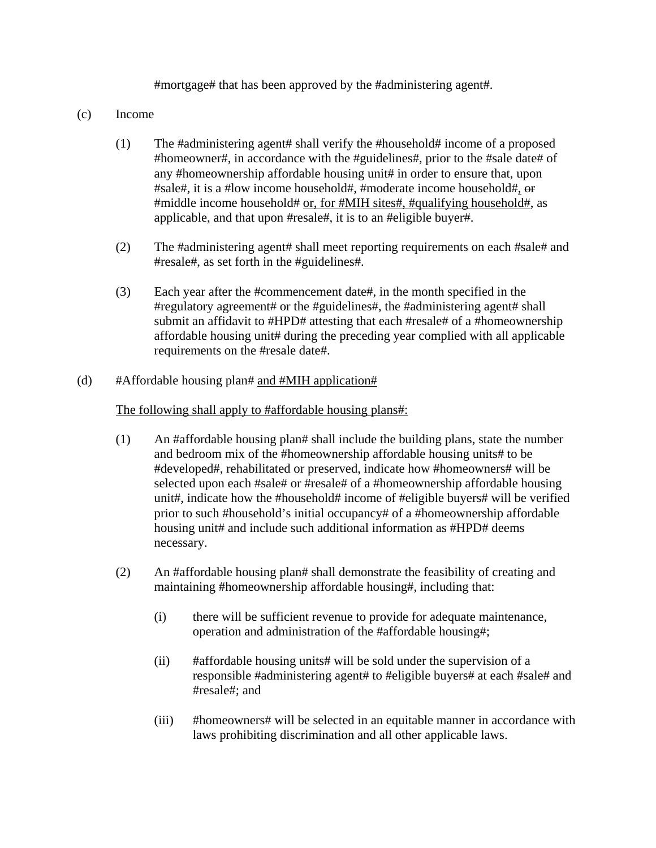#mortgage# that has been approved by the #administering agent#.

- (c) Income
	- (1) The #administering agent# shall verify the #household# income of a proposed #homeowner#, in accordance with the #guidelines#, prior to the #sale date# of any #homeownership affordable housing unit# in order to ensure that, upon #sale#, it is a #low income household#, #moderate income household#, or #middle income household# or, for #MIH sites#, #qualifying household#, as applicable, and that upon #resale#, it is to an #eligible buyer#.
	- (2) The #administering agent# shall meet reporting requirements on each #sale# and #resale#, as set forth in the #guidelines#.
	- (3) Each year after the #commencement date#, in the month specified in the #regulatory agreement# or the #guidelines#, the #administering agent# shall submit an affidavit to #HPD# attesting that each #resale# of a #homeownership affordable housing unit# during the preceding year complied with all applicable requirements on the #resale date#.

### (d)  $#Affordable housing plan# and #MIH application#$

### The following shall apply to #affordable housing plans#:

- (1) An #affordable housing plan# shall include the building plans, state the number and bedroom mix of the #homeownership affordable housing units# to be #developed#, rehabilitated or preserved, indicate how #homeowners# will be selected upon each #sale# or #resale# of a #homeownership affordable housing unit#, indicate how the #household# income of #eligible buyers# will be verified prior to such #household's initial occupancy# of a #homeownership affordable housing unit# and include such additional information as #HPD# deems necessary.
- (2) An #affordable housing plan# shall demonstrate the feasibility of creating and maintaining #homeownership affordable housing#, including that:
	- (i) there will be sufficient revenue to provide for adequate maintenance, operation and administration of the #affordable housing#;
	- (ii) #affordable housing units# will be sold under the supervision of a responsible #administering agent# to #eligible buyers# at each #sale# and #resale#; and
	- (iii) #homeowners# will be selected in an equitable manner in accordance with laws prohibiting discrimination and all other applicable laws.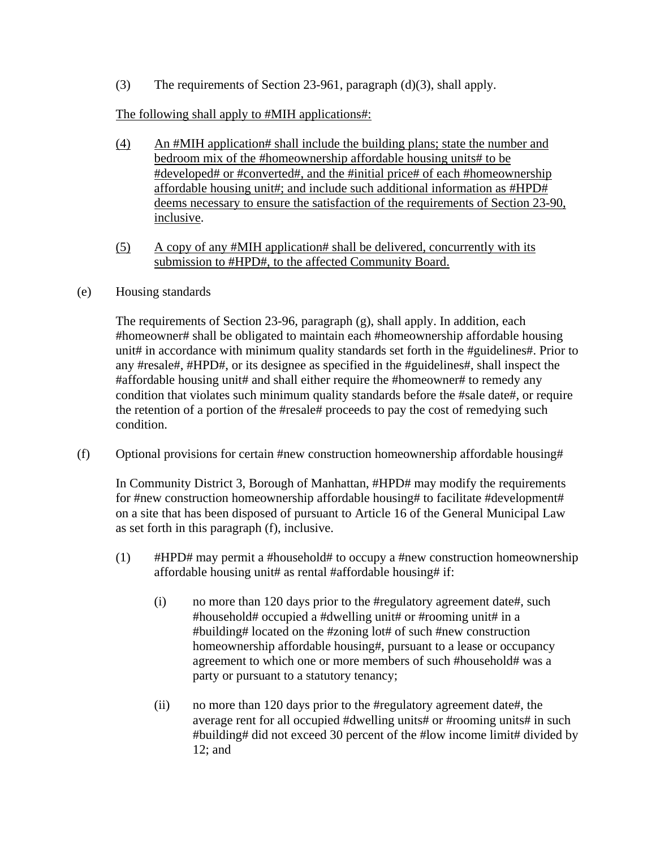(3) The requirements of Section 23-961, paragraph (d)(3), shall apply.

## The following shall apply to #MIH applications#:

- (4) An #MIH application# shall include the building plans; state the number and bedroom mix of the #homeownership affordable housing units# to be #developed# or #converted#, and the #initial price# of each #homeownership affordable housing unit#; and include such additional information as #HPD# deems necessary to ensure the satisfaction of the requirements of Section 23-90, inclusive.
- (5) A copy of any #MIH application# shall be delivered, concurrently with its submission to #HPD#, to the affected Community Board.

### (e) Housing standards

 The requirements of Section 23-96, paragraph (g), shall apply. In addition, each #homeowner# shall be obligated to maintain each #homeownership affordable housing unit# in accordance with minimum quality standards set forth in the #guidelines#. Prior to any #resale#, #HPD#, or its designee as specified in the #guidelines#, shall inspect the #affordable housing unit# and shall either require the #homeowner# to remedy any condition that violates such minimum quality standards before the #sale date#, or require the retention of a portion of the #resale# proceeds to pay the cost of remedying such condition.

(f) Optional provisions for certain #new construction homeownership affordable housing#

 In Community District 3, Borough of Manhattan, #HPD# may modify the requirements for #new construction homeownership affordable housing# to facilitate #development# on a site that has been disposed of pursuant to Article 16 of the General Municipal Law as set forth in this paragraph (f), inclusive.

- $(1)$  #HPD# may permit a #household# to occupy a #new construction homeownership affordable housing unit# as rental #affordable housing# if:
	- (i) no more than 120 days prior to the #regulatory agreement date#, such #household# occupied a #dwelling unit# or #rooming unit# in a #building# located on the #zoning lot# of such #new construction homeownership affordable housing#, pursuant to a lease or occupancy agreement to which one or more members of such #household# was a party or pursuant to a statutory tenancy;
	- (ii) no more than 120 days prior to the #regulatory agreement date#, the average rent for all occupied #dwelling units# or #rooming units# in such #building# did not exceed 30 percent of the #low income limit# divided by 12; and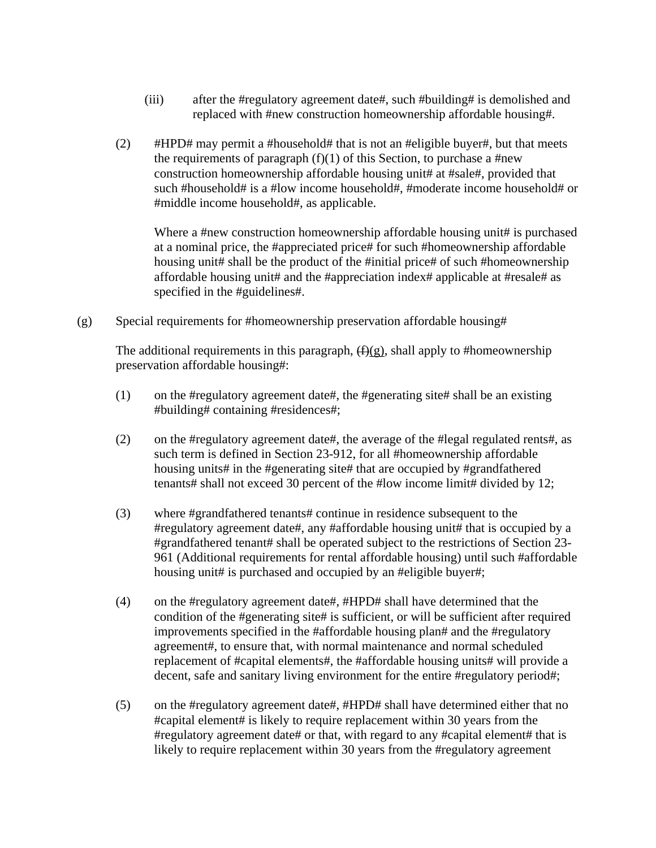- (iii) after the #regulatory agreement date#, such #building# is demolished and replaced with #new construction homeownership affordable housing#.
- (2)  $\#HPD\#$  may permit a #household# that is not an #eligible buyer#, but that meets the requirements of paragraph  $(f)(1)$  of this Section, to purchase a #new construction homeownership affordable housing unit# at #sale#, provided that such #household# is a #low income household#, #moderate income household# or #middle income household#, as applicable.

Where a #new construction homeownership affordable housing unit# is purchased at a nominal price, the #appreciated price# for such #homeownership affordable housing unit# shall be the product of the #initial price# of such #homeownership affordable housing unit# and the #appreciation index# applicable at #resale# as specified in the #guidelines#.

(g) Special requirements for #homeownership preservation affordable housing#

The additional requirements in this paragraph,  $(f)(g)$ , shall apply to #homeownership preservation affordable housing#:

- (1) on the #regulatory agreement date#, the #generating site# shall be an existing #building# containing #residences#;
- (2) on the #regulatory agreement date#, the average of the #legal regulated rents#, as such term is defined in Section 23-912, for all #homeownership affordable housing units# in the #generating site# that are occupied by #grandfathered tenants# shall not exceed 30 percent of the #low income limit# divided by 12;
- (3) where #grandfathered tenants# continue in residence subsequent to the #regulatory agreement date#, any #affordable housing unit# that is occupied by a #grandfathered tenant# shall be operated subject to the restrictions of Section 23- 961 (Additional requirements for rental affordable housing) until such #affordable housing unit# is purchased and occupied by an #eligible buyer#;
- (4) on the #regulatory agreement date#, #HPD# shall have determined that the condition of the #generating site# is sufficient, or will be sufficient after required improvements specified in the #affordable housing plan# and the #regulatory agreement#, to ensure that, with normal maintenance and normal scheduled replacement of #capital elements#, the #affordable housing units# will provide a decent, safe and sanitary living environment for the entire #regulatory period#;
- (5) on the #regulatory agreement date#, #HPD# shall have determined either that no #capital element# is likely to require replacement within 30 years from the #regulatory agreement date# or that, with regard to any #capital element# that is likely to require replacement within 30 years from the #regulatory agreement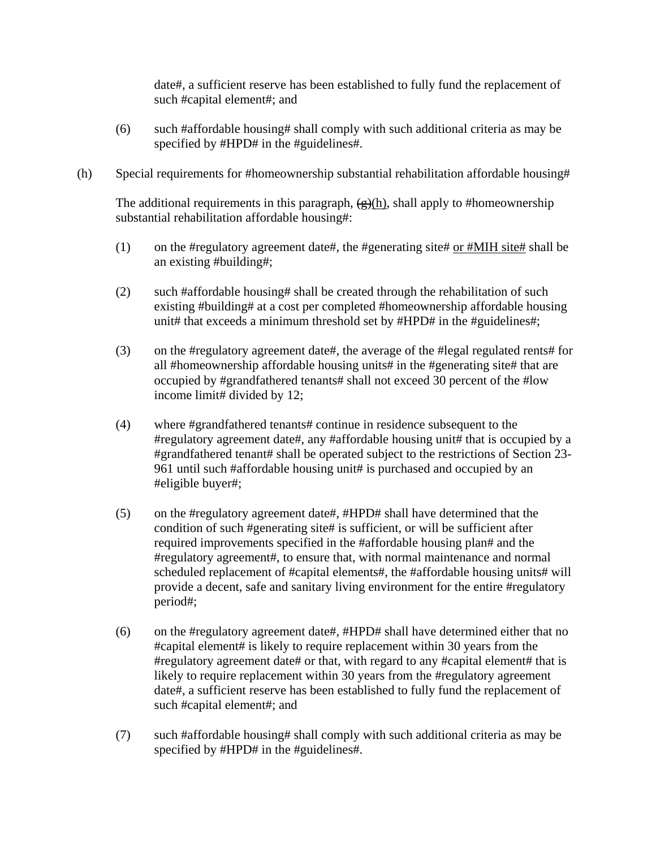date#, a sufficient reserve has been established to fully fund the replacement of such #capital element#; and

- (6) such #affordable housing# shall comply with such additional criteria as may be specified by #HPD# in the #guidelines#.
- (h) Special requirements for #homeownership substantial rehabilitation affordable housing#

The additional requirements in this paragraph,  $(\frac{\alpha}{\beta})$ , shall apply to #homeownership substantial rehabilitation affordable housing#:

- (1) on the #regulatory agreement date#, the #generating site# or #MIH site# shall be an existing #building#;
- (2) such #affordable housing# shall be created through the rehabilitation of such existing #building# at a cost per completed #homeownership affordable housing unit# that exceeds a minimum threshold set by #HPD# in the #guidelines#;
- (3) on the #regulatory agreement date#, the average of the #legal regulated rents# for all #homeownership affordable housing units# in the #generating site# that are occupied by #grandfathered tenants# shall not exceed 30 percent of the #low income limit# divided by 12;
- (4) where #grandfathered tenants# continue in residence subsequent to the #regulatory agreement date#, any #affordable housing unit# that is occupied by a #grandfathered tenant# shall be operated subject to the restrictions of Section 23- 961 until such #affordable housing unit# is purchased and occupied by an #eligible buyer#;
- (5) on the #regulatory agreement date#, #HPD# shall have determined that the condition of such #generating site# is sufficient, or will be sufficient after required improvements specified in the #affordable housing plan# and the #regulatory agreement#, to ensure that, with normal maintenance and normal scheduled replacement of #capital elements#, the #affordable housing units# will provide a decent, safe and sanitary living environment for the entire #regulatory period#;
- (6) on the #regulatory agreement date#, #HPD# shall have determined either that no #capital element# is likely to require replacement within 30 years from the #regulatory agreement date# or that, with regard to any #capital element# that is likely to require replacement within 30 years from the #regulatory agreement date#, a sufficient reserve has been established to fully fund the replacement of such #capital element#; and
- (7) such #affordable housing# shall comply with such additional criteria as may be specified by #HPD# in the #guidelines#.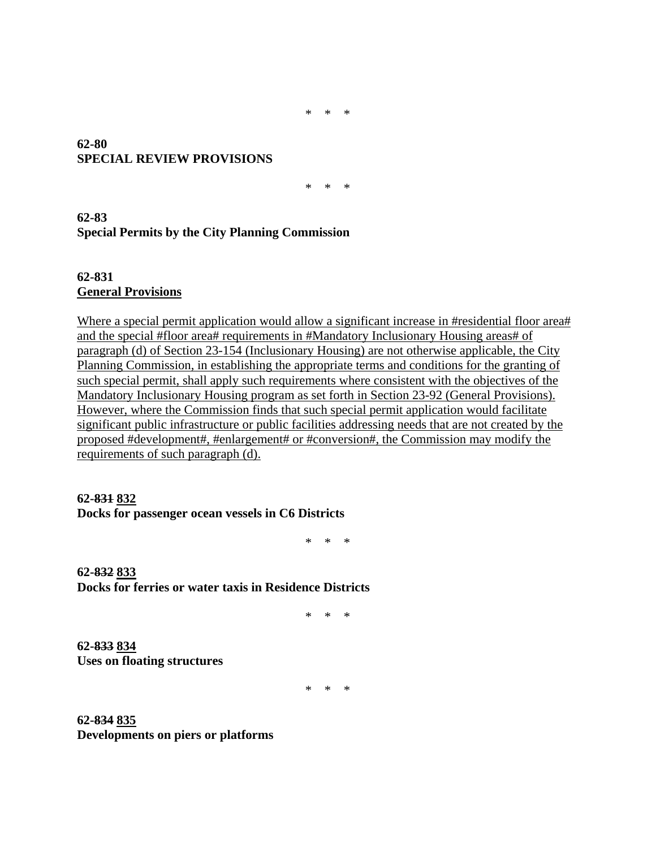\* \* \*

### **62-80 SPECIAL REVIEW PROVISIONS**

\* \* \*

## **62-83 Special Permits by the City Planning Commission**

**62-831 General Provisions** 

Where a special permit application would allow a significant increase in #residential floor area# and the special #floor area# requirements in #Mandatory Inclusionary Housing areas# of paragraph (d) of Section 23-154 (Inclusionary Housing) are not otherwise applicable, the City Planning Commission, in establishing the appropriate terms and conditions for the granting of such special permit, shall apply such requirements where consistent with the objectives of the Mandatory Inclusionary Housing program as set forth in Section 23-92 (General Provisions). However, where the Commission finds that such special permit application would facilitate significant public infrastructure or public facilities addressing needs that are not created by the proposed #development#, #enlargement# or #conversion#, the Commission may modify the requirements of such paragraph (d).

#### **62-831 832 Docks for passenger ocean vessels in C6 Districts**

\* \* \*

**62-832 833 Docks for ferries or water taxis in Residence Districts**

\* \* \*

**62-833 834 Uses on floating structures**

\* \* \*

**62-834 835 Developments on piers or platforms**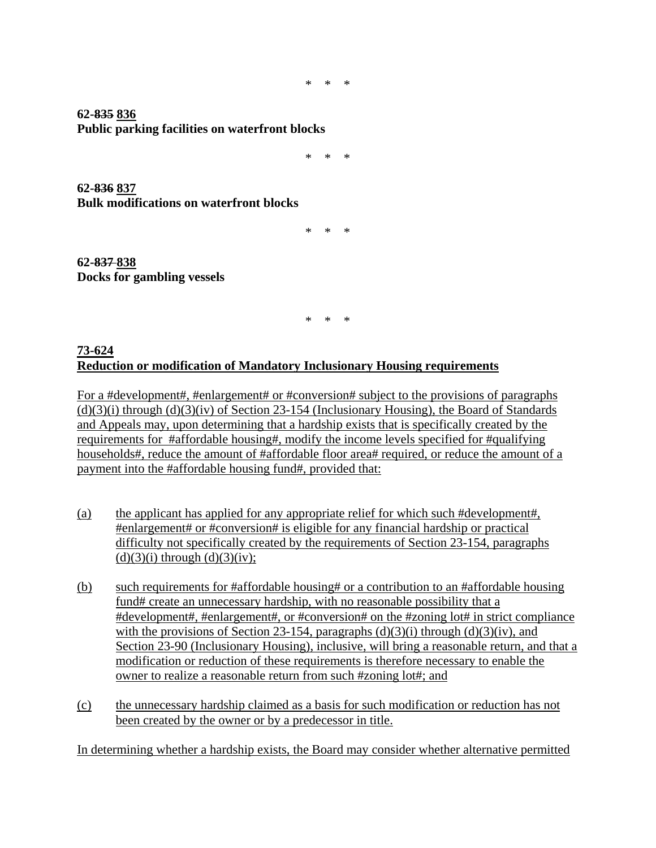\* \* \*

**62-835 836 Public parking facilities on waterfront blocks**

\* \* \*

**62-836 837 Bulk modifications on waterfront blocks**

\* \* \*

**62-837 838 Docks for gambling vessels**

\* \* \*

### **73-624 Reduction or modification of Mandatory Inclusionary Housing requirements**

For a #development#, #enlargement# or #conversion# subject to the provisions of paragraphs  $(d)(3)(i)$  through  $(d)(3)(iv)$  of Section 23-154 (Inclusionary Housing), the Board of Standards and Appeals may, upon determining that a hardship exists that is specifically created by the requirements for #affordable housing#, modify the income levels specified for #qualifying households#, reduce the amount of #affordable floor area# required, or reduce the amount of a payment into the #affordable housing fund#, provided that:

- (a) the applicant has applied for any appropriate relief for which such #development#, #enlargement# or #conversion# is eligible for any financial hardship or practical difficulty not specifically created by the requirements of Section 23-154, paragraphs  $(d)(3)(i)$  through  $(d)(3)(iv)$ ;
- (b) such requirements for #affordable housing# or a contribution to an #affordable housing fund# create an unnecessary hardship, with no reasonable possibility that a #development#, #enlargement#, or #conversion# on the #zoning lot# in strict compliance with the provisions of Section 23-154, paragraphs  $(d)(3)(i)$  through  $(d)(3)(iv)$ , and Section 23-90 (Inclusionary Housing), inclusive, will bring a reasonable return, and that a modification or reduction of these requirements is therefore necessary to enable the owner to realize a reasonable return from such #zoning lot#; and
- (c) the unnecessary hardship claimed as a basis for such modification or reduction has not been created by the owner or by a predecessor in title.

In determining whether a hardship exists, the Board may consider whether alternative permitted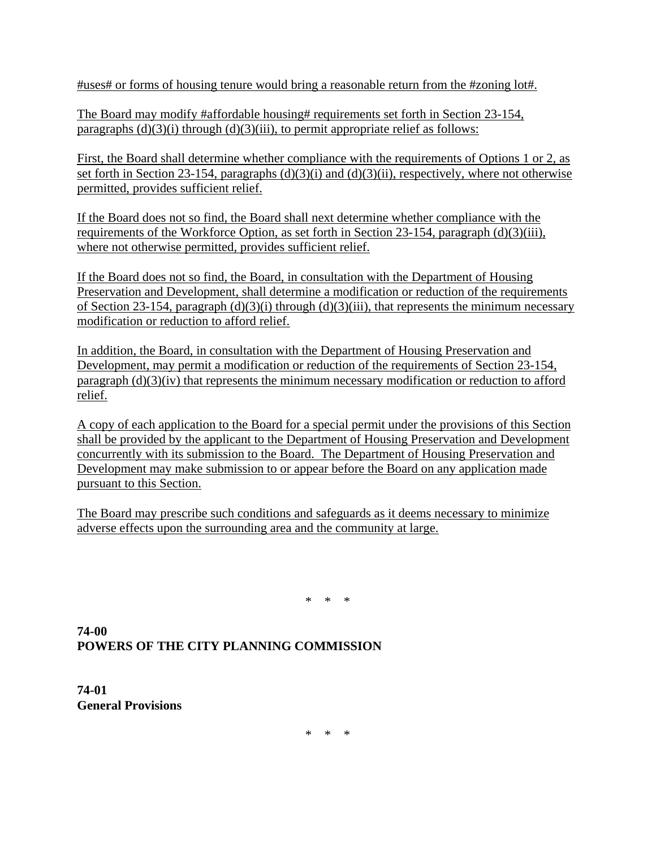#uses# or forms of housing tenure would bring a reasonable return from the #zoning lot#.

The Board may modify #affordable housing# requirements set forth in Section 23-154, paragraphs  $(d)(3)(i)$  through  $(d)(3)(iii)$ , to permit appropriate relief as follows:

First, the Board shall determine whether compliance with the requirements of Options 1 or 2, as set forth in Section 23-154, paragraphs (d)(3)(i) and (d)(3)(ii), respectively, where not otherwise permitted, provides sufficient relief.

If the Board does not so find, the Board shall next determine whether compliance with the requirements of the Workforce Option, as set forth in Section 23-154, paragraph (d)(3)(iii), where not otherwise permitted, provides sufficient relief.

If the Board does not so find, the Board, in consultation with the Department of Housing Preservation and Development, shall determine a modification or reduction of the requirements of Section 23-154, paragraph  $(d)(3)(i)$  through  $(d)(3)(iii)$ , that represents the minimum necessary modification or reduction to afford relief.

In addition, the Board, in consultation with the Department of Housing Preservation and Development, may permit a modification or reduction of the requirements of Section 23-154, paragraph (d)(3)(iv) that represents the minimum necessary modification or reduction to afford relief.

A copy of each application to the Board for a special permit under the provisions of this Section shall be provided by the applicant to the Department of Housing Preservation and Development concurrently with its submission to the Board. The Department of Housing Preservation and Development may make submission to or appear before the Board on any application made pursuant to this Section.

The Board may prescribe such conditions and safeguards as it deems necessary to minimize adverse effects upon the surrounding area and the community at large.

\* \* \*

**74-00 POWERS OF THE CITY PLANNING COMMISSION** 

**74-01 General Provisions** 

\* \* \*